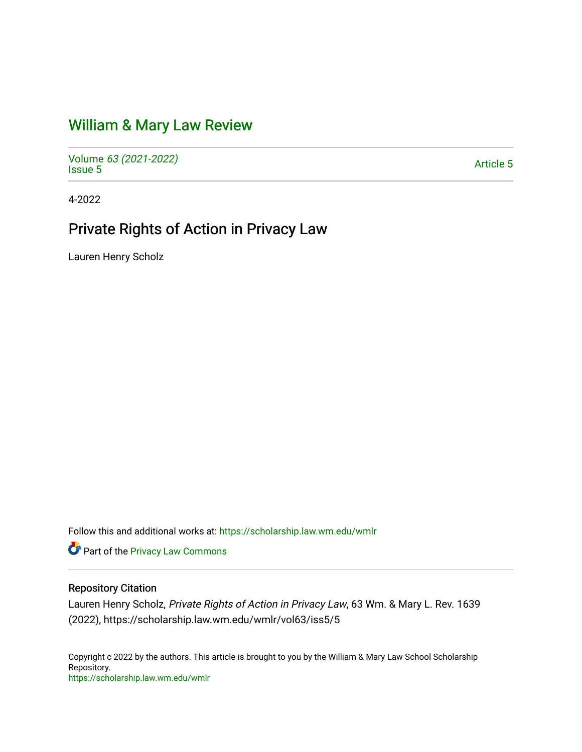# [William & Mary Law Review](https://scholarship.law.wm.edu/wmlr)

Volume [63 \(2021-2022\)](https://scholarship.law.wm.edu/wmlr/vol63)  volume os (2027-2022)<br>[Issue 5](https://scholarship.law.wm.edu/wmlr/vol63/iss5)

4-2022

# Private Rights of Action in Privacy Law

Lauren Henry Scholz

Follow this and additional works at: [https://scholarship.law.wm.edu/wmlr](https://scholarship.law.wm.edu/wmlr?utm_source=scholarship.law.wm.edu%2Fwmlr%2Fvol63%2Fiss5%2F5&utm_medium=PDF&utm_campaign=PDFCoverPages)

Part of the [Privacy Law Commons](https://network.bepress.com/hgg/discipline/1234?utm_source=scholarship.law.wm.edu%2Fwmlr%2Fvol63%2Fiss5%2F5&utm_medium=PDF&utm_campaign=PDFCoverPages) 

# Repository Citation

Lauren Henry Scholz, Private Rights of Action in Privacy Law, 63 Wm. & Mary L. Rev. 1639 (2022), https://scholarship.law.wm.edu/wmlr/vol63/iss5/5

Copyright c 2022 by the authors. This article is brought to you by the William & Mary Law School Scholarship Repository. <https://scholarship.law.wm.edu/wmlr>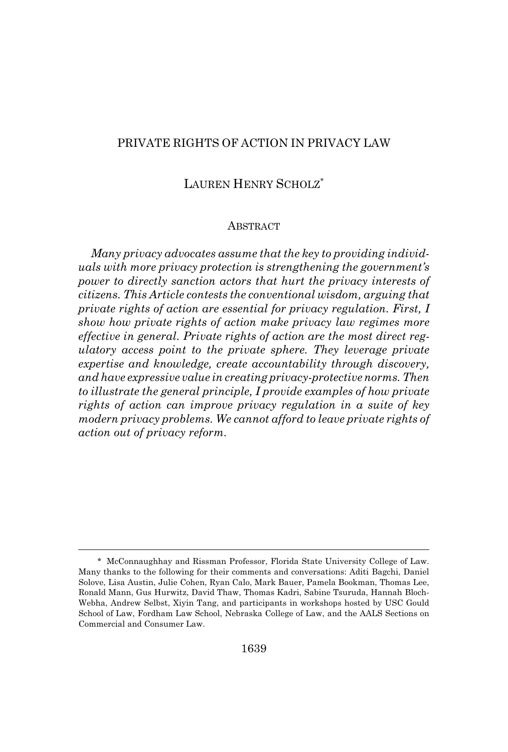# PRIVATE RIGHTS OF ACTION IN PRIVACY LAW

# LAUREN HENRY SCHOLZ\*

#### **ABSTRACT**

*Many privacy advocates assume that the key to providing individuals with more privacy protection is strengthening the government's power to directly sanction actors that hurt the privacy interests of citizens. This Article contests the conventional wisdom, arguing that private rights of action are essential for privacy regulation. First, I show how private rights of action make privacy law regimes more effective in general. Private rights of action are the most direct regulatory access point to the private sphere. They leverage private expertise and knowledge, create accountability through discovery, and have expressive value in creating privacy-protective norms. Then to illustrate the general principle, I provide examples of how private rights of action can improve privacy regulation in a suite of key modern privacy problems. We cannot afford to leave private rights of action out of privacy reform.*

<sup>\*</sup> McConnaughhay and Rissman Professor, Florida State University College of Law. Many thanks to the following for their comments and conversations: Aditi Bagchi, Daniel Solove, Lisa Austin, Julie Cohen, Ryan Calo, Mark Bauer, Pamela Bookman, Thomas Lee, Ronald Mann, Gus Hurwitz, David Thaw, Thomas Kadri, Sabine Tsuruda, Hannah Bloch-Webha, Andrew Selbst, Xiyin Tang, and participants in workshops hosted by USC Gould School of Law, Fordham Law School, Nebraska College of Law, and the AALS Sections on Commercial and Consumer Law.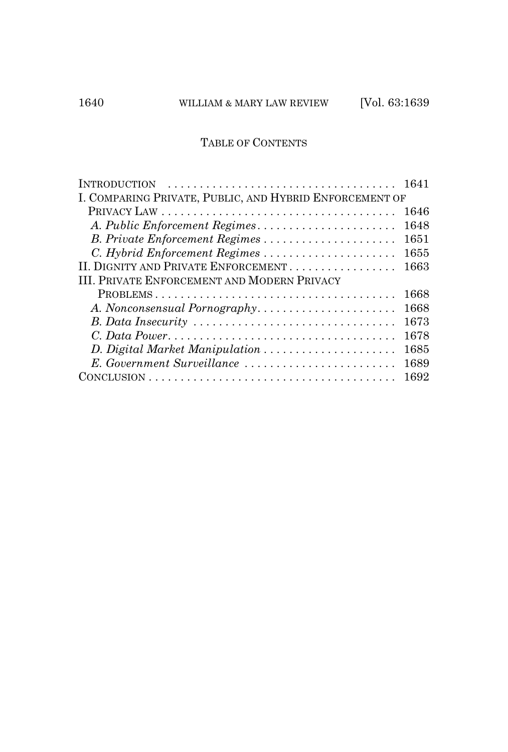# TABLE OF CONTENTS

| <b>INTRODUCTION</b>                                     | 1641 |
|---------------------------------------------------------|------|
| I. COMPARING PRIVATE, PUBLIC, AND HYBRID ENFORCEMENT OF |      |
|                                                         | 1646 |
| A. Public Enforcement Regimes                           | 1648 |
| B. Private Enforcement Regimes                          | 1651 |
| C. Hybrid Enforcement Regimes                           | 1655 |
| II. DIGNITY AND PRIVATE ENFORCEMENT                     | 1663 |
| <b>III. PRIVATE ENFORCEMENT AND MODERN PRIVACY</b>      |      |
|                                                         | 1668 |
| A. Nonconsensual Pornography                            | 1668 |
|                                                         | 1673 |
|                                                         | 1678 |
| D. Digital Market Manipulation                          | 1685 |
| E. Government Surveillance                              | 1689 |
|                                                         | 1692 |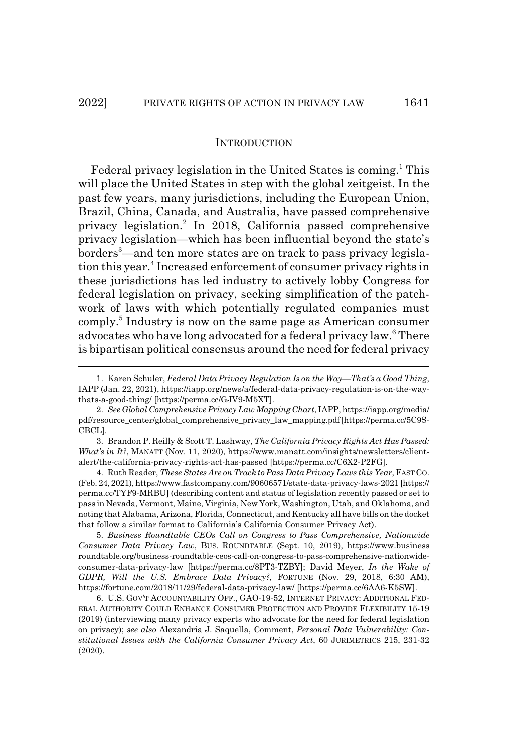## **INTRODUCTION**

Federal privacy legislation in the United States is coming.<sup>1</sup> This will place the United States in step with the global zeitgeist. In the past few years, many jurisdictions, including the European Union, Brazil, China, Canada, and Australia, have passed comprehensive privacy legislation.<sup>2</sup> In 2018, California passed comprehensive privacy legislation—which has been influential beyond the state's borders<sup>3</sup>—and ten more states are on track to pass privacy legislation this year.<sup>4</sup> Increased enforcement of consumer privacy rights in these jurisdictions has led industry to actively lobby Congress for federal legislation on privacy, seeking simplification of the patchwork of laws with which potentially regulated companies must comply.<sup>5</sup> Industry is now on the same page as American consumer advocates who have long advocated for a federal privacy law.<sup>6</sup> There is bipartisan political consensus around the need for federal privacy

3. Brandon P. Reilly & Scott T. Lashway, *The California Privacy Rights Act Has Passed: What's in It?*, MANATT (Nov. 11, 2020), https://www.manatt.com/insights/newsletters/clientalert/the-california-privacy-rights-act-has-passed [https://perma.cc/C6X2-P2FG].

4. Ruth Reader, *These States Are on Track to Pass Data Privacy Laws this Year*, FASTCO. (Feb. 24, 2021), https://www.fastcompany.com/90606571/state-data-privacy-laws-2021 [https:// perma.cc/TYF9-MRBU] (describing content and status of legislation recently passed or set to pass in Nevada, Vermont, Maine, Virginia, New York, Washington, Utah, and Oklahoma, and noting that Alabama, Arizona, Florida, Connecticut, and Kentucky all have bills on the docket that follow a similar format to California's California Consumer Privacy Act).

5. *Business Roundtable CEOs Call on Congress to Pass Comprehensive, Nationwide Consumer Data Privacy Law*, BUS. ROUNDTABLE (Sept. 10, 2019), https://www.business roundtable.org/business-roundtable-ceos-call-on-congress-to-pass-comprehensive-nationwideconsumer-data-privacy-law [https://perma.cc/8PT3-TZBY]; David Meyer, *In the Wake of GDPR, Will the U.S. Embrace Data Privacy?*, FORTUNE (Nov. 29, 2018, 6:30 AM), https://fortune.com/2018/11/29/federal-data-privacy-law/ [https://perma.cc/6AA6-K5SW].

6. U.S. GOV'T ACCOUNTABILITY OFF., GAO-19-52, INTERNET PRIVACY: ADDITIONAL FED-ERAL AUTHORITY COULD ENHANCE CONSUMER PROTECTION AND PROVIDE FLEXIBILITY 15-19 (2019) (interviewing many privacy experts who advocate for the need for federal legislation on privacy); *see also* Alexandria J. Saquella, Comment, *Personal Data Vulnerability: Constitutional Issues with the California Consumer Privacy Act*, 60 JURIMETRICS 215, 231-32 (2020).

<sup>1.</sup> Karen Schuler, *Federal Data Privacy Regulation Is on the Way—That's a Good Thing*, IAPP (Jan. 22, 2021), https://iapp.org/news/a/federal-data-privacy-regulation-is-on-the-waythats-a-good-thing/ [https://perma.cc/GJV9-M5XT].

<sup>2.</sup> *See Global Comprehensive Privacy Law Mapping Chart*, IAPP, https://iapp.org/media/ pdf/resource\_center/global\_comprehensive\_privacy\_law\_mapping.pdf [https://perma.cc/5C9S-CBCL].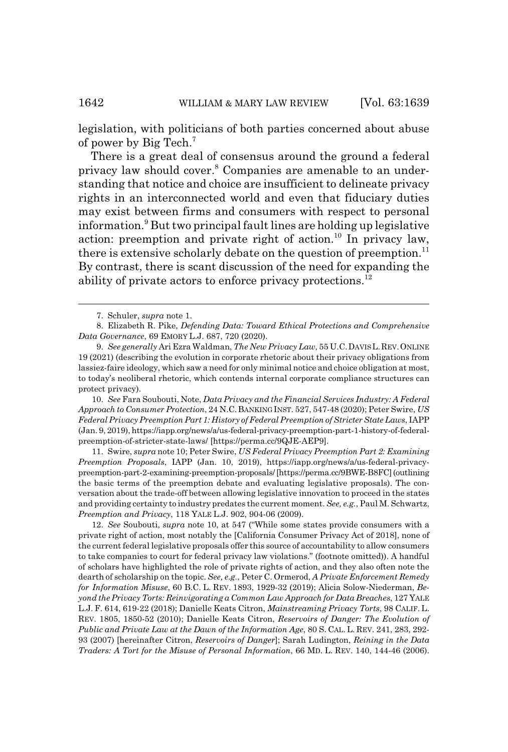legislation, with politicians of both parties concerned about abuse of power by Big Tech.7

There is a great deal of consensus around the ground a federal privacy law should cover.<sup>8</sup> Companies are amenable to an understanding that notice and choice are insufficient to delineate privacy rights in an interconnected world and even that fiduciary duties may exist between firms and consumers with respect to personal information.<sup>9</sup> But two principal fault lines are holding up legislative action: preemption and private right of action.<sup>10</sup> In privacy law, there is extensive scholarly debate on the question of preemption.<sup>11</sup> By contrast, there is scant discussion of the need for expanding the ability of private actors to enforce privacy protections.12

10. *See* Fara Soubouti, Note, *Data Privacy and the Financial Services Industry: A Federal Approach to Consumer Protection*, 24 N.C.BANKING INST. 527, 547-48 (2020); Peter Swire, *US Federal Privacy Preemption Part 1: History of Federal Preemption of Stricter State Laws*, IAPP (Jan. 9, 2019), https://iapp.org/news/a/us-federal-privacy-preemption-part-1-history-of-federalpreemption-of-stricter-state-laws/ [https://perma.cc/9QJE-AEP9].

11. Swire, *supra* note 10; Peter Swire, *US Federal Privacy Preemption Part 2: Examining Preemption Proposals*, IAPP (Jan. 10, 2019), https://iapp.org/news/a/us-federal-privacypreemption-part-2-examining-preemption-proposals/ [https://perma.cc/9BWE-B8FC] (outlining the basic terms of the preemption debate and evaluating legislative proposals). The conversation about the trade-off between allowing legislative innovation to proceed in the states and providing certainty to industry predates the current moment. *See, e.g.*, Paul M. Schwartz, *Preemption and Privacy*, 118 YALE L.J. 902, 904-06 (2009).

12. *See* Soubouti, *supra* note 10, at 547 ("While some states provide consumers with a private right of action, most notably the [California Consumer Privacy Act of 2018], none of the current federal legislative proposals offer this source of accountability to allow consumers to take companies to court for federal privacy law violations." (footnote omitted)). A handful of scholars have highlighted the role of private rights of action, and they also often note the dearth of scholarship on the topic. *See, e.g.*, Peter C. Ormerod, *A Private Enforcement Remedy for Information Misuse*, 60 B.C. L. REV. 1893, 1929-32 (2019); Alicia Solow-Niederman, *Beyond the Privacy Torts: Reinvigorating a Common Law Approach for Data Breaches*, 127 YALE L.J. F. 614, 619-22 (2018); Danielle Keats Citron, *Mainstreaming Privacy Torts*, 98 CALIF. L. REV. 1805, 1850-52 (2010); Danielle Keats Citron, *Reservoirs of Danger: The Evolution of Public and Private Law at the Dawn of the Information Age*, 80 S. CAL. L. REV. 241, 283, 292- 93 (2007) [hereinafter Citron, *Reservoirs of Danger*]; Sarah Ludington, *Reining in the Data Traders: A Tort for the Misuse of Personal Information*, 66 MD. L. REV. 140, 144-46 (2006).

<sup>7.</sup> Schuler, *supra* note 1.

<sup>8.</sup> Elizabeth R. Pike, *Defending Data: Toward Ethical Protections and Comprehensive Data Governance*, 69 EMORY L.J. 687, 720 (2020).

<sup>9.</sup> *See generally* Ari Ezra Waldman, *The New Privacy Law*, 55 U.C.DAVISL.REV.ONLINE 19 (2021) (describing the evolution in corporate rhetoric about their privacy obligations from lassiez-faire ideology, which saw a need for only minimal notice and choice obligation at most, to today's neoliberal rhetoric, which contends internal corporate compliance structures can protect privacy).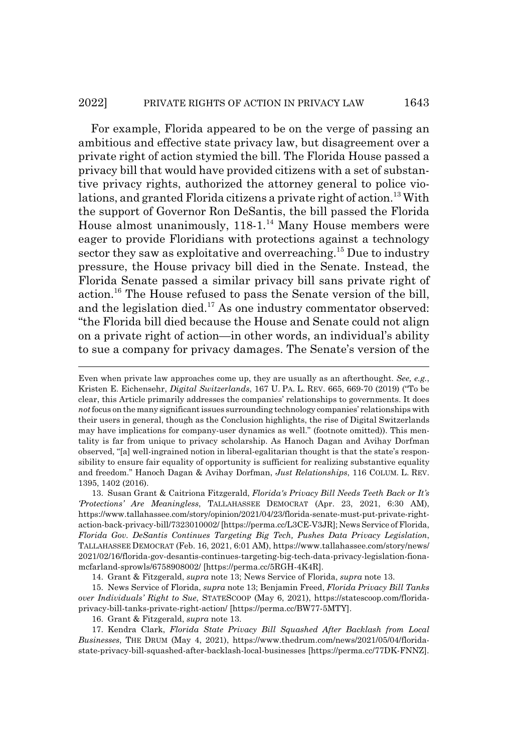#### 2022] PRIVATE RIGHTS OF ACTION IN PRIVACY LAW 1643

For example, Florida appeared to be on the verge of passing an ambitious and effective state privacy law, but disagreement over a private right of action stymied the bill. The Florida House passed a privacy bill that would have provided citizens with a set of substantive privacy rights, authorized the attorney general to police violations, and granted Florida citizens a private right of action.<sup>13</sup> With the support of Governor Ron DeSantis, the bill passed the Florida House almost unanimously, 118-1.<sup>14</sup> Many House members were eager to provide Floridians with protections against a technology sector they saw as exploitative and overreaching.<sup>15</sup> Due to industry pressure, the House privacy bill died in the Senate. Instead, the Florida Senate passed a similar privacy bill sans private right of action.16 The House refused to pass the Senate version of the bill, and the legislation died.<sup>17</sup> As one industry commentator observed: "the Florida bill died because the House and Senate could not align on a private right of action—in other words, an individual's ability to sue a company for privacy damages. The Senate's version of the

13. Susan Grant & Caitriona Fitzgerald, *Florida's Privacy Bill Needs Teeth Back or It's 'Protections' Are Meaningless*, TALLAHASSEE DEMOCRAT (Apr. 23, 2021, 6:30 AM), https://www.tallahassee.com/story/opinion/2021/04/23/florida-senate-must-put-private-rightaction-back-privacy-bill/7323010002/ [https://perma.cc/L3CE-V3JR]; News Service of Florida, *Florida Gov. DeSantis Continues Targeting Big Tech, Pushes Data Privacy Legislation*, TALLAHASSEE DEMOCRAT (Feb. 16, 2021, 6:01 AM), https://www.tallahassee.com/story/news/ 2021/02/16/florida-gov-desantis-continues-targeting-big-tech-data-privacy-legislation-fionamcfarland-sprowls/6758908002/ [https://perma.cc/5RGH-4K4R].

14. Grant & Fitzgerald, *supra* note 13; News Service of Florida, *supra* note 13.

15. News Service of Florida, *supra* note 13; Benjamin Freed, *Florida Privacy Bill Tanks over Individuals' Right to Sue*, STATESCOOP (May 6, 2021), https://statescoop.com/floridaprivacy-bill-tanks-private-right-action/ [https://perma.cc/BW77-5MTY].

16. Grant & Fitzgerald, *supra* note 13.

17. Kendra Clark, *Florida State Privacy Bill Squashed After Backlash from Local Businesses*, THE DRUM (May 4, 2021), https://www.thedrum.com/news/2021/05/04/floridastate-privacy-bill-squashed-after-backlash-local-businesses [https://perma.cc/77DK-FNNZ].

Even when private law approaches come up, they are usually as an afterthought. *See, e.g.*, Kristen E. Eichensehr, *Digital Switzerlands*, 167 U. PA. L. REV. 665, 669-70 (2019) ("To be clear, this Article primarily addresses the companies' relationships to governments. It does *not* focus on the many significant issues surrounding technology companies' relationships with their users in general, though as the Conclusion highlights, the rise of Digital Switzerlands may have implications for company-user dynamics as well." (footnote omitted)). This mentality is far from unique to privacy scholarship. As Hanoch Dagan and Avihay Dorfman observed, "[a] well-ingrained notion in liberal-egalitarian thought is that the state's responsibility to ensure fair equality of opportunity is sufficient for realizing substantive equality and freedom." Hanoch Dagan & Avihay Dorfman, *Just Relationships*, 116 COLUM. L. REV. 1395, 1402 (2016).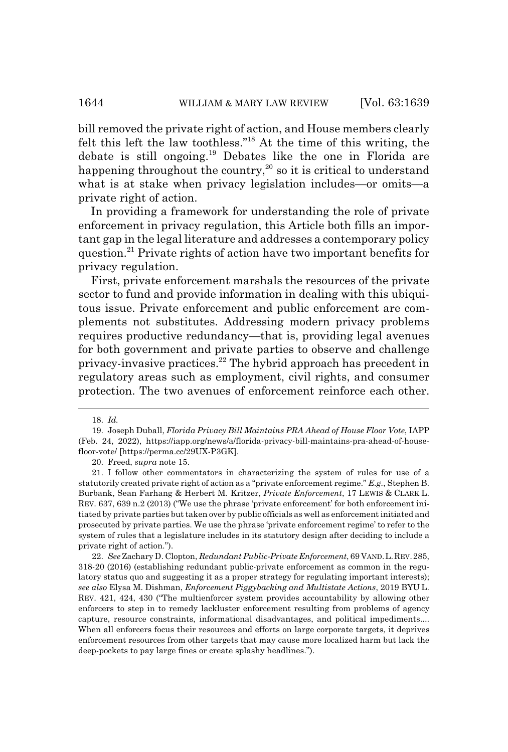bill removed the private right of action, and House members clearly felt this left the law toothless."18 At the time of this writing, the debate is still ongoing.19 Debates like the one in Florida are happening throughout the country,<sup>20</sup> so it is critical to understand what is at stake when privacy legislation includes—or omits—a private right of action.

In providing a framework for understanding the role of private enforcement in privacy regulation, this Article both fills an important gap in the legal literature and addresses a contemporary policy question.21 Private rights of action have two important benefits for privacy regulation.

First, private enforcement marshals the resources of the private sector to fund and provide information in dealing with this ubiquitous issue. Private enforcement and public enforcement are complements not substitutes. Addressing modern privacy problems requires productive redundancy—that is, providing legal avenues for both government and private parties to observe and challenge privacy-invasive practices.<sup>22</sup> The hybrid approach has precedent in regulatory areas such as employment, civil rights, and consumer protection. The two avenues of enforcement reinforce each other.

20. Freed, *supra* note 15.

<sup>18.</sup> *Id.*

<sup>19.</sup> Joseph Duball, *Florida Privacy Bill Maintains PRA Ahead of House Floor Vote*, IAPP (Feb. 24, 2022), https://iapp.org/news/a/florida-privacy-bill-maintains-pra-ahead-of-housefloor-vote/ [https://perma.cc/29UX-P3GK].

<sup>21.</sup> I follow other commentators in characterizing the system of rules for use of a statutorily created private right of action as a "private enforcement regime." *E.g.*, Stephen B. Burbank, Sean Farhang & Herbert M. Kritzer, *Private Enforcement*, 17 LEWIS & CLARK L. REV. 637, 639 n.2 (2013) ("We use the phrase 'private enforcement' for both enforcement initiated by private parties but taken over by public officials as well as enforcement initiated and prosecuted by private parties. We use the phrase 'private enforcement regime' to refer to the system of rules that a legislature includes in its statutory design after deciding to include a private right of action.").

<sup>22.</sup> *See* Zachary D. Clopton, *Redundant Public-Private Enforcement*, 69 VAND.L.REV.285, 318-20 (2016) (establishing redundant public-private enforcement as common in the regulatory status quo and suggesting it as a proper strategy for regulating important interests); *see also* Elysa M. Dishman, *Enforcement Piggybacking and Multistate Actions*, 2019 BYU L. REV. 421, 424, 430 ("The multienforcer system provides accountability by allowing other enforcers to step in to remedy lackluster enforcement resulting from problems of agency capture, resource constraints, informational disadvantages, and political impediments.... When all enforcers focus their resources and efforts on large corporate targets, it deprives enforcement resources from other targets that may cause more localized harm but lack the deep-pockets to pay large fines or create splashy headlines.").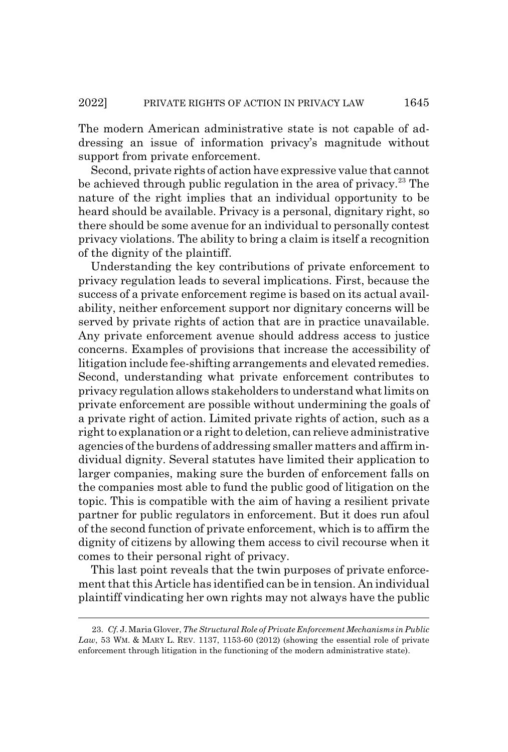The modern American administrative state is not capable of addressing an issue of information privacy's magnitude without support from private enforcement.

Second, private rights of action have expressive value that cannot be achieved through public regulation in the area of privacy.<sup>23</sup> The nature of the right implies that an individual opportunity to be heard should be available. Privacy is a personal, dignitary right, so there should be some avenue for an individual to personally contest privacy violations. The ability to bring a claim is itself a recognition of the dignity of the plaintiff.

Understanding the key contributions of private enforcement to privacy regulation leads to several implications. First, because the success of a private enforcement regime is based on its actual availability, neither enforcement support nor dignitary concerns will be served by private rights of action that are in practice unavailable. Any private enforcement avenue should address access to justice concerns. Examples of provisions that increase the accessibility of litigation include fee-shifting arrangements and elevated remedies. Second, understanding what private enforcement contributes to privacy regulation allows stakeholders to understand what limits on private enforcement are possible without undermining the goals of a private right of action. Limited private rights of action, such as a right to explanation or a right to deletion, can relieve administrative agencies of the burdens of addressing smaller matters and affirm individual dignity. Several statutes have limited their application to larger companies, making sure the burden of enforcement falls on the companies most able to fund the public good of litigation on the topic. This is compatible with the aim of having a resilient private partner for public regulators in enforcement. But it does run afoul of the second function of private enforcement, which is to affirm the dignity of citizens by allowing them access to civil recourse when it comes to their personal right of privacy.

This last point reveals that the twin purposes of private enforcement that this Article has identified can be in tension. An individual plaintiff vindicating her own rights may not always have the public

<sup>23.</sup> *Cf.* J. Maria Glover, *The Structural Role of Private Enforcement Mechanisms in Public* Law, 53 WM. & MARY L. REV. 1137, 1153-60 (2012) (showing the essential role of private enforcement through litigation in the functioning of the modern administrative state).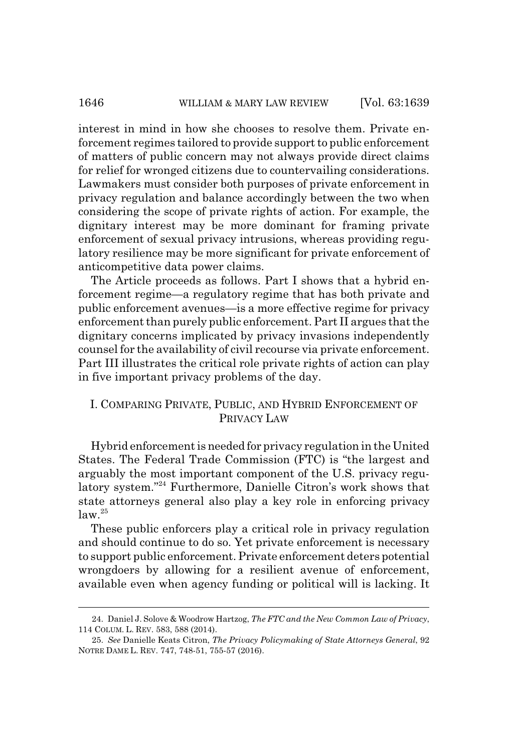interest in mind in how she chooses to resolve them. Private enforcement regimes tailored to provide support to public enforcement of matters of public concern may not always provide direct claims for relief for wronged citizens due to countervailing considerations. Lawmakers must consider both purposes of private enforcement in privacy regulation and balance accordingly between the two when considering the scope of private rights of action. For example, the dignitary interest may be more dominant for framing private enforcement of sexual privacy intrusions, whereas providing regulatory resilience may be more significant for private enforcement of anticompetitive data power claims.

The Article proceeds as follows. Part I shows that a hybrid enforcement regime—a regulatory regime that has both private and public enforcement avenues—is a more effective regime for privacy enforcement than purely public enforcement. Part II argues that the dignitary concerns implicated by privacy invasions independently counsel for the availability of civil recourse via private enforcement. Part III illustrates the critical role private rights of action can play in five important privacy problems of the day.

# I. COMPARING PRIVATE, PUBLIC, AND HYBRID ENFORCEMENT OF PRIVACY LAW

Hybrid enforcement is needed for privacy regulation in the United States. The Federal Trade Commission (FTC) is "the largest and arguably the most important component of the U.S. privacy regulatory system."24 Furthermore, Danielle Citron's work shows that state attorneys general also play a key role in enforcing privacy  $\log 25$ 

These public enforcers play a critical role in privacy regulation and should continue to do so. Yet private enforcement is necessary to support public enforcement. Private enforcement deters potential wrongdoers by allowing for a resilient avenue of enforcement, available even when agency funding or political will is lacking. It

<sup>24.</sup> Daniel J. Solove & Woodrow Hartzog, *The FTC and the New Common Law of Privacy*, 114 COLUM. L. REV. 583, 588 (2014).

<sup>25.</sup> *See* Danielle Keats Citron, *The Privacy Policymaking of State Attorneys General*, 92 NOTRE DAME L. REV. 747, 748-51, 755-57 (2016).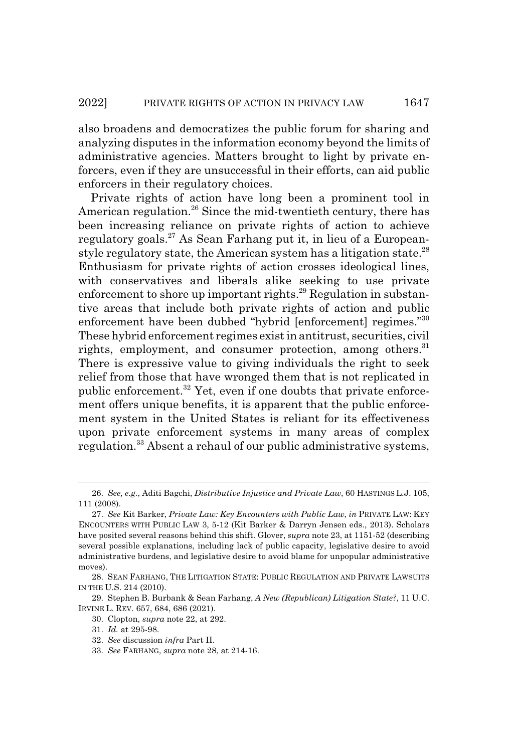also broadens and democratizes the public forum for sharing and analyzing disputes in the information economy beyond the limits of administrative agencies. Matters brought to light by private enforcers, even if they are unsuccessful in their efforts, can aid public enforcers in their regulatory choices.

Private rights of action have long been a prominent tool in American regulation.<sup>26</sup> Since the mid-twentieth century, there has been increasing reliance on private rights of action to achieve regulatory goals.<sup>27</sup> As Sean Farhang put it, in lieu of a Europeanstyle regulatory state, the American system has a litigation state. $^{28}$ Enthusiasm for private rights of action crosses ideological lines, with conservatives and liberals alike seeking to use private enforcement to shore up important rights.<sup>29</sup> Regulation in substantive areas that include both private rights of action and public enforcement have been dubbed "hybrid [enforcement] regimes."<sup>30</sup> These hybrid enforcement regimes exist in antitrust, securities, civil rights, employment, and consumer protection, among others.  $31$ There is expressive value to giving individuals the right to seek relief from those that have wronged them that is not replicated in public enforcement.32 Yet, even if one doubts that private enforcement offers unique benefits, it is apparent that the public enforcement system in the United States is reliant for its effectiveness upon private enforcement systems in many areas of complex regulation.<sup>33</sup> Absent a rehaul of our public administrative systems,

<sup>26.</sup> *See, e.g.*, Aditi Bagchi, *Distributive Injustice and Private Law*, 60 HASTINGS L.J. 105, 111 (2008).

<sup>27.</sup> *See* Kit Barker, *Private Law: Key Encounters with Public Law*, *in* PRIVATE LAW: KEY ENCOUNTERS WITH PUBLIC LAW 3, 5-12 (Kit Barker & Darryn Jensen eds., 2013). Scholars have posited several reasons behind this shift. Glover, *supra* note 23, at 1151-52 (describing several possible explanations, including lack of public capacity, legislative desire to avoid administrative burdens, and legislative desire to avoid blame for unpopular administrative moves).

<sup>28.</sup> SEAN FARHANG, THE LITIGATION STATE: PUBLIC REGULATION AND PRIVATE LAWSUITS IN THE U.S. 214 (2010).

<sup>29.</sup> Stephen B. Burbank & Sean Farhang, *A New (Republican) Litigation State?*, 11 U.C. IRVINE L. REV. 657, 684, 686 (2021).

<sup>30.</sup> Clopton, *supra* note 22, at 292.

<sup>31.</sup> *Id.* at 295-98.

<sup>32.</sup> *See* discussion *infra* Part II.

<sup>33.</sup> *See* FARHANG, *supra* note 28, at 214-16.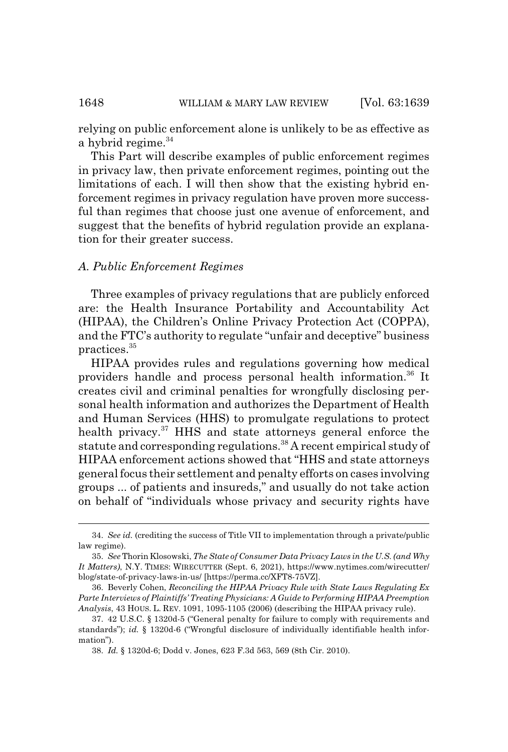relying on public enforcement alone is unlikely to be as effective as a hybrid regime. $34$ 

This Part will describe examples of public enforcement regimes in privacy law, then private enforcement regimes, pointing out the limitations of each. I will then show that the existing hybrid enforcement regimes in privacy regulation have proven more successful than regimes that choose just one avenue of enforcement, and suggest that the benefits of hybrid regulation provide an explanation for their greater success.

## *A. Public Enforcement Regimes*

Three examples of privacy regulations that are publicly enforced are: the Health Insurance Portability and Accountability Act (HIPAA), the Children's Online Privacy Protection Act (COPPA), and the FTC's authority to regulate "unfair and deceptive" business practices.35

HIPAA provides rules and regulations governing how medical providers handle and process personal health information.36 It creates civil and criminal penalties for wrongfully disclosing personal health information and authorizes the Department of Health and Human Services (HHS) to promulgate regulations to protect health privacy.<sup>37</sup> HHS and state attorneys general enforce the statute and corresponding regulations.<sup>38</sup> A recent empirical study of HIPAA enforcement actions showed that "HHS and state attorneys general focus their settlement and penalty efforts on cases involving groups ... of patients and insureds," and usually do not take action on behalf of "individuals whose privacy and security rights have

<sup>34.</sup> *See id.* (crediting the success of Title VII to implementation through a private/public law regime).

<sup>35.</sup> *See* Thorin Klosowski, *The State of Consumer Data Privacy Laws in the U.S. (and Why It Matters)*, N.Y. TIMES: WIRECUTTER (Sept. 6, 2021), https://www.nytimes.com/wirecutter/ blog/state-of-privacy-laws-in-us/ [https://perma.cc/XFT8-75VZ].

<sup>36.</sup> Beverly Cohen, *Reconciling the HIPAA Privacy Rule with State Laws Regulating Ex Parte Interviews of Plaintiffs' Treating Physicians: A Guide to Performing HIPAA Preemption Analysis*, 43 HOUS. L. REV. 1091, 1095-1105 (2006) (describing the HIPAA privacy rule).

<sup>37. 42</sup> U.S.C. § 1320d-5 ("General penalty for failure to comply with requirements and standards"); *id.* § 1320d-6 ("Wrongful disclosure of individually identifiable health information").

<sup>38.</sup> *Id.* § 1320d-6; Dodd v. Jones, 623 F.3d 563, 569 (8th Cir. 2010).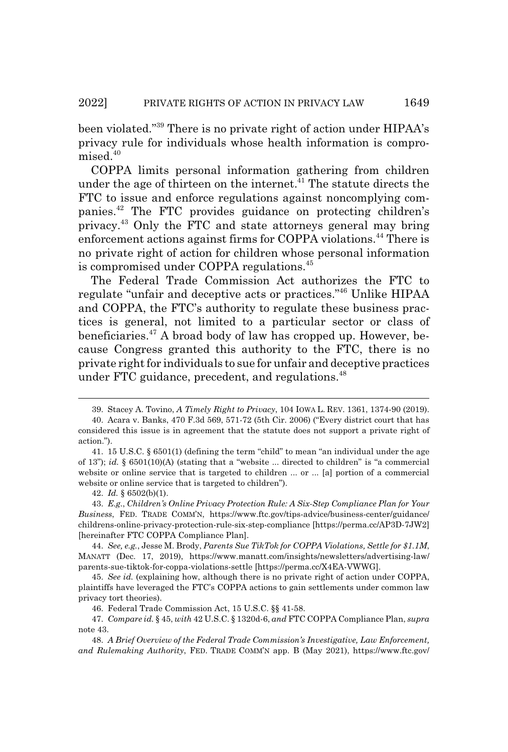been violated."39 There is no private right of action under HIPAA's privacy rule for individuals whose health information is compromised.<sup>40</sup>

COPPA limits personal information gathering from children under the age of thirteen on the internet.<sup>41</sup> The statute directs the FTC to issue and enforce regulations against noncomplying companies.42 The FTC provides guidance on protecting children's privacy.43 Only the FTC and state attorneys general may bring enforcement actions against firms for COPPA violations.44 There is no private right of action for children whose personal information is compromised under COPPA regulations.<sup>45</sup>

The Federal Trade Commission Act authorizes the FTC to regulate "unfair and deceptive acts or practices."46 Unlike HIPAA and COPPA, the FTC's authority to regulate these business practices is general, not limited to a particular sector or class of beneficiaries.<sup>47</sup> A broad body of law has cropped up. However, because Congress granted this authority to the FTC, there is no private right for individuals to sue for unfair and deceptive practices under FTC guidance, precedent, and regulations.<sup>48</sup>

<sup>39.</sup> Stacey A. Tovino, *A Timely Right to Privacy*, 104 IOWA L. REV. 1361, 1374-90 (2019).

<sup>40.</sup> Acara v. Banks, 470 F.3d 569, 571-72 (5th Cir. 2006) ("Every district court that has considered this issue is in agreement that the statute does not support a private right of action.").

<sup>41. 15</sup> U.S.C. § 6501(1) (defining the term "child" to mean "an individual under the age of 13"); *id.* § 6501(10)(A) (stating that a "website ... directed to children" is "a commercial website or online service that is targeted to children ... or ... [a] portion of a commercial website or online service that is targeted to children").

<sup>42.</sup> *Id.* § 6502(b)(1).

<sup>43.</sup> *E.g.*, *Children's Online Privacy Protection Rule: A Six-Step Compliance Plan for Your Business*, FED. TRADE COMM'N, https://www.ftc.gov/tips-advice/business-center/guidance/ childrens-online-privacy-protection-rule-six-step-compliance [https://perma.cc/AP3D-7JW2] [hereinafter FTC COPPA Compliance Plan].

<sup>44.</sup> *See, e.g.*, Jesse M. Brody, *Parents Sue TikTok for COPPA Violations, Settle for \$1.1M*, MANATT (Dec. 17, 2019), https://www.manatt.com/insights/newsletters/advertising-law/ parents-sue-tiktok-for-coppa-violations-settle [https://perma.cc/X4EA-VWWG].

<sup>45.</sup> *See id.* (explaining how, although there is no private right of action under COPPA, plaintiffs have leveraged the FTC's COPPA actions to gain settlements under common law privacy tort theories).

<sup>46.</sup> Federal Trade Commission Act, 15 U.S.C. §§ 41-58.

<sup>47.</sup> *Compare id.* § 45, *with* 42 U.S.C. § 1320d-6, *and* FTC COPPA Compliance Plan, *supra* note 43.

<sup>48.</sup> *A Brief Overview of the Federal Trade Commission's Investigative, Law Enforcement, and Rulemaking Authority*, FED. TRADE COMM'N app. B (May 2021), https://www.ftc.gov/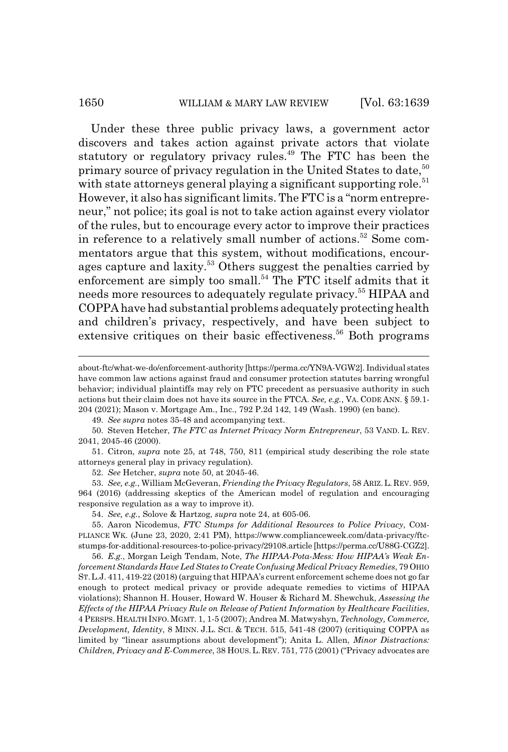#### 1650 WILLIAM & MARY LAW REVIEW [Vol. 63:1639]

Under these three public privacy laws, a government actor discovers and takes action against private actors that violate statutory or regulatory privacy rules.<sup>49</sup> The FTC has been the primary source of privacy regulation in the United States to date,<sup>50</sup> with state attorneys general playing a significant supporting role.<sup>51</sup> However, it also has significant limits. The FTC is a "norm entrepreneur," not police; its goal is not to take action against every violator of the rules, but to encourage every actor to improve their practices in reference to a relatively small number of actions.<sup>52</sup> Some commentators argue that this system, without modifications, encourages capture and laxity.<sup>53</sup> Others suggest the penalties carried by enforcement are simply too small.<sup>54</sup> The FTC itself admits that it needs more resources to adequately regulate privacy.55 HIPAA and COPPA have had substantial problems adequately protecting health and children's privacy, respectively, and have been subject to extensive critiques on their basic effectiveness.<sup>56</sup> Both programs

49. *See supra* notes 35-48 and accompanying text.

50. Steven Hetcher, *The FTC as Internet Privacy Norm Entrepreneur*, 53 VAND. L. REV. 2041, 2045-46 (2000).

51. Citron, *supra* note 25, at 748, 750, 811 (empirical study describing the role state attorneys general play in privacy regulation).

52. *See* Hetcher, *supra* note 50, at 2045-46.

53. *See, e.g.*, William McGeveran, *Friending the Privacy Regulators*, 58 ARIZ. L. REV. 959, 964 (2016) (addressing skeptics of the American model of regulation and encouraging responsive regulation as a way to improve it).

54. *See, e.g.*, Solove & Hartzog, *supra* note 24, at 605-06.

55. Aaron Nicodemus, *FTC Stumps for Additional Resources to Police Privacy*, COM-PLIANCE WK. (June 23, 2020, 2:41 PM), https://www.complianceweek.com/data-privacy/ftcstumps-for-additional-resources-to-police-privacy/29108.article [https://perma.cc/U88G-CGZ2].

56. *E.g.*, Morgan Leigh Tendam, Note, *The HIPAA-Pota-Mess: How HIPAA's Weak Enforcement Standards Have Led States to Create Confusing Medical Privacy Remedies*, 79 OHIO ST.L.J. 411, 419-22 (2018) (arguing that HIPAA's current enforcement scheme does not go far enough to protect medical privacy or provide adequate remedies to victims of HIPAA violations); Shannon H. Houser, Howard W. Houser & Richard M. Shewchuk, *Assessing the Effects of the HIPAA Privacy Rule on Release of Patient Information by Healthcare Facilities*, 4 PERSPS. HEALTH INFO. MGMT. 1, 1-5 (2007); Andrea M. Matwyshyn, *Technology, Commerce, Development, Identity*, 8 MINN. J.L. SCI.&TECH. 515, 541-48 (2007) (critiquing COPPA as limited by "linear assumptions about development"); Anita L. Allen, *Minor Distractions: Children, Privacy and E-Commerce*, 38 HOUS. L. REV. 751, 775 (2001) ("Privacy advocates are

about-ftc/what-we-do/enforcement-authority [https://perma.cc/YN9A-VGW2]. Individual states have common law actions against fraud and consumer protection statutes barring wrongful behavior; individual plaintiffs may rely on FTC precedent as persuasive authority in such actions but their claim does not have its source in the FTCA. *See, e.g.*, VA. CODE ANN. § 59.1- 204 (2021); Mason v. Mortgage Am., Inc., 792 P.2d 142, 149 (Wash. 1990) (en banc).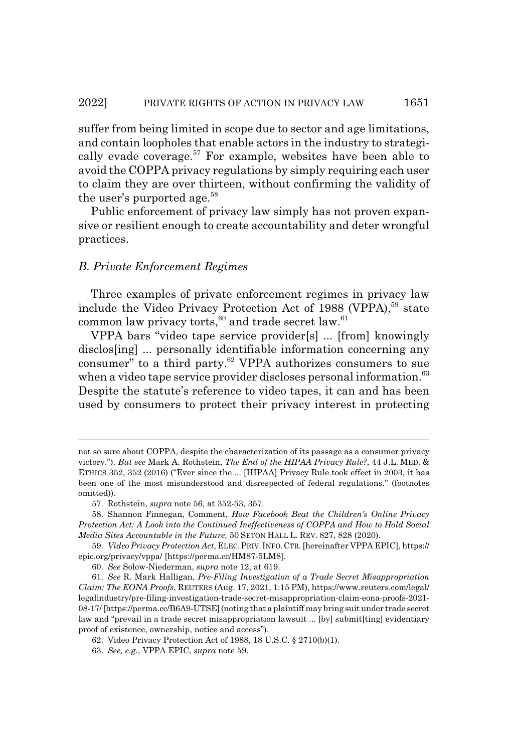suffer from being limited in scope due to sector and age limitations, and contain loopholes that enable actors in the industry to strategically evade coverage.<sup>57</sup> For example, websites have been able to avoid the COPPA privacy regulations by simply requiring each user to claim they are over thirteen, without confirming the validity of the user's purported age.<sup>58</sup>

Public enforcement of privacy law simply has not proven expansive or resilient enough to create accountability and deter wrongful practices.

## *B. Private Enforcement Regimes*

Three examples of private enforcement regimes in privacy law include the Video Privacy Protection Act of 1988 (VPPA),<sup>59</sup> state common law privacy torts,<sup>60</sup> and trade secret law.<sup>61</sup>

VPPA bars "video tape service provider[s] ... [from] knowingly disclos[ing] ... personally identifiable information concerning any consumer" to a third party.<sup>62</sup> VPPA authorizes consumers to sue when a video tape service provider discloses personal information.<sup>63</sup> Despite the statute's reference to video tapes, it can and has been used by consumers to protect their privacy interest in protecting

not so sure about COPPA, despite the characterization of its passage as a consumer privacy victory."). *But see* Mark A. Rothstein, *The End of the HIPAA Privacy Rule?*, 44 J.L. MED. & ETHICS 352, 352 (2016) ("Ever since the ... [HIPAA] Privacy Rule took effect in 2003, it has been one of the most misunderstood and disrespected of federal regulations." (footnotes omitted)).

<sup>57.</sup> Rothstein, *supra* note 56, at 352-53, 357.

<sup>58.</sup> Shannon Finnegan, Comment, *How Facebook Beat the Children's Online Privacy Protection Act: A Look into the Continued Ineffectiveness of COPPA and How to Hold Social Media Sites Accountable in the Future*, 50 SETON HALL L. REV. 827, 828 (2020).

<sup>59.</sup> *Video Privacy Protection Act*, ELEC.PRIV.INFO.CTR. [hereinafter VPPA EPIC], https:// epic.org/privacy/vppa/ [https://perma.cc/HM87-5LM8].

<sup>60.</sup> *See* Solow-Niederman, *supra* note 12, at 619.

<sup>61.</sup> *See* R. Mark Halligan, *Pre-Filing Investigation of a Trade Secret Misappropriation Claim: The EONA Proofs*, REUTERS (Aug. 17, 2021, 1:15 PM), https://www.reuters.com/legal/ legalindustry/pre-filing-investigation-trade-secret-misappropriation-claim-eona-proofs-2021- 08-17/ [https://perma.cc/B6A9-UTSE] (noting that a plaintiff may bring suit under trade secret law and "prevail in a trade secret misappropriation lawsuit ... [by] submit[ting] evidentiary proof of existence, ownership, notice and access").

<sup>62.</sup> Video Privacy Protection Act of 1988, 18 U.S.C. § 2710(b)(1).

<sup>63.</sup> *See, e.g.*, VPPA EPIC, *supra* note 59.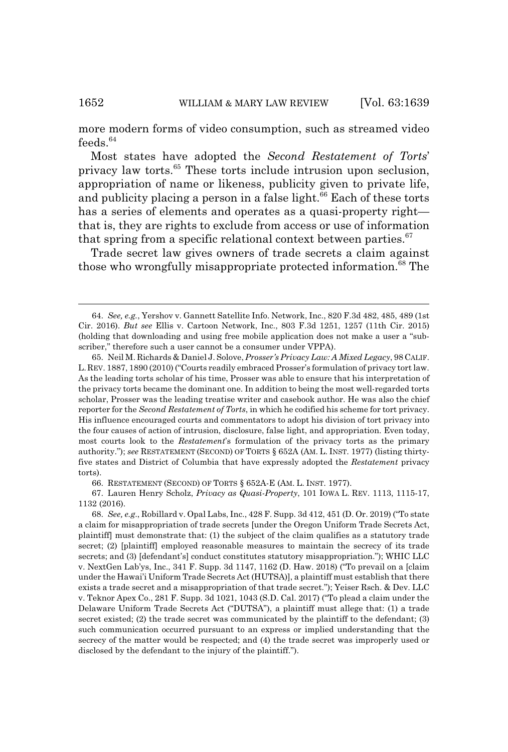more modern forms of video consumption, such as streamed video  $feedback.<sup>64</sup>$ 

Most states have adopted the *Second Restatement of Torts*' privacy law torts.65 These torts include intrusion upon seclusion, appropriation of name or likeness, publicity given to private life, and publicity placing a person in a false light.<sup>66</sup> Each of these torts has a series of elements and operates as a quasi-property right that is, they are rights to exclude from access or use of information that spring from a specific relational context between parties. $67$ 

Trade secret law gives owners of trade secrets a claim against those who wrongfully misappropriate protected information.<sup>68</sup> The

66. RESTATEMENT (SECOND) OF TORTS § 652A-E (AM. L. INST. 1977).

67. Lauren Henry Scholz, *Privacy as Quasi-Property*, 101 IOWA L. REV. 1113, 1115-17, 1132 (2016).

68. *See, e.g*., Robillard v. Opal Labs, Inc., 428 F. Supp. 3d 412, 451 (D. Or. 2019) ("To state a claim for misappropriation of trade secrets [under the Oregon Uniform Trade Secrets Act, plaintiff] must demonstrate that: (1) the subject of the claim qualifies as a statutory trade secret; (2) [plaintiff] employed reasonable measures to maintain the secrecy of its trade secrets; and (3) [defendant's] conduct constitutes statutory misappropriation."); WHIC LLC v. NextGen Lab'ys, Inc., 341 F. Supp. 3d 1147, 1162 (D. Haw. 2018) ("To prevail on a [claim under the Hawai'i Uniform Trade Secrets Act (HUTSA)], a plaintiff must establish that there exists a trade secret and a misappropriation of that trade secret."); Yeiser Rsch. & Dev. LLC v. Teknor Apex Co., 281 F. Supp. 3d 1021, 1043 (S.D. Cal. 2017) ("To plead a claim under the Delaware Uniform Trade Secrets Act ("DUTSA"), a plaintiff must allege that: (1) a trade secret existed; (2) the trade secret was communicated by the plaintiff to the defendant; (3) such communication occurred pursuant to an express or implied understanding that the secrecy of the matter would be respected; and (4) the trade secret was improperly used or disclosed by the defendant to the injury of the plaintiff.").

<sup>64.</sup> *See, e.g.*, Yershov v. Gannett Satellite Info. Network, Inc., 820 F.3d 482, 485, 489 (1st Cir. 2016). *But see* Ellis v. Cartoon Network, Inc., 803 F.3d 1251, 1257 (11th Cir. 2015) (holding that downloading and using free mobile application does not make a user a "subscriber," therefore such a user cannot be a consumer under VPPA).

<sup>65.</sup> Neil M. Richards & Daniel J. Solove, *Prosser's Privacy Law: A Mixed Legacy*, 98 CALIF. L.REV. 1887, 1890 (2010) ("Courts readily embraced Prosser's formulation of privacy tort law. As the leading torts scholar of his time, Prosser was able to ensure that his interpretation of the privacy torts became the dominant one. In addition to being the most well-regarded torts scholar, Prosser was the leading treatise writer and casebook author. He was also the chief reporter for the *Second Restatement of Torts*, in which he codified his scheme for tort privacy. His influence encouraged courts and commentators to adopt his division of tort privacy into the four causes of action of intrusion, disclosure, false light, and appropriation. Even today, most courts look to the *Restatement*'s formulation of the privacy torts as the primary authority."); *see* RESTATEMENT (SECOND) OF TORTS § 652A (AM. L. INST. 1977) (listing thirtyfive states and District of Columbia that have expressly adopted the *Restatement* privacy torts).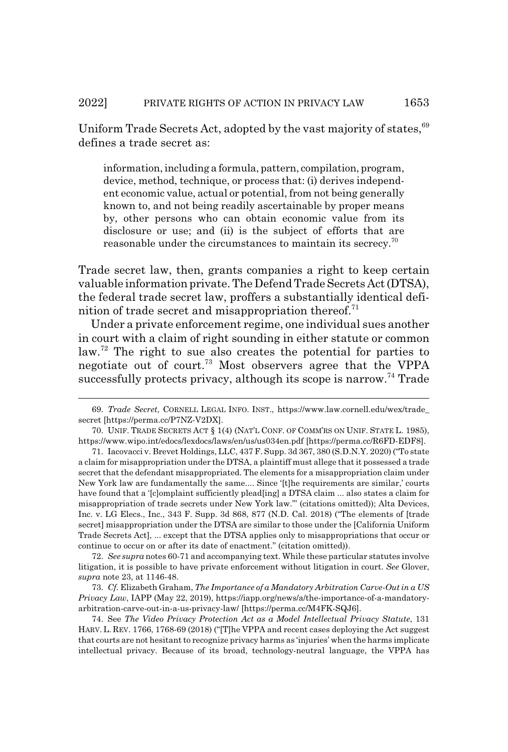Uniform Trade Secrets Act, adopted by the vast majority of states, <sup>69</sup> defines a trade secret as:

information, including a formula, pattern, compilation, program, device, method, technique, or process that: (i) derives independent economic value, actual or potential, from not being generally known to, and not being readily ascertainable by proper means by, other persons who can obtain economic value from its disclosure or use; and (ii) is the subject of efforts that are reasonable under the circumstances to maintain its secrecy.<sup>70</sup>

Trade secret law, then, grants companies a right to keep certain valuable information private. The Defend Trade Secrets Act (DTSA), the federal trade secret law, proffers a substantially identical definition of trade secret and misappropriation thereof.<sup>71</sup>

Under a private enforcement regime, one individual sues another in court with a claim of right sounding in either statute or common law.72 The right to sue also creates the potential for parties to negotiate out of court.<sup>73</sup> Most observers agree that the VPPA successfully protects privacy, although its scope is narrow.<sup>74</sup> Trade

72. *See supra* notes 60-71 and accompanying text. While these particular statutes involve litigation, it is possible to have private enforcement without litigation in court. *See* Glover, *supra* note 23, at 1146-48.

73. *Cf.* Elizabeth Graham, *The Importance of a Mandatory Arbitration Carve-Out in a US Privacy Law*, IAPP (May 22, 2019), https://iapp.org/news/a/the-importance-of-a-mandatoryarbitration-carve-out-in-a-us-privacy-law/ [https://perma.cc/M4FK-SQJ6].

<sup>69.</sup> *Trade Secret*, CORNELL LEGAL INFO. INST., https://www.law.cornell.edu/wex/trade\_ secret [https://perma.cc/P7NZ-V2DX].

<sup>70.</sup> UNIF. TRADE SECRETS ACT § 1(4) (NAT'L CONF. OF COMM'RS ON UNIF. STATE L. 1985), https://www.wipo.int/edocs/lexdocs/laws/en/us/us034en.pdf [https://perma.cc/R6FD-EDF8].

<sup>71.</sup> Iacovacci v. Brevet Holdings, LLC, 437 F. Supp. 3d 367, 380 (S.D.N.Y. 2020) ("To state a claim for misappropriation under the DTSA, a plaintiff must allege that it possessed a trade secret that the defendant misappropriated. The elements for a misappropriation claim under New York law are fundamentally the same.... Since '[t]he requirements are similar,' courts have found that a '[c]omplaint sufficiently plead[ing] a DTSA claim ... also states a claim for misappropriation of trade secrets under New York law.'" (citations omitted)); Alta Devices, Inc. v. LG Elecs., Inc., 343 F. Supp. 3d 868, 877 (N.D. Cal. 2018) ("The elements of [trade secret] misappropriation under the DTSA are similar to those under the [California Uniform Trade Secrets Act], ... except that the DTSA applies only to misappropriations that occur or continue to occur on or after its date of enactment." (citation omitted)).

<sup>74.</sup> See *The Video Privacy Protection Act as a Model Intellectual Privacy Statute*, 131 HARV. L. REV. 1766, 1768-69 (2018) ("[T]he VPPA and recent cases deploying the Act suggest that courts are not hesitant to recognize privacy harms as 'injuries' when the harms implicate intellectual privacy. Because of its broad, technology-neutral language, the VPPA has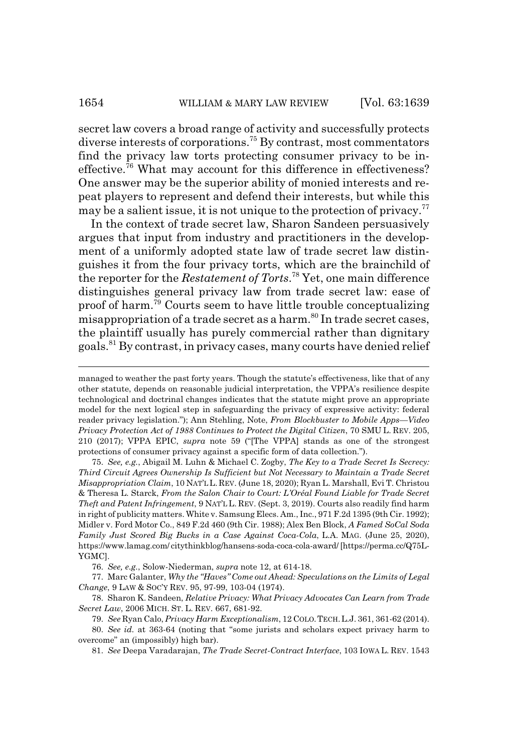secret law covers a broad range of activity and successfully protects diverse interests of corporations.75 By contrast, most commentators find the privacy law torts protecting consumer privacy to be ineffective.76 What may account for this difference in effectiveness? One answer may be the superior ability of monied interests and repeat players to represent and defend their interests, but while this may be a salient issue, it is not unique to the protection of privacy.<sup>77</sup>

In the context of trade secret law, Sharon Sandeen persuasively argues that input from industry and practitioners in the development of a uniformly adopted state law of trade secret law distinguishes it from the four privacy torts, which are the brainchild of the reporter for the *Restatement of Torts*. 78 Yet, one main difference distinguishes general privacy law from trade secret law: ease of proof of harm.79 Courts seem to have little trouble conceptualizing misappropriation of a trade secret as a harm.<sup>80</sup> In trade secret cases, the plaintiff usually has purely commercial rather than dignitary goals.81 By contrast, in privacy cases, many courts have denied relief

75. *See, e.g.*, Abigail M. Luhn & Michael C. Zogby, *The Key to a Trade Secret Is Secrecy: Third Circuit Agrees Ownership Is Sufficient but Not Necessary to Maintain a Trade Secret Misappropriation Claim*, 10 NAT'L L. REV. (June 18, 2020); Ryan L. Marshall, Evi T. Christou & Theresa L. Starck, *From the Salon Chair to Court: L'Oréal Found Liable for Trade Secret Theft and Patent Infringement*, 9 NAT'L L. REV. (Sept. 3, 2019). Courts also readily find harm in right of publicity matters. White v. Samsung Elecs. Am., Inc., 971 F.2d 1395 (9th Cir. 1992); Midler v. Ford Motor Co., 849 F.2d 460 (9th Cir. 1988); Alex Ben Block, *A Famed SoCal Soda Family Just Scored Big Bucks in a Case Against Coca-Cola*, L.A. MAG. (June 25, 2020), https://www.lamag.com/ citythinkblog/hansens-soda-coca-cola-award/ [https://perma.cc/Q75L-YGMC].

76. *See, e.g.*, Solow-Niederman, *supra* note 12, at 614-18.

77. Marc Galanter, *Why the "Haves" Come out Ahead: Speculations on the Limits of Legal Change*, 9 LAW & SOC'Y REV. 95, 97-99, 103-04 (1974).

78. Sharon K. Sandeen, *Relative Privacy: What Privacy Advocates Can Learn from Trade Secret Law*, 2006 MICH. ST. L. REV. 667, 681-92.

79. *See* Ryan Calo, *Privacy Harm Exceptionalism*, 12 COLO.TECH.L.J. 361, 361-62 (2014).

80. *See id.* at 363-64 (noting that "some jurists and scholars expect privacy harm to overcome" an (impossibly) high bar).

81. *See* Deepa Varadarajan, *The Trade Secret-Contract Interface*, 103 IOWA L. REV. 1543

managed to weather the past forty years. Though the statute's effectiveness, like that of any other statute, depends on reasonable judicial interpretation, the VPPA's resilience despite technological and doctrinal changes indicates that the statute might prove an appropriate model for the next logical step in safeguarding the privacy of expressive activity: federal reader privacy legislation."); Ann Stehling, Note, *From Blockbuster to Mobile Apps—Video Privacy Protection Act of 1988 Continues to Protect the Digital Citizen*, 70 SMU L. REV. 205, 210 (2017); VPPA EPIC, *supra* note 59 ("[The VPPA] stands as one of the strongest protections of consumer privacy against a specific form of data collection.").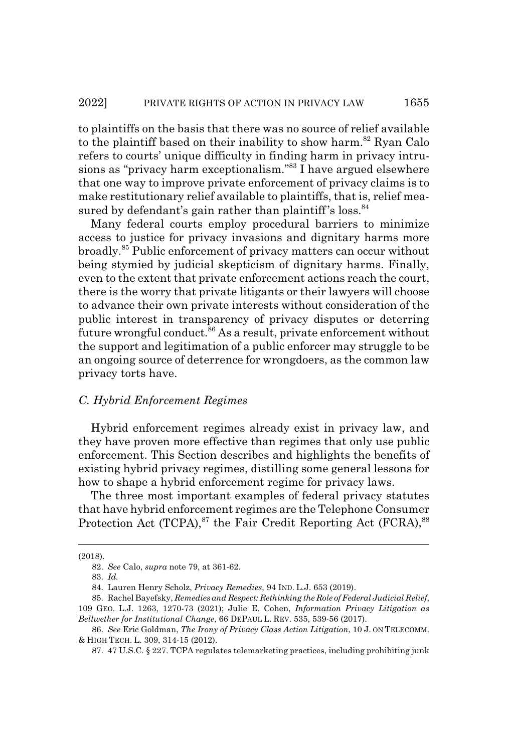to plaintiffs on the basis that there was no source of relief available to the plaintiff based on their inability to show harm.<sup>82</sup> Ryan Calo refers to courts' unique difficulty in finding harm in privacy intrusions as "privacy harm exceptionalism."83 I have argued elsewhere that one way to improve private enforcement of privacy claims is to make restitutionary relief available to plaintiffs, that is, relief measured by defendant's gain rather than plaintiff's loss. $84$ 

Many federal courts employ procedural barriers to minimize access to justice for privacy invasions and dignitary harms more broadly.85 Public enforcement of privacy matters can occur without being stymied by judicial skepticism of dignitary harms. Finally, even to the extent that private enforcement actions reach the court, there is the worry that private litigants or their lawyers will choose to advance their own private interests without consideration of the public interest in transparency of privacy disputes or deterring future wrongful conduct.<sup>86</sup> As a result, private enforcement without the support and legitimation of a public enforcer may struggle to be an ongoing source of deterrence for wrongdoers, as the common law privacy torts have.

#### *C. Hybrid Enforcement Regimes*

Hybrid enforcement regimes already exist in privacy law, and they have proven more effective than regimes that only use public enforcement. This Section describes and highlights the benefits of existing hybrid privacy regimes, distilling some general lessons for how to shape a hybrid enforcement regime for privacy laws.

The three most important examples of federal privacy statutes that have hybrid enforcement regimes are the Telephone Consumer Protection Act (TCPA), $87$  the Fair Credit Reporting Act (FCRA), $88$ 

<sup>(2018).</sup>

<sup>82.</sup> *See* Calo, *supra* note 79, at 361-62.

<sup>83.</sup> *Id.*

<sup>84.</sup> Lauren Henry Scholz, *Privacy Remedies*, 94 IND. L.J. 653 (2019).

<sup>85.</sup> Rachel Bayefsky, *Remedies and Respect: Rethinking the Role of Federal Judicial Relief*, 109 GEO. L.J. 1263, 1270-73 (2021); Julie E. Cohen, *Information Privacy Litigation as Bellwether for Institutional Change*, 66 DEPAUL L. REV. 535, 539-56 (2017).

<sup>86.</sup> *See* Eric Goldman, *The Irony of Privacy Class Action Litigation*, 10 J. ON TELECOMM. & HIGH TECH. L. 309, 314-15 (2012).

<sup>87. 47</sup> U.S.C. § 227. TCPA regulates telemarketing practices, including prohibiting junk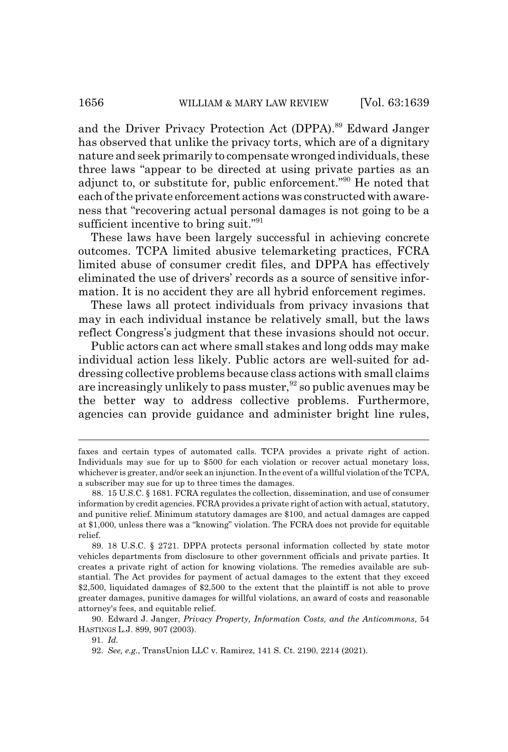and the Driver Privacy Protection Act (DPPA).<sup>89</sup> Edward Janger has observed that unlike the privacy torts, which are of a dignitary nature and seek primarily to compensate wronged individuals, these three laws "appear to be directed at using private parties as an adjunct to, or substitute for, public enforcement."90 He noted that each of the private enforcement actions was constructed with awareness that "recovering actual personal damages is not going to be a sufficient incentive to bring suit."<sup>91</sup>

These laws have been largely successful in achieving concrete outcomes. TCPA limited abusive telemarketing practices, FCRA limited abuse of consumer credit files, and DPPA has effectively eliminated the use of drivers' records as a source of sensitive information. It is no accident they are all hybrid enforcement regimes.

These laws all protect individuals from privacy invasions that may in each individual instance be relatively small, but the laws reflect Congress's judgment that these invasions should not occur.

Public actors can act where small stakes and long odds may make individual action less likely. Public actors are well-suited for addressing collective problems because class actions with small claims are increasingly unlikely to pass muster,<sup>92</sup> so public avenues may be the better way to address collective problems. Furthermore, agencies can provide guidance and administer bright line rules,

90. Edward J. Janger, *Privacy Property, Information Costs, and the Anticommons*, 54 HASTINGS L.J. 899, 907 (2003).

91. *Id.*

faxes and certain types of automated calls. TCPA provides a private right of action. Individuals may sue for up to \$500 for each violation or recover actual monetary loss, whichever is greater, and/or seek an injunction. In the event of a willful violation of the TCPA, a subscriber may sue for up to three times the damages.

<sup>88. 15</sup> U.S.C. § 1681. FCRA regulates the collection, dissemination, and use of consumer information by credit agencies. FCRA provides a private right of action with actual, statutory, and punitive relief. Minimum statutory damages are \$100, and actual damages are capped at \$1,000, unless there was a "knowing" violation. The FCRA does not provide for equitable relief.

<sup>89. 18</sup> U.S.C. § 2721. DPPA protects personal information collected by state motor vehicles departments from disclosure to other government officials and private parties. It creates a private right of action for knowing violations. The remedies available are substantial. The Act provides for payment of actual damages to the extent that they exceed \$2,500, liquidated damages of \$2,500 to the extent that the plaintiff is not able to prove greater damages, punitive damages for willful violations, an award of costs and reasonable attorney's fees, and equitable relief.

<sup>92.</sup> *See, e.g.*, TransUnion LLC v. Ramirez, 141 S. Ct. 2190, 2214 (2021).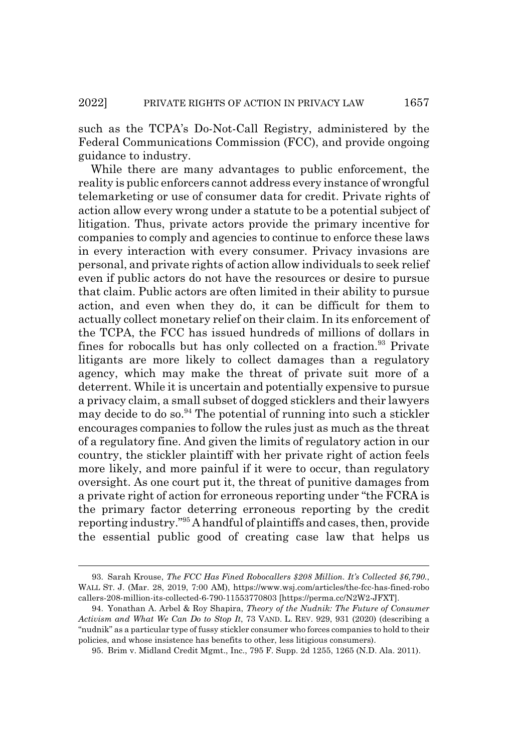such as the TCPA's Do-Not-Call Registry, administered by the Federal Communications Commission (FCC), and provide ongoing guidance to industry.

While there are many advantages to public enforcement, the reality is public enforcers cannot address every instance of wrongful telemarketing or use of consumer data for credit. Private rights of action allow every wrong under a statute to be a potential subject of litigation. Thus, private actors provide the primary incentive for companies to comply and agencies to continue to enforce these laws in every interaction with every consumer. Privacy invasions are personal, and private rights of action allow individuals to seek relief even if public actors do not have the resources or desire to pursue that claim. Public actors are often limited in their ability to pursue action, and even when they do, it can be difficult for them to actually collect monetary relief on their claim. In its enforcement of the TCPA, the FCC has issued hundreds of millions of dollars in fines for robocalls but has only collected on a fraction.<sup>93</sup> Private litigants are more likely to collect damages than a regulatory agency, which may make the threat of private suit more of a deterrent. While it is uncertain and potentially expensive to pursue a privacy claim, a small subset of dogged sticklers and their lawyers may decide to do so. $94$  The potential of running into such a stickler encourages companies to follow the rules just as much as the threat of a regulatory fine. And given the limits of regulatory action in our country, the stickler plaintiff with her private right of action feels more likely, and more painful if it were to occur, than regulatory oversight. As one court put it, the threat of punitive damages from a private right of action for erroneous reporting under "the FCRA is the primary factor deterring erroneous reporting by the credit reporting industry."95 A handful of plaintiffs and cases, then, provide the essential public good of creating case law that helps us

<sup>93.</sup> Sarah Krouse, *The FCC Has Fined Robocallers \$208 Million. It's Collected \$6,790.*, WALL ST. J. (Mar. 28, 2019, 7:00 AM), https://www.wsj.com/articles/the-fcc-has-fined-robo callers-208-million-its-collected-6-790-11553770803 [https://perma.cc/N2W2-JFXT].

<sup>94.</sup> Yonathan A. Arbel & Roy Shapira, *Theory of the Nudnik: The Future of Consumer Activism and What We Can Do to Stop It*, 73 VAND. L. REV. 929, 931 (2020) (describing a "nudnik" as a particular type of fussy stickler consumer who forces companies to hold to their policies, and whose insistence has benefits to other, less litigious consumers).

<sup>95.</sup> Brim v. Midland Credit Mgmt., Inc., 795 F. Supp. 2d 1255, 1265 (N.D. Ala. 2011).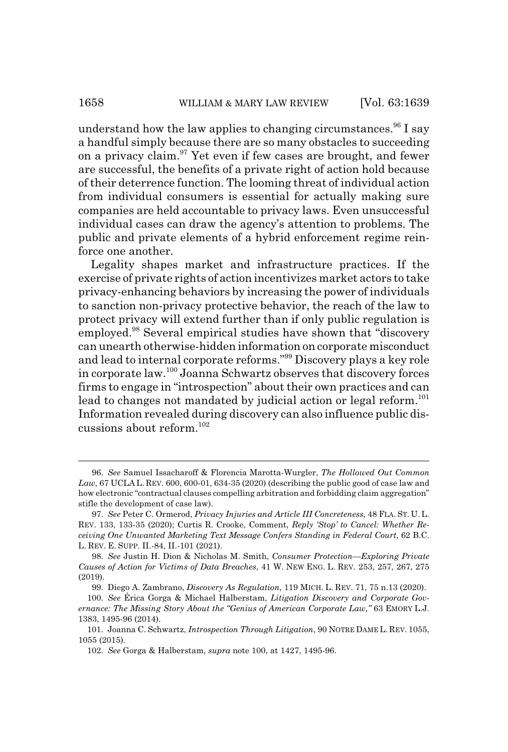understand how the law applies to changing circumstances.<sup>96</sup> I say a handful simply because there are so many obstacles to succeeding on a privacy claim. $97$  Yet even if few cases are brought, and fewer are successful, the benefits of a private right of action hold because of their deterrence function. The looming threat of individual action from individual consumers is essential for actually making sure companies are held accountable to privacy laws. Even unsuccessful individual cases can draw the agency's attention to problems. The public and private elements of a hybrid enforcement regime reinforce one another.

Legality shapes market and infrastructure practices. If the exercise of private rights of action incentivizes market actors to take privacy-enhancing behaviors by increasing the power of individuals to sanction non-privacy protective behavior, the reach of the law to protect privacy will extend further than if only public regulation is employed.98 Several empirical studies have shown that "discovery can unearth otherwise-hidden information on corporate misconduct and lead to internal corporate reforms."99 Discovery plays a key role in corporate law.100 Joanna Schwartz observes that discovery forces firms to engage in "introspection" about their own practices and can lead to changes not mandated by judicial action or legal reform.<sup>101</sup> Information revealed during discovery can also influence public discussions about reform. $102$ 

<sup>96.</sup> *See* Samuel Issacharoff & Florencia Marotta-Wurgler, *The Hollowed Out Common Law*, 67 UCLA L. REV. 600, 600-01, 634-35 (2020) (describing the public good of case law and how electronic "contractual clauses compelling arbitration and forbidding claim aggregation" stifle the development of case law).

<sup>97.</sup> *See* Peter C. Ormerod, *Privacy Injuries and Article III Concreteness*, 48 FLA. ST. U. L. REV. 133, 133-35 (2020); Curtis R. Crooke, Comment, *Reply 'Stop' to Cancel: Whether Receiving One Unwanted Marketing Text Message Confers Standing in Federal Court*, 62 B.C. L. REV. E. SUPP. II.-84, II.-101 (2021).

<sup>98.</sup> *See* Justin H. Dion & Nicholas M. Smith, *Consumer Protection—Exploring Private Causes of Action for Victims of Data Breaches*, 41 W. NEW ENG. L. REV. 253, 257, 267, 275 (2019).

<sup>99.</sup> Diego A. Zambrano, *Discovery As Regulation*, 119 MICH. L. REV. 71, 75 n.13 (2020).

<sup>100.</sup> *See* Érica Gorga & Michael Halberstam, *Litigation Discovery and Corporate Governance: The Missing Story About the "Genius of American Corporate Law*,*"* 63 EMORY L.J. 1383, 1495-96 (2014).

<sup>101.</sup> Joanna C. Schwartz, *Introspection Through Litigation*, 90 NOTRE DAME L. REV. 1055, 1055 (2015).

<sup>102.</sup> *See* Gorga & Halberstam, *supra* note 100, at 1427, 1495-96.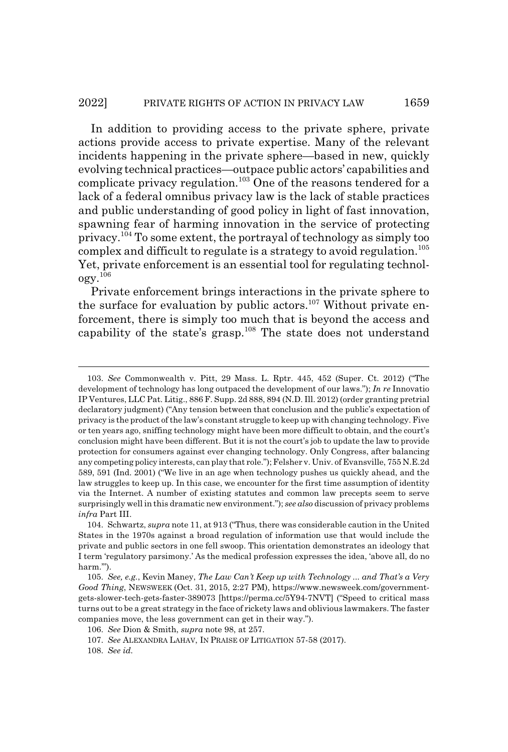#### 2022] PRIVATE RIGHTS OF ACTION IN PRIVACY LAW 1659

In addition to providing access to the private sphere, private actions provide access to private expertise. Many of the relevant incidents happening in the private sphere—based in new, quickly evolving technical practices—outpace public actors' capabilities and complicate privacy regulation.103 One of the reasons tendered for a lack of a federal omnibus privacy law is the lack of stable practices and public understanding of good policy in light of fast innovation, spawning fear of harming innovation in the service of protecting privacy.104 To some extent, the portrayal of technology as simply too complex and difficult to regulate is a strategy to avoid regulation.<sup>105</sup> Yet, private enforcement is an essential tool for regulating technol- $0$ gy. $^{106}$ 

Private enforcement brings interactions in the private sphere to the surface for evaluation by public actors.<sup>107</sup> Without private enforcement, there is simply too much that is beyond the access and capability of the state's grasp.<sup>108</sup> The state does not understand

<sup>103.</sup> *See* Commonwealth v. Pitt, 29 Mass. L. Rptr. 445, 452 (Super. Ct. 2012) ("The development of technology has long outpaced the development of our laws."); *In re* Innovatio IP Ventures, LLC Pat. Litig., 886 F. Supp. 2d 888, 894 (N.D. Ill. 2012) (order granting pretrial declaratory judgment) ("Any tension between that conclusion and the public's expectation of privacy is the product of the law's constant struggle to keep up with changing technology. Five or ten years ago, sniffing technology might have been more difficult to obtain, and the court's conclusion might have been different. But it is not the court's job to update the law to provide protection for consumers against ever changing technology. Only Congress, after balancing any competing policy interests, can play that role."); Felsher v. Univ. of Evansville, 755 N.E.2d 589, 591 (Ind. 2001) ("We live in an age when technology pushes us quickly ahead, and the law struggles to keep up. In this case, we encounter for the first time assumption of identity via the Internet. A number of existing statutes and common law precepts seem to serve surprisingly well in this dramatic new environment."); *see also* discussion of privacy problems *infra* Part III.

<sup>104.</sup> Schwartz, *supra* note 11, at 913 ("Thus, there was considerable caution in the United States in the 1970s against a broad regulation of information use that would include the private and public sectors in one fell swoop. This orientation demonstrates an ideology that I term 'regulatory parsimony.' As the medical profession expresses the idea, 'above all, do no harm.").

<sup>105.</sup> *See, e.g.*, Kevin Maney, *The Law Can't Keep up with Technology ... and That's a Very Good Thing*, NEWSWEEK (Oct. 31, 2015, 2:27 PM), https://www.newsweek.com/governmentgets-slower-tech-gets-faster-389073 [https://perma.cc/5Y94-7NVT] ("Speed to critical mass turns out to be a great strategy in the face of rickety laws and oblivious lawmakers. The faster companies move, the less government can get in their way.").

<sup>106.</sup> *See* Dion & Smith, *supra* note 98, at 257.

<sup>107.</sup> *See* ALEXANDRA LAHAV, IN PRAISE OF LITIGATION 57-58 (2017).

<sup>108.</sup> *See id.*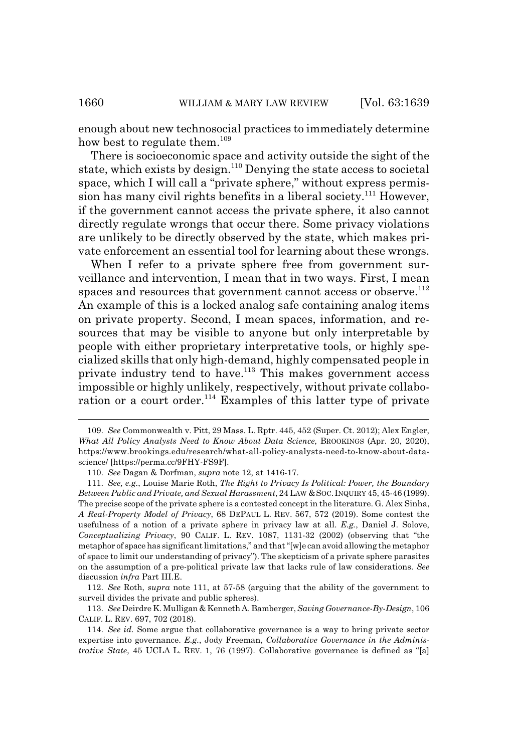enough about new technosocial practices to immediately determine how best to regulate them.<sup>109</sup>

There is socioeconomic space and activity outside the sight of the state, which exists by design.<sup>110</sup> Denying the state access to societal space, which I will call a "private sphere," without express permission has many civil rights benefits in a liberal society.<sup>111</sup> However, if the government cannot access the private sphere, it also cannot directly regulate wrongs that occur there. Some privacy violations are unlikely to be directly observed by the state, which makes private enforcement an essential tool for learning about these wrongs.

When I refer to a private sphere free from government surveillance and intervention, I mean that in two ways. First, I mean spaces and resources that government cannot access or observe.<sup>112</sup> An example of this is a locked analog safe containing analog items on private property. Second, I mean spaces, information, and resources that may be visible to anyone but only interpretable by people with either proprietary interpretative tools, or highly specialized skills that only high-demand, highly compensated people in private industry tend to have.<sup>113</sup> This makes government access impossible or highly unlikely, respectively, without private collaboration or a court order.<sup>114</sup> Examples of this latter type of private

<sup>109.</sup> *See* Commonwealth v. Pitt, 29 Mass. L. Rptr. 445, 452 (Super. Ct. 2012); Alex Engler, *What All Policy Analysts Need to Know About Data Science*, BROOKINGS (Apr. 20, 2020), https://www.brookings.edu/research/what-all-policy-analysts-need-to-know-about-datascience/ [https://perma.cc/9FHY-FS9F].

<sup>110.</sup> *See* Dagan & Dorfman, *supra* note 12, at 1416-17.

<sup>111.</sup> *See, e.g.*, Louise Marie Roth, *The Right to Privacy Is Political: Power, the Boundary Between Public and Private, and Sexual Harassment*, 24 LAW &SOC.INQUIRY 45, 45-46 (1999). The precise scope of the private sphere is a contested concept in the literature. G. Alex Sinha, *A Real-Property Model of Privacy*, 68 DEPAUL L. REV. 567, 572 (2019). Some contest the usefulness of a notion of a private sphere in privacy law at all. *E.g.*, Daniel J. Solove, *Conceptualizing Privacy*, 90 CALIF. L. REV. 1087, 1131-32 (2002) (observing that "the metaphor of space has significant limitations," and that "[w]e can avoid allowing the metaphor of space to limit our understanding of privacy"). The skepticism of a private sphere parasites on the assumption of a pre-political private law that lacks rule of law considerations. *See* discussion *infra* Part III.E.

<sup>112.</sup> *See* Roth, *supra* note 111, at 57-58 (arguing that the ability of the government to surveil divides the private and public spheres).

<sup>113.</sup> *See* Deirdre K. Mulligan & Kenneth A. Bamberger, *Saving Governance-By-Design*, 106 CALIF. L. REV. 697, 702 (2018).

<sup>114.</sup> *See id.* Some argue that collaborative governance is a way to bring private sector expertise into governance. *E.g.*, Jody Freeman, *Collaborative Governance in the Administrative State*, 45 UCLA L. REV. 1, 76 (1997). Collaborative governance is defined as "[a]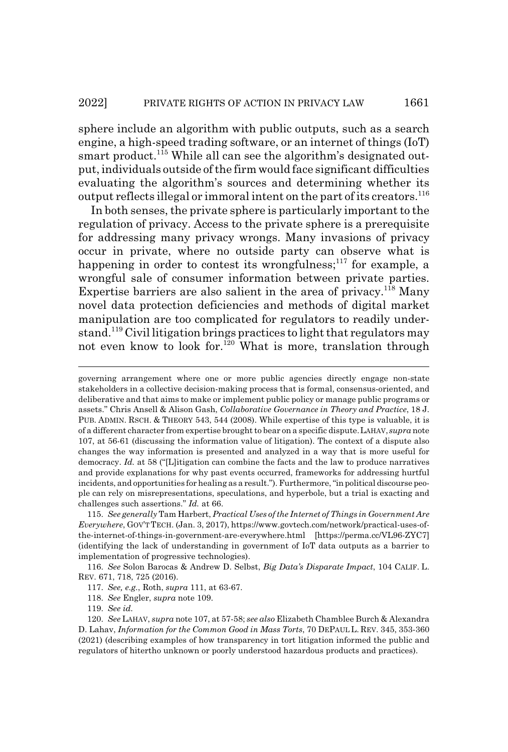sphere include an algorithm with public outputs, such as a search engine, a high-speed trading software, or an internet of things (IoT) smart product.<sup>115</sup> While all can see the algorithm's designated output, individuals outside of the firm would face significant difficulties evaluating the algorithm's sources and determining whether its output reflects illegal or immoral intent on the part of its creators.<sup>116</sup>

In both senses, the private sphere is particularly important to the regulation of privacy. Access to the private sphere is a prerequisite for addressing many privacy wrongs. Many invasions of privacy occur in private, where no outside party can observe what is happening in order to contest its wrongfulness; $^{117}$  for example, a wrongful sale of consumer information between private parties. Expertise barriers are also salient in the area of privacy.<sup>118</sup> Many novel data protection deficiencies and methods of digital market manipulation are too complicated for regulators to readily understand.119 Civil litigation brings practices to light that regulators may not even know to look for.<sup>120</sup> What is more, translation through

governing arrangement where one or more public agencies directly engage non-state stakeholders in a collective decision-making process that is formal, consensus-oriented, and deliberative and that aims to make or implement public policy or manage public programs or assets." Chris Ansell & Alison Gash, *Collaborative Governance in Theory and Practice*, 18 J. PUB. ADMIN. RSCH. & THEORY 543, 544 (2008). While expertise of this type is valuable, it is of a different character from expertise brought to bear on a specific dispute.LAHAV, *supra* note 107, at 56-61 (discussing the information value of litigation). The context of a dispute also changes the way information is presented and analyzed in a way that is more useful for democracy. *Id.* at 58 ("[L]itigation can combine the facts and the law to produce narratives and provide explanations for why past events occurred, frameworks for addressing hurtful incidents, and opportunities for healing as a result."). Furthermore, "in political discourse people can rely on misrepresentations, speculations, and hyperbole, but a trial is exacting and challenges such assertions." *Id.* at 66.

<sup>115.</sup> *See generally* Tam Harbert, *Practical Uses of the Internet of Things in Government Are Everywhere*, GOV'T TECH. (Jan. 3, 2017), https://www.govtech.com/network/practical-uses-ofthe-internet-of-things-in-government-are-everywhere.html [https://perma.cc/VL96-ZYC7] (identifying the lack of understanding in government of IoT data outputs as a barrier to implementation of progressive technologies).

<sup>116.</sup> *See* Solon Barocas & Andrew D. Selbst, *Big Data's Disparate Impact*, 104 CALIF. L. REV. 671, 718, 725 (2016).

<sup>117.</sup> *See, e.g.*, Roth, *supra* 111, at 63-67.

<sup>118.</sup> *See* Engler, *supra* note 109.

<sup>119.</sup> *See id.*

<sup>120.</sup> *See* LAHAV, *supra* note 107, at 57-58; *see also* Elizabeth Chamblee Burch & Alexandra D. Lahav, *Information for the Common Good in Mass Torts*, 70 DEPAUL L. REV. 345, 353-360 (2021) (describing examples of how transparency in tort litigation informed the public and regulators of hitertho unknown or poorly understood hazardous products and practices).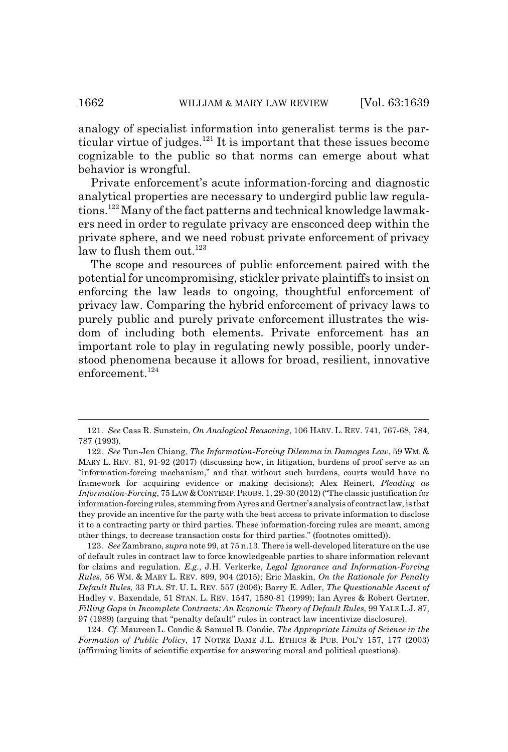analogy of specialist information into generalist terms is the particular virtue of judges. $121$  It is important that these issues become cognizable to the public so that norms can emerge about what behavior is wrongful.

Private enforcement's acute information-forcing and diagnostic analytical properties are necessary to undergird public law regulations.122 Many of the fact patterns and technical knowledge lawmakers need in order to regulate privacy are ensconced deep within the private sphere, and we need robust private enforcement of privacy law to flush them out. $123$ 

The scope and resources of public enforcement paired with the potential for uncompromising, stickler private plaintiffs to insist on enforcing the law leads to ongoing, thoughtful enforcement of privacy law. Comparing the hybrid enforcement of privacy laws to purely public and purely private enforcement illustrates the wisdom of including both elements. Private enforcement has an important role to play in regulating newly possible, poorly understood phenomena because it allows for broad, resilient, innovative enforcement.<sup>124</sup>

123. *See* Zambrano, *supra* note 99, at 75 n.13. There is well-developed literature on the use of default rules in contract law to force knowledgeable parties to share information relevant for claims and regulation. *E.g.*, J.H. Verkerke, *Legal Ignorance and Information-Forcing Rules*, 56 WM.&MARY L. REV. 899, 904 (2015); Eric Maskin, *On the Rationale for Penalty Default Rules*, 33 FLA. ST. U. L. REV. 557 (2006); Barry E. Adler, *The Questionable Ascent of* Hadley v. Baxendale, 51 STAN. L. REV. 1547, 1580-81 (1999); Ian Ayres & Robert Gertner, *Filling Gaps in Incomplete Contracts: An Economic Theory of Default Rules*, 99 YALE L.J. 87, 97 (1989) (arguing that "penalty default" rules in contract law incentivize disclosure).

124. *Cf.* Maureen L. Condic & Samuel B. Condic, *The Appropriate Limits of Science in the Formation of Public Policy*, 17 NOTRE DAME J.L. ETHICS & PUB. POL'Y 157, 177 (2003) (affirming limits of scientific expertise for answering moral and political questions).

<sup>121.</sup> *See* Cass R. Sunstein, *On Analogical Reasoning*, 106 HARV. L. REV. 741, 767-68, 784, 787 (1993).

<sup>122.</sup> *See* Tun-Jen Chiang, *The Information-Forcing Dilemma in Damages Law*, 59 WM. & MARY L. REV. 81, 91-92 (2017) (discussing how, in litigation, burdens of proof serve as an "information-forcing mechanism," and that without such burdens, courts would have no framework for acquiring evidence or making decisions); Alex Reinert, *Pleading as Information-Forcing*, 75 LAW&CONTEMP.PROBS. 1, 29-30 (2012) ("The classic justification for information-forcing rules, stemming from Ayres and Gertner's analysis of contract law, is that they provide an incentive for the party with the best access to private information to disclose it to a contracting party or third parties. These information-forcing rules are meant, among other things, to decrease transaction costs for third parties." (footnotes omitted)).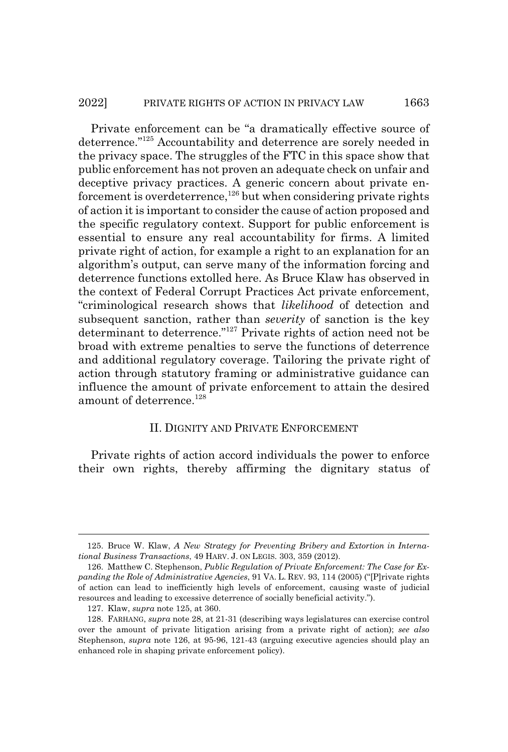#### 2022] PRIVATE RIGHTS OF ACTION IN PRIVACY LAW 1663

Private enforcement can be "a dramatically effective source of deterrence."125 Accountability and deterrence are sorely needed in the privacy space. The struggles of the FTC in this space show that public enforcement has not proven an adequate check on unfair and deceptive privacy practices. A generic concern about private enforcement is overdeterrence,  $^{126}$  but when considering private rights of action it is important to consider the cause of action proposed and the specific regulatory context. Support for public enforcement is essential to ensure any real accountability for firms. A limited private right of action, for example a right to an explanation for an algorithm's output, can serve many of the information forcing and deterrence functions extolled here. As Bruce Klaw has observed in the context of Federal Corrupt Practices Act private enforcement, "criminological research shows that *likelihood* of detection and subsequent sanction, rather than *severity* of sanction is the key determinant to deterrence."127 Private rights of action need not be broad with extreme penalties to serve the functions of deterrence and additional regulatory coverage. Tailoring the private right of action through statutory framing or administrative guidance can influence the amount of private enforcement to attain the desired amount of deterrence.<sup>128</sup>

### II. DIGNITY AND PRIVATE ENFORCEMENT

Private rights of action accord individuals the power to enforce their own rights, thereby affirming the dignitary status of

<sup>125.</sup> Bruce W. Klaw, *A New Strategy for Preventing Bribery and Extortion in International Business Transactions*, 49 HARV. J. ON LEGIS. 303, 359 (2012).

<sup>126.</sup> Matthew C. Stephenson, *Public Regulation of Private Enforcement: The Case for Expanding the Role of Administrative Agencies*, 91 VA. L. REV. 93, 114 (2005) ("[P]rivate rights of action can lead to inefficiently high levels of enforcement, causing waste of judicial resources and leading to excessive deterrence of socially beneficial activity.").

<sup>127.</sup> Klaw, *supra* note 125, at 360.

<sup>128.</sup> FARHANG, *supra* note 28, at 21-31 (describing ways legislatures can exercise control over the amount of private litigation arising from a private right of action); *see also* Stephenson, *supra* note 126, at 95-96, 121-43 (arguing executive agencies should play an enhanced role in shaping private enforcement policy).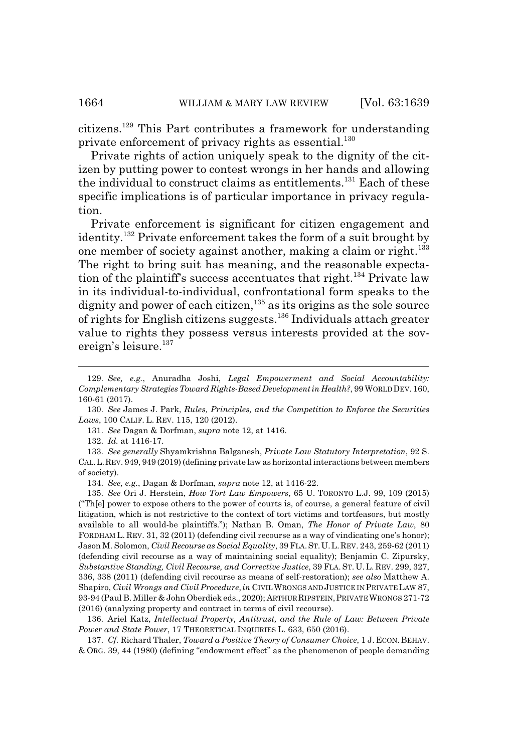citizens.129 This Part contributes a framework for understanding private enforcement of privacy rights as essential.<sup>130</sup>

Private rights of action uniquely speak to the dignity of the citizen by putting power to contest wrongs in her hands and allowing the individual to construct claims as entitlements.<sup>131</sup> Each of these specific implications is of particular importance in privacy regulation.

Private enforcement is significant for citizen engagement and identity.132 Private enforcement takes the form of a suit brought by one member of society against another, making a claim or right.<sup>133</sup> The right to bring suit has meaning, and the reasonable expectation of the plaintiff's success accentuates that right.<sup>134</sup> Private law in its individual-to-individual, confrontational form speaks to the dignity and power of each citizen,<sup>135</sup> as its origins as the sole source of rights for English citizens suggests.136 Individuals attach greater value to rights they possess versus interests provided at the sovereign's leisure.<sup>137</sup>

136. Ariel Katz, *Intellectual Property, Antitrust, and the Rule of Law: Between Private Power and State Power*, 17 THEORETICAL INQUIRIES L. 633, 650 (2016).

137. *Cf.* Richard Thaler, *Toward a Positive Theory of Consumer Choice*, 1 J. ECON. BEHAV. & ORG. 39, 44 (1980) (defining "endowment effect" as the phenomenon of people demanding

<sup>129.</sup> *See, e.g.*, Anuradha Joshi, *Legal Empowerment and Social Accountability: Complementary Strategies Toward Rights-Based Development in Health?*, 99 WORLD DEV. 160, 160-61 (2017).

<sup>130.</sup> *See* James J. Park, *Rules, Principles, and the Competition to Enforce the Securities Laws*, 100 CALIF. L. REV. 115, 120 (2012).

<sup>131.</sup> *See* Dagan & Dorfman, *supra* note 12, at 1416.

<sup>132.</sup> *Id.* at 1416-17.

<sup>133.</sup> *See generally* Shyamkrishna Balganesh, *Private Law Statutory Interpretation*, 92 S. CAL.L.REV. 949, 949 (2019) (defining private law as horizontal interactions between members of society).

<sup>134.</sup> *See, e.g.*, Dagan & Dorfman, *supra* note 12, at 1416-22.

<sup>135.</sup> *See* Ori J. Herstein, *How Tort Law Empowers*, 65 U. TORONTO L.J. 99, 109 (2015) ("Th[e] power to expose others to the power of courts is, of course, a general feature of civil litigation, which is not restrictive to the context of tort victims and tortfeasors, but mostly available to all would-be plaintiffs."); Nathan B. Oman, *The Honor of Private Law*, 80 FORDHAM L. REV. 31, 32 (2011) (defending civil recourse as a way of vindicating one's honor); Jason M. Solomon, *Civil Recourse as Social Equality*, 39 FLA.ST.U.L.REV. 243, 259-62 (2011) (defending civil recourse as a way of maintaining social equality); Benjamin C. Zipursky, *Substantive Standing, Civil Recourse, and Corrective Justice*, 39 FLA. ST. U. L. REV. 299, 327, 336, 338 (2011) (defending civil recourse as means of self-restoration); *see also* Matthew A. Shapiro, *Civil Wrongs and Civil Procedure*,*in* CIVILWRONGS AND JUSTICE IN PRIVATE LAW 87, 93-94 (Paul B. Miller & John Oberdiek eds., 2020); ARTHUR RIPSTEIN,PRIVATE WRONGS 271-72 (2016) (analyzing property and contract in terms of civil recourse).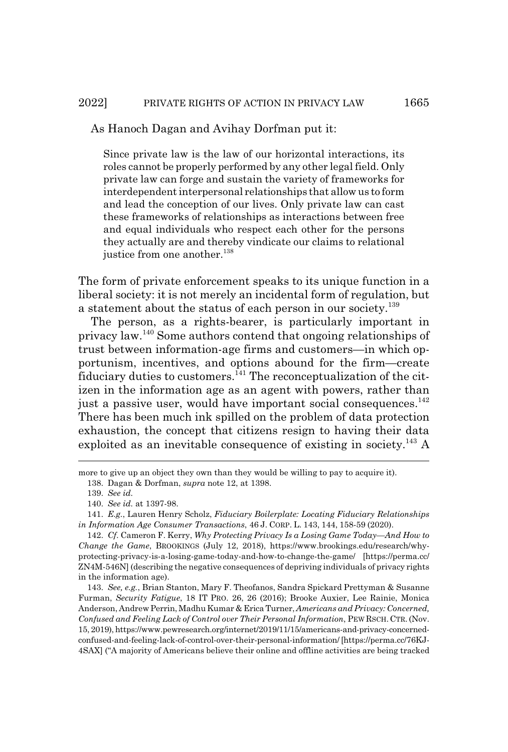Since private law is the law of our horizontal interactions, its roles cannot be properly performed by any other legal field. Only private law can forge and sustain the variety of frameworks for interdependent interpersonal relationships that allow us to form and lead the conception of our lives. Only private law can cast these frameworks of relationships as interactions between free and equal individuals who respect each other for the persons they actually are and thereby vindicate our claims to relational justice from one another.<sup>138</sup>

The form of private enforcement speaks to its unique function in a liberal society: it is not merely an incidental form of regulation, but a statement about the status of each person in our society.<sup>139</sup>

The person, as a rights-bearer, is particularly important in privacy law.140 Some authors contend that ongoing relationships of trust between information-age firms and customers—in which opportunism, incentives, and options abound for the firm—create fiduciary duties to customers. $^{141}$  The reconceptualization of the citizen in the information age as an agent with powers, rather than just a passive user, would have important social consequences.<sup>142</sup> There has been much ink spilled on the problem of data protection exhaustion, the concept that citizens resign to having their data exploited as an inevitable consequence of existing in society.<sup>143</sup> A

more to give up an object they own than they would be willing to pay to acquire it). 138. Dagan & Dorfman, *supra* note 12, at 1398.

<sup>139.</sup> *See id.*

<sup>140.</sup> *See id.* at 1397-98.

<sup>141.</sup> *E.g.*, Lauren Henry Scholz, *Fiduciary Boilerplate: Locating Fiduciary Relationships in Information Age Consumer Transactions*, 46 J. CORP. L. 143, 144, 158-59 (2020).

<sup>142.</sup> *Cf*. Cameron F. Kerry, *Why Protecting Privacy Is a Losing Game Today—And How to Change the Game*, BROOKINGS (July 12, 2018), https://www.brookings.edu/research/whyprotecting-privacy-is-a-losing-game-today-and-how-to-change-the-game/ [https://perma.cc/ ZN4M-546N] (describing the negative consequences of depriving individuals of privacy rights in the information age).

<sup>143.</sup> *See, e.g.*, Brian Stanton, Mary F. Theofanos, Sandra Spickard Prettyman & Susanne Furman, *Security Fatigue*, 18 IT PRO. 26, 26 (2016); Brooke Auxier, Lee Rainie, Monica Anderson, Andrew Perrin, Madhu Kumar & Erica Turner, *Americans and Privacy: Concerned, Confused and Feeling Lack of Control over Their Personal Information*, PEW RSCH. CTR. (Nov. 15, 2019), https://www.pewresearch.org/internet/2019/11/15/americans-and-privacy-concernedconfused-and-feeling-lack-of-control-over-their-personal-information/ [https://perma.cc/76KJ-4SAX] ("A majority of Americans believe their online and offline activities are being tracked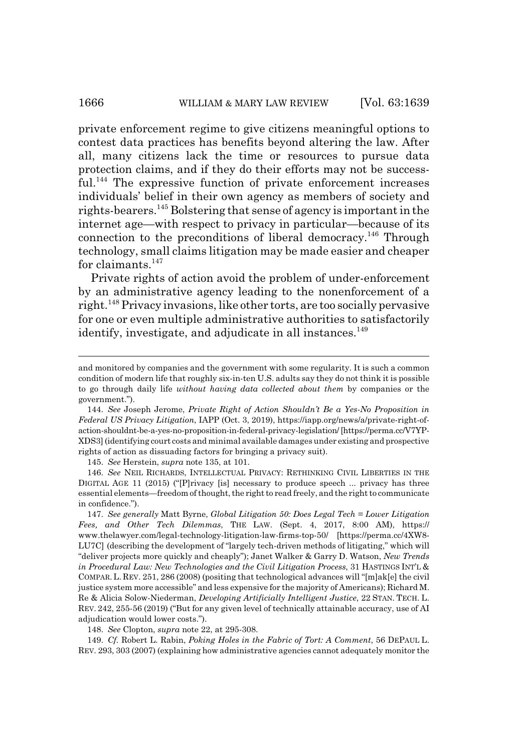## 1666 WILLIAM & MARY LAW REVIEW [Vol. 63:1639]

private enforcement regime to give citizens meaningful options to contest data practices has benefits beyond altering the law. After all, many citizens lack the time or resources to pursue data protection claims, and if they do their efforts may not be successful.<sup>144</sup> The expressive function of private enforcement increases individuals' belief in their own agency as members of society and rights-bearers.145 Bolstering that sense of agency is important in the internet age—with respect to privacy in particular—because of its connection to the preconditions of liberal democracy.146 Through technology, small claims litigation may be made easier and cheaper for claimants. $147$ 

Private rights of action avoid the problem of under-enforcement by an administrative agency leading to the nonenforcement of a right.148 Privacy invasions, like other torts, are too socially pervasive for one or even multiple administrative authorities to satisfactorily identify, investigate, and adjudicate in all instances.<sup>149</sup>

145. *See* Herstein, *supra* note 135, at 101.

146. *See* NEIL RICHARDS, INTELLECTUAL PRIVACY: RETHINKING CIVIL LIBERTIES IN THE DIGITAL AGE 11 (2015) ("[P]rivacy [is] necessary to produce speech ... privacy has three essential elements—freedom of thought, the right to read freely, and the right to communicate in confidence.").

148. *See* Clopton, *supra* note 22, at 295-308.

149. *Cf.* Robert L. Rabin, *Poking Holes in the Fabric of Tort: A Comment*, 56 DEPAUL L. REV. 293, 303 (2007) (explaining how administrative agencies cannot adequately monitor the

and monitored by companies and the government with some regularity. It is such a common condition of modern life that roughly six-in-ten U.S. adults say they do not think it is possible to go through daily life *without having data collected about them* by companies or the government.").

<sup>144.</sup> *See* Joseph Jerome, *Private Right of Action Shouldn't Be a Yes-No Proposition in Federal US Privacy Litigation*, IAPP (Oct. 3, 2019), https://iapp.org/news/a/private-right-ofaction-shouldnt-be-a-yes-no-proposition-in-federal-privacy-legislation/ [https://perma.cc/V7YP-XDS3] (identifying court costs and minimal available damages under existing and prospective rights of action as dissuading factors for bringing a privacy suit).

<sup>147.</sup> *See generally* Matt Byrne, *Global Litigation 50: Does Legal Tech = Lower Litigation Fees, and Other Tech Dilemmas*, THE LAW. (Sept. 4, 2017, 8:00 AM), https:// www.thelawyer.com/legal-technology-litigation-law-firms-top-50/ [https://perma.cc/4XW8- LU7C] (describing the development of "largely tech-driven methods of litigating," which will "deliver projects more quickly and cheaply"); Janet Walker & Garry D. Watson, *New Trends in Procedural Law: New Technologies and the Civil Litigation Process*, 31 HASTINGS INT'L & COMPAR. L. REV. 251, 286 (2008) (positing that technological advances will "[m]ak[e] the civil justice system more accessible" and less expensive for the majority of Americans); Richard M. Re & Alicia Solow-Niederman, *Developing Artificially Intelligent Justice*, 22 STAN. TECH. L. REV. 242, 255-56 (2019) ("But for any given level of technically attainable accuracy, use of AI adjudication would lower costs.").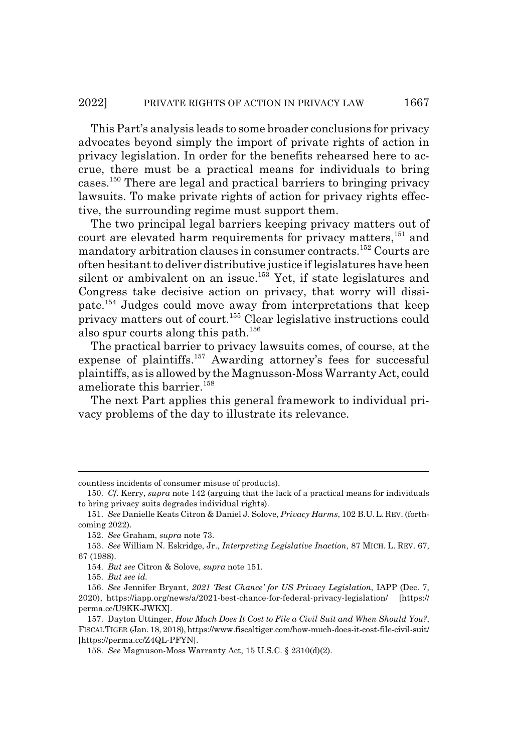This Part's analysis leads to some broader conclusions for privacy advocates beyond simply the import of private rights of action in privacy legislation. In order for the benefits rehearsed here to accrue, there must be a practical means for individuals to bring cases.150 There are legal and practical barriers to bringing privacy lawsuits. To make private rights of action for privacy rights effective, the surrounding regime must support them.

The two principal legal barriers keeping privacy matters out of court are elevated harm requirements for privacy matters,<sup>151</sup> and mandatory arbitration clauses in consumer contracts.152 Courts are often hesitant to deliver distributive justice if legislatures have been silent or ambivalent on an issue.<sup>153</sup> Yet, if state legislatures and Congress take decisive action on privacy, that worry will dissipate.154 Judges could move away from interpretations that keep privacy matters out of court.<sup>155</sup> Clear legislative instructions could also spur courts along this path.<sup>156</sup>

The practical barrier to privacy lawsuits comes, of course, at the expense of plaintiffs.<sup>157</sup> Awarding attorney's fees for successful plaintiffs, as is allowed by the Magnusson-Moss Warranty Act, could ameliorate this barrier.<sup>158</sup>

The next Part applies this general framework to individual privacy problems of the day to illustrate its relevance.

countless incidents of consumer misuse of products).

<sup>150.</sup> *Cf*. Kerry, *supra* note 142 (arguing that the lack of a practical means for individuals to bring privacy suits degrades individual rights).

<sup>151.</sup> *See* Danielle Keats Citron & Daniel J. Solove, *Privacy Harms*, 102 B.U.L. REV. (forthcoming 2022).

<sup>152.</sup> *See* Graham, *supra* note 73.

<sup>153.</sup> *See* William N. Eskridge, Jr., *Interpreting Legislative Inaction*, 87 MICH. L. REV. 67, 67 (1988).

<sup>154.</sup> *But see* Citron & Solove, *supra* note 151.

<sup>155.</sup> *But see id.*

<sup>156.</sup> *See* Jennifer Bryant, *2021 'Best Chance' for US Privacy Legislation*, IAPP (Dec. 7, 2020), https://iapp.org/news/a/2021-best-chance-for-federal-privacy-legislation/ [https:// perma.cc/U9KK-JWKX].

<sup>157.</sup> Dayton Uttinger, *How Much Does It Cost to File a Civil Suit and When Should You?*, FISCAL TIGER (Jan. 18, 2018), https://www.fiscaltiger.com/how-much-does-it-cost-file-civil-suit/ [https://perma.cc/Z4QL-PFYN].

<sup>158.</sup> *See* Magnuson-Moss Warranty Act, 15 U.S.C. § 2310(d)(2).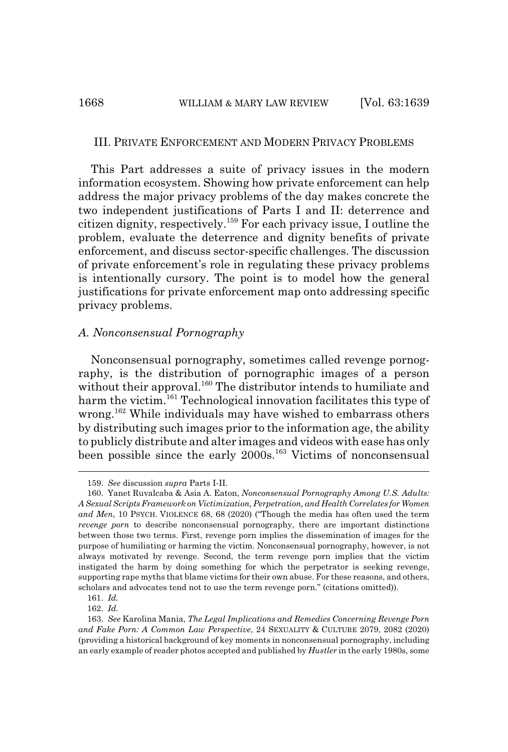#### III. PRIVATE ENFORCEMENT AND MODERN PRIVACY PROBLEMS

This Part addresses a suite of privacy issues in the modern information ecosystem. Showing how private enforcement can help address the major privacy problems of the day makes concrete the two independent justifications of Parts I and II: deterrence and citizen dignity, respectively.159 For each privacy issue, I outline the problem, evaluate the deterrence and dignity benefits of private enforcement, and discuss sector-specific challenges. The discussion of private enforcement's role in regulating these privacy problems is intentionally cursory. The point is to model how the general justifications for private enforcement map onto addressing specific privacy problems.

## *A. Nonconsensual Pornography*

Nonconsensual pornography, sometimes called revenge pornography, is the distribution of pornographic images of a person without their approval.<sup>160</sup> The distributor intends to humiliate and harm the victim.<sup>161</sup> Technological innovation facilitates this type of wrong.<sup>162</sup> While individuals may have wished to embarrass others by distributing such images prior to the information age, the ability to publicly distribute and alter images and videos with ease has only been possible since the early 2000s.<sup>163</sup> Victims of nonconsensual

<sup>159.</sup> *See* discussion *supra* Parts I-II.

<sup>160.</sup> Yanet Ruvalcaba & Asia A. Eaton, *Nonconsensual Pornography Among U.S. Adults: A Sexual Scripts Framework on Victimization, Perpetration, and Health Correlates for Women and Men*, 10 PSYCH. VIOLENCE 68, 68 (2020) ("Though the media has often used the term *revenge porn* to describe nonconsensual pornography, there are important distinctions between those two terms. First, revenge porn implies the dissemination of images for the purpose of humiliating or harming the victim. Nonconsensual pornography, however, is not always motivated by revenge. Second, the term revenge porn implies that the victim instigated the harm by doing something for which the perpetrator is seeking revenge, supporting rape myths that blame victims for their own abuse. For these reasons, and others, scholars and advocates tend not to use the term revenge porn." (citations omitted)).

<sup>161.</sup> *Id.*

<sup>162.</sup> *Id.*

<sup>163.</sup> *See* Karolina Mania, *The Legal Implications and Remedies Concerning Revenge Porn and Fake Porn: A Common Law Perspective*, 24 SEXUALITY & CULTURE 2079, 2082 (2020) (providing a historical background of key moments in nonconsensual pornography, including an early example of reader photos accepted and published by *Hustler* in the early 1980s, some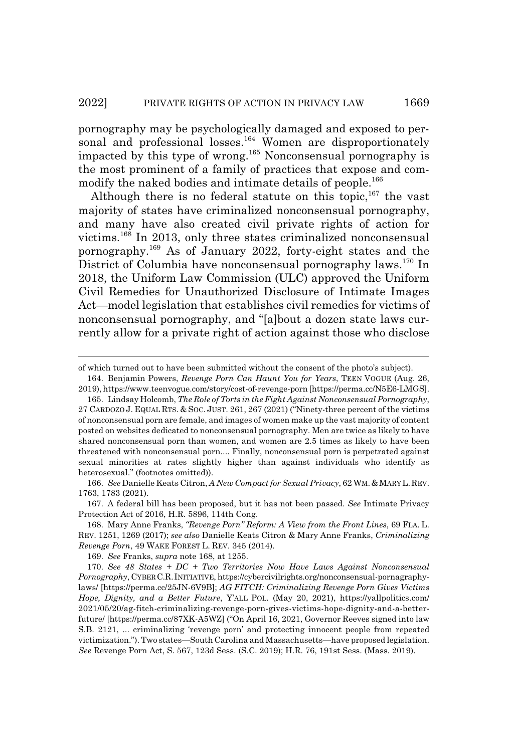pornography may be psychologically damaged and exposed to personal and professional losses.<sup>164</sup> Women are disproportionately impacted by this type of wrong.165 Nonconsensual pornography is the most prominent of a family of practices that expose and commodify the naked bodies and intimate details of people.<sup>166</sup>

Although there is no federal statute on this topic,  $167$  the vast majority of states have criminalized nonconsensual pornography, and many have also created civil private rights of action for victims.168 In 2013, only three states criminalized nonconsensual pornography.169 As of January 2022, forty-eight states and the District of Columbia have nonconsensual pornography laws.170 In 2018, the Uniform Law Commission (ULC) approved the Uniform Civil Remedies for Unauthorized Disclosure of Intimate Images Act—model legislation that establishes civil remedies for victims of nonconsensual pornography, and "[a]bout a dozen state laws currently allow for a private right of action against those who disclose

of which turned out to have been submitted without the consent of the photo's subject).

166. *See* Danielle Keats Citron, *A New Compact for Sexual Privacy*, 62 WM.&MARY L.REV. 1763, 1783 (2021).

167. A federal bill has been proposed, but it has not been passed. *See* Intimate Privacy Protection Act of 2016, H.R. 5896, 114th Cong.

168. Mary Anne Franks, *"Revenge Porn" Reform: A View from the Front Lines*, 69 FLA. L. REV. 1251, 1269 (2017); *see also* Danielle Keats Citron & Mary Anne Franks, *Criminalizing Revenge Porn*, 49 WAKE FOREST L. REV. 345 (2014).

169. *See* Franks, *supra* note 168, at 1255.

170. *See 48 States + DC + Two Territories Now Have Laws Against Nonconsensual Pornography*, CYBERC.R.INITIATIVE, https://cybercivilrights.org/nonconsensual-pornagraphylaws/ [https://perma.cc/25JN-6V9B]; *AG FITCH: Criminalizing Revenge Porn Gives Victims Hope, Dignity, and a Better Future*, Y'ALL POL. (May 20, 2021), https://yallpolitics.com/ 2021/05/20/ag-fitch-criminalizing-revenge-porn-gives-victims-hope-dignity-and-a-betterfuture/ [https://perma.cc/87XK-A5WZ] ("On April 16, 2021, Governor Reeves signed into law S.B. 2121, ... criminalizing 'revenge porn' and protecting innocent people from repeated victimization."). Two states—South Carolina and Massachusetts—have proposed legislation. *See* Revenge Porn Act, S. 567, 123d Sess. (S.C. 2019); H.R. 76, 191st Sess. (Mass. 2019).

<sup>164.</sup> Benjamin Powers, *Revenge Porn Can Haunt You for Years*, TEEN VOGUE (Aug. 26, 2019), https://www.teenvogue.com/story/cost-of-revenge-porn [https://perma.cc/N5E6-LMGS].

<sup>165.</sup> Lindsay Holcomb, *The Role of Torts in the Fight Against Nonconsensual Pornography*, 27 CARDOZO J. EQUAL RTS.&SOC. JUST. 261, 267 (2021) ("Ninety-three percent of the victims of nonconsensual porn are female, and images of women make up the vast majority of content posted on websites dedicated to nonconsensual pornography. Men are twice as likely to have shared nonconsensual porn than women, and women are 2.5 times as likely to have been threatened with nonconsensual porn.... Finally, nonconsensual porn is perpetrated against sexual minorities at rates slightly higher than against individuals who identify as heterosexual." (footnotes omitted)).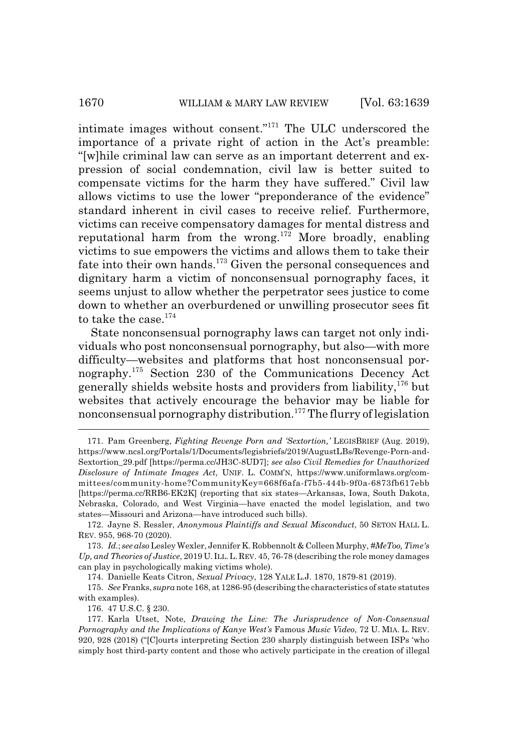intimate images without consent."171 The ULC underscored the importance of a private right of action in the Act's preamble: "[w]hile criminal law can serve as an important deterrent and expression of social condemnation, civil law is better suited to compensate victims for the harm they have suffered." Civil law allows victims to use the lower "preponderance of the evidence" standard inherent in civil cases to receive relief. Furthermore, victims can receive compensatory damages for mental distress and reputational harm from the wrong.<sup>172</sup> More broadly, enabling victims to sue empowers the victims and allows them to take their fate into their own hands.<sup>173</sup> Given the personal consequences and dignitary harm a victim of nonconsensual pornography faces, it seems unjust to allow whether the perpetrator sees justice to come down to whether an overburdened or unwilling prosecutor sees fit to take the case.<sup>174</sup>

State nonconsensual pornography laws can target not only individuals who post nonconsensual pornography, but also—with more difficulty—websites and platforms that host nonconsensual pornography.175 Section 230 of the Communications Decency Act generally shields website hosts and providers from liability,176 but websites that actively encourage the behavior may be liable for nonconsensual pornography distribution.<sup>177</sup> The flurry of legislation

176. 47 U.S.C. § 230.

<sup>171.</sup> Pam Greenberg, *Fighting Revenge Porn and 'Sextortion,'* LEGISBRIEF (Aug. 2019), https://www.ncsl.org/Portals/1/Documents/legisbriefs/2019/AugustLBs/Revenge-Porn-and-Sextortion\_29.pdf [https://perma.cc/JH3C-8UD7]; *see also Civil Remedies for Unauthorized Disclosure of Intimate Images Act*, UNIF. L. COMM'N, https://www.uniformlaws.org/committees/community-home?CommunityKey=668f6afa-f7b5-444b-9f0a-6873fb617ebb [https://perma.cc/RRB6-EK2K] (reporting that six states—Arkansas, Iowa, South Dakota, Nebraska, Colorado, and West Virginia—have enacted the model legislation, and two states—Missouri and Arizona—have introduced such bills).

<sup>172.</sup> Jayne S. Ressler, *Anonymous Plaintiffs and Sexual Misconduct*, 50 SETON HALL L. REV. 955, 968-70 (2020).

<sup>173.</sup> *Id.*; *see also* Lesley Wexler, Jennifer K. Robbennolt & Colleen Murphy, *#MeToo, Time's Up, and Theories of Justice*, 2019 U. ILL.L.REV. 45, 76-78 (describing the role money damages can play in psychologically making victims whole).

<sup>174.</sup> Danielle Keats Citron, *Sexual Privacy*, 128 YALE L.J. 1870, 1879-81 (2019).

<sup>175.</sup> *See* Franks, *supra* note 168, at 1286-95 (describing the characteristics of state statutes with examples).

<sup>177.</sup> Karla Utset, Note, *Drawing the Line: The Jurisprudence of Non-Consensual Pornography and the Implications of Kanye West's* Famous *Music Video*, 72 U. MIA. L. REV. 920, 928 (2018) ("[C]ourts interpreting Section 230 sharply distinguish between ISPs 'who simply host third-party content and those who actively participate in the creation of illegal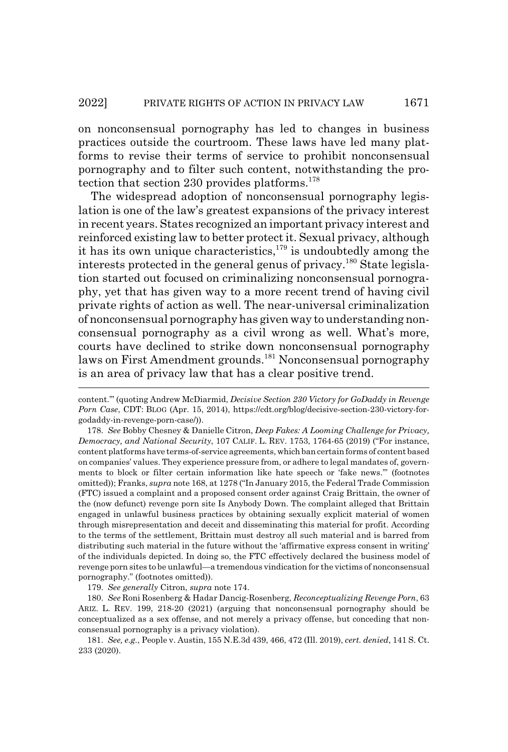on nonconsensual pornography has led to changes in business practices outside the courtroom. These laws have led many platforms to revise their terms of service to prohibit nonconsensual pornography and to filter such content, notwithstanding the protection that section 230 provides platforms.<sup>178</sup>

The widespread adoption of nonconsensual pornography legislation is one of the law's greatest expansions of the privacy interest in recent years. States recognized an important privacy interest and reinforced existing law to better protect it. Sexual privacy, although it has its own unique characteristics,  $179$  is undoubtedly among the interests protected in the general genus of privacy.180 State legislation started out focused on criminalizing nonconsensual pornography, yet that has given way to a more recent trend of having civil private rights of action as well. The near-universal criminalization of nonconsensual pornography has given way to understanding nonconsensual pornography as a civil wrong as well. What's more, courts have declined to strike down nonconsensual pornography laws on First Amendment grounds.<sup>181</sup> Nonconsensual pornography is an area of privacy law that has a clear positive trend.

179. *See generally* Citron, *supra* note 174.

180. *See* Roni Rosenberg & Hadar Dancig-Rosenberg, *Reconceptualizing Revenge Porn*, 63 ARIZ. L. REV. 199, 218-20 (2021) (arguing that nonconsensual pornography should be conceptualized as a sex offense, and not merely a privacy offense, but conceding that nonconsensual pornography is a privacy violation).

content.'" (quoting Andrew McDiarmid, *Decisive Section 230 Victory for GoDaddy in Revenge Porn Case*, CDT: BLOG (Apr. 15, 2014), https://cdt.org/blog/decisive-section-230-victory-forgodaddy-in-revenge-porn-case/)).

<sup>178.</sup> *See* Bobby Chesney & Danielle Citron, *Deep Fakes: A Looming Challenge for Privacy, Democracy, and National Security*, 107 CALIF. L. REV. 1753, 1764-65 (2019) ("For instance, content platforms have terms-of-service agreements, which ban certain forms of content based on companies' values. They experience pressure from, or adhere to legal mandates of, governments to block or filter certain information like hate speech or 'fake news.'" (footnotes omitted)); Franks, *supra* note 168, at 1278 ("In January 2015, the Federal Trade Commission (FTC) issued a complaint and a proposed consent order against Craig Brittain, the owner of the (now defunct) revenge porn site Is Anybody Down. The complaint alleged that Brittain engaged in unlawful business practices by obtaining sexually explicit material of women through misrepresentation and deceit and disseminating this material for profit. According to the terms of the settlement, Brittain must destroy all such material and is barred from distributing such material in the future without the 'affirmative express consent in writing' of the individuals depicted. In doing so, the FTC effectively declared the business model of revenge porn sites to be unlawful—a tremendous vindication for the victims of nonconsensual pornography." (footnotes omitted)).

<sup>181.</sup> *See, e.g.*, People v. Austin, 155 N.E.3d 439, 466, 472 (Ill. 2019), *cert. denied*, 141 S. Ct. 233 (2020).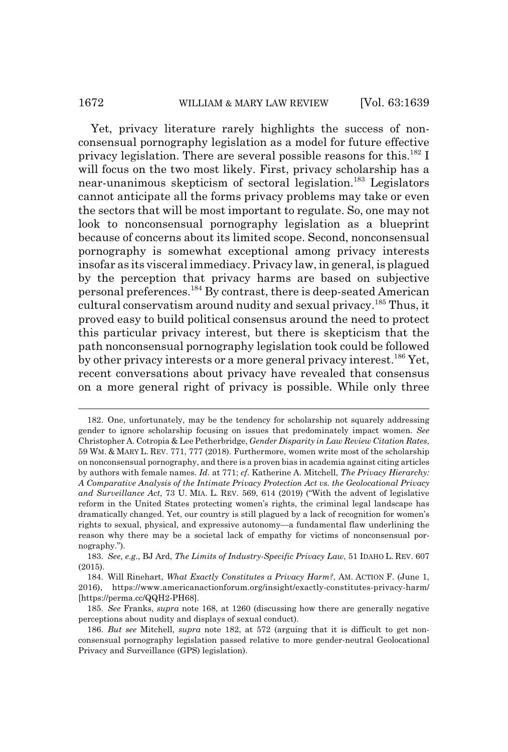# 1672 WILLIAM & MARY LAW REVIEW [Vol. 63:1639]

Yet, privacy literature rarely highlights the success of nonconsensual pornography legislation as a model for future effective privacy legislation. There are several possible reasons for this.<sup>182</sup> I will focus on the two most likely. First, privacy scholarship has a near-unanimous skepticism of sectoral legislation.<sup>183</sup> Legislators cannot anticipate all the forms privacy problems may take or even the sectors that will be most important to regulate. So, one may not look to nonconsensual pornography legislation as a blueprint because of concerns about its limited scope. Second, nonconsensual pornography is somewhat exceptional among privacy interests insofar as its visceral immediacy. Privacy law, in general, is plagued by the perception that privacy harms are based on subjective personal preferences.184 By contrast, there is deep-seated American cultural conservatism around nudity and sexual privacy.<sup>185</sup> Thus, it proved easy to build political consensus around the need to protect this particular privacy interest, but there is skepticism that the path nonconsensual pornography legislation took could be followed by other privacy interests or a more general privacy interest.<sup>186</sup> Yet, recent conversations about privacy have revealed that consensus on a more general right of privacy is possible. While only three

<sup>182.</sup> One, unfortunately, may be the tendency for scholarship not squarely addressing gender to ignore scholarship focusing on issues that predominately impact women. *See* Christopher A. Cotropia & Lee Petherbridge, *Gender Disparity in Law Review Citation Rates*, 59 WM.&MARY L. REV. 771, 777 (2018). Furthermore, women write most of the scholarship on nonconsensual pornography, and there is a proven bias in academia against citing articles by authors with female names. *Id.* at 771; *cf.* Katherine A. Mitchell, *The Privacy Hierarchy: A Comparative Analysis of the Intimate Privacy Protection Act vs. the Geolocational Privacy and Surveillance Act*, 73 U. MIA. L. REV. 569, 614 (2019) ("With the advent of legislative reform in the United States protecting women's rights, the criminal legal landscape has dramatically changed. Yet, our country is still plagued by a lack of recognition for women's rights to sexual, physical, and expressive autonomy—a fundamental flaw underlining the reason why there may be a societal lack of empathy for victims of nonconsensual pornography.").

<sup>183.</sup> *See, e.g*., BJ Ard, *The Limits of Industry-Specific Privacy Law*, 51 IDAHO L. REV. 607 (2015).

<sup>184.</sup> Will Rinehart, *What Exactly Constitutes a Privacy Harm?*, AM. ACTION F. (June 1, 2016), https://www.americanactionforum.org/insight/exactly-constitutes-privacy-harm/ [https://perma.cc/QQH2-PH68].

<sup>185.</sup> *See* Franks, *supra* note 168, at 1260 (discussing how there are generally negative perceptions about nudity and displays of sexual conduct).

<sup>186.</sup> *But see* Mitchell, *supra* note 182, at 572 (arguing that it is difficult to get nonconsensual pornography legislation passed relative to more gender-neutral Geolocational Privacy and Surveillance (GPS) legislation).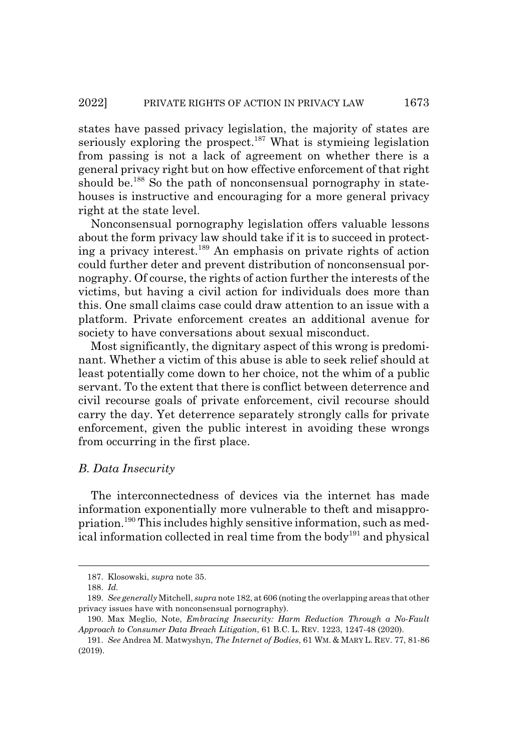states have passed privacy legislation, the majority of states are seriously exploring the prospect.<sup>187</sup> What is stymieing legislation from passing is not a lack of agreement on whether there is a general privacy right but on how effective enforcement of that right should be.<sup>188</sup> So the path of nonconsensual pornography in statehouses is instructive and encouraging for a more general privacy right at the state level.

Nonconsensual pornography legislation offers valuable lessons about the form privacy law should take if it is to succeed in protecting a privacy interest.189 An emphasis on private rights of action could further deter and prevent distribution of nonconsensual pornography. Of course, the rights of action further the interests of the victims, but having a civil action for individuals does more than this. One small claims case could draw attention to an issue with a platform. Private enforcement creates an additional avenue for society to have conversations about sexual misconduct.

Most significantly, the dignitary aspect of this wrong is predominant. Whether a victim of this abuse is able to seek relief should at least potentially come down to her choice, not the whim of a public servant. To the extent that there is conflict between deterrence and civil recourse goals of private enforcement, civil recourse should carry the day. Yet deterrence separately strongly calls for private enforcement, given the public interest in avoiding these wrongs from occurring in the first place.

# *B. Data Insecurity*

The interconnectedness of devices via the internet has made information exponentially more vulnerable to theft and misappropriation.190 This includes highly sensitive information, such as medical information collected in real time from the body<sup>191</sup> and physical

<sup>187.</sup> Klosowski, *supra* note 35.

<sup>188.</sup> *Id.*

<sup>189.</sup> *See generally* Mitchell, *supra* note 182, at 606 (noting the overlapping areas that other privacy issues have with nonconsensual pornography).

<sup>190.</sup> Max Meglio, Note, *Embracing Insecurity: Harm Reduction Through a No-Fault Approach to Consumer Data Breach Litigation*, 61 B.C. L. REV. 1223, 1247-48 (2020).

<sup>191.</sup> *See* Andrea M. Matwyshyn, *The Internet of Bodies*, 61 WM.&MARY L. REV. 77, 81-86 (2019).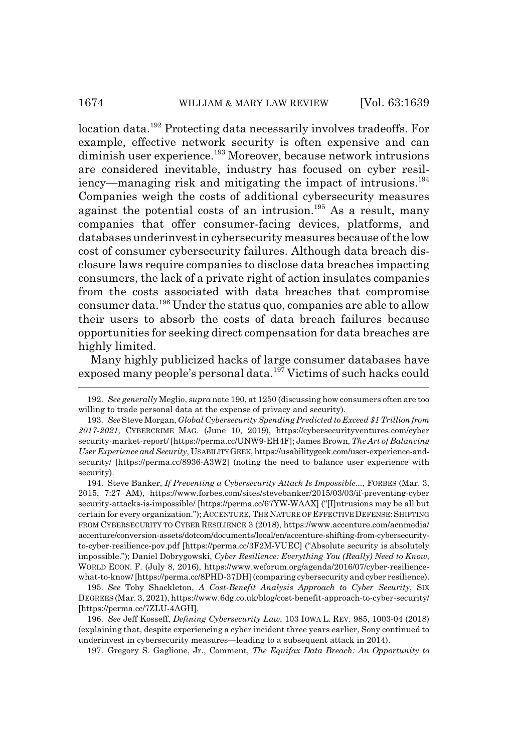location data.<sup>192</sup> Protecting data necessarily involves tradeoffs. For example, effective network security is often expensive and can diminish user experience.<sup>193</sup> Moreover, because network intrusions are considered inevitable, industry has focused on cyber resiliency—managing risk and mitigating the impact of intrusions.<sup>194</sup> Companies weigh the costs of additional cybersecurity measures against the potential costs of an intrusion.<sup>195</sup> As a result, many companies that offer consumer-facing devices, platforms, and databases underinvest in cybersecurity measures because of the low cost of consumer cybersecurity failures. Although data breach disclosure laws require companies to disclose data breaches impacting consumers, the lack of a private right of action insulates companies from the costs associated with data breaches that compromise consumer data.196 Under the status quo, companies are able to allow their users to absorb the costs of data breach failures because opportunities for seeking direct compensation for data breaches are highly limited.

Many highly publicized hacks of large consumer databases have exposed many people's personal data.<sup>197</sup> Victims of such hacks could

197. Gregory S. Gaglione, Jr., Comment, *The Equifax Data Breach: An Opportunity to*

<sup>192.</sup> *See generally* Meglio, *supra* note 190, at 1250 (discussing how consumers often are too willing to trade personal data at the expense of privacy and security).

<sup>193.</sup> *See* Steve Morgan, *Global Cybersecurity Spending Predicted to Exceed \$1 Trillion from 2017-2021*, CYBERCRIME MAG. (June 10, 2019), https://cybersecurityventures.com/cyber security-market-report/ [https://perma.cc/UNW9-EH4F]; James Brown, *The Art of Balancing User Experience and Security*, USABILITY GEEK, https://usabilitygeek.com/user-experience-andsecurity/ [https://perma.cc/8936-A3W2] (noting the need to balance user experience with security).

<sup>194.</sup> Steve Banker, *If Preventing a Cybersecurity Attack Is Impossible...*, FORBES (Mar. 3, 2015, 7:27 AM), https://www.forbes.com/sites/stevebanker/2015/03/03/if-preventing-cyber security-attacks-is-impossible/ [https://perma.cc/67YW-WAAX] ("[I]ntrusions may be all but certain for every organization."); ACCENTURE, THE NATURE OF EFFECTIVE DEFENSE: SHIFTING FROM CYBERSECURITY TO CYBER RESILIENCE 3 (2018), https://www.accenture.com/acnmedia/ accenture/conversion-assets/dotcom/documents/local/en/accenture-shifting-from-cybersecurityto-cyber-resilience-pov.pdf [https://perma.cc/3F2M-VUEC] ("Absolute security is absolutely impossible."); Daniel Dobrygowski, *Cyber Resilience: Everything You (Really) Need to Know*, WORLD ECON. F. (July 8, 2016), https://www.weforum.org/agenda/2016/07/cyber-resiliencewhat-to-know/ [https://perma.cc/8PHD-37DH] (comparing cybersecurity and cyber resilience).

<sup>195.</sup> *See* Toby Shackleton, *A Cost-Benefit Analysis Approach to Cyber Security*, SIX DEGREES (Mar. 3, 2021), https://www.6dg.co.uk/blog/cost-benefit-approach-to-cyber-security/ [https://perma.cc/7ZLU-4AGH].

<sup>196.</sup> *See* Jeff Kosseff, *Defining Cybersecurity Law*, 103 IOWA L. REV. 985, 1003-04 (2018) (explaining that, despite experiencing a cyber incident three years earlier, Sony continued to underinvest in cybersecurity measures—leading to a subsequent attack in 2014).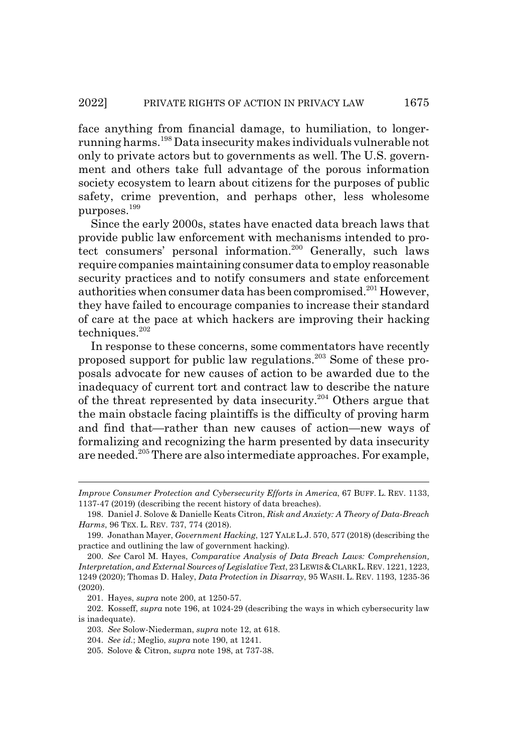face anything from financial damage, to humiliation, to longerrunning harms.198 Data insecurity makes individuals vulnerable not only to private actors but to governments as well. The U.S. government and others take full advantage of the porous information society ecosystem to learn about citizens for the purposes of public safety, crime prevention, and perhaps other, less wholesome purposes.<sup>199</sup>

Since the early 2000s, states have enacted data breach laws that provide public law enforcement with mechanisms intended to protect consumers' personal information.<sup>200</sup> Generally, such laws require companies maintaining consumer data to employ reasonable security practices and to notify consumers and state enforcement authorities when consumer data has been compromised.<sup>201</sup> However, they have failed to encourage companies to increase their standard of care at the pace at which hackers are improving their hacking techniques.<sup>202</sup>

In response to these concerns, some commentators have recently proposed support for public law regulations.203 Some of these proposals advocate for new causes of action to be awarded due to the inadequacy of current tort and contract law to describe the nature of the threat represented by data insecurity.<sup>204</sup> Others argue that the main obstacle facing plaintiffs is the difficulty of proving harm and find that—rather than new causes of action—new ways of formalizing and recognizing the harm presented by data insecurity are needed.205 There are also intermediate approaches. For example,

201. Hayes, *supra* note 200, at 1250-57.

202. Kosseff, *supra* note 196, at 1024-29 (describing the ways in which cybersecurity law is inadequate).

*Improve Consumer Protection and Cybersecurity Efforts in America*, 67 BUFF. L. REV. 1133, 1137-47 (2019) (describing the recent history of data breaches).

<sup>198.</sup> Daniel J. Solove & Danielle Keats Citron, *Risk and Anxiety: A Theory of Data-Breach Harms*, 96 TEX. L. REV. 737, 774 (2018).

<sup>199.</sup> Jonathan Mayer, *Government Hacking*, 127 YALE L.J. 570, 577 (2018) (describing the practice and outlining the law of government hacking).

<sup>200.</sup> *See* Carol M. Hayes, *Comparative Analysis of Data Breach Laws: Comprehension, Interpretation, and External Sources of Legislative Text, 23 LEWIS & CLARK L.REV. 1221, 1223,* 1249 (2020); Thomas D. Haley, *Data Protection in Disarray*, 95 WASH. L. REV. 1193, 1235-36 (2020).

<sup>203.</sup> *See* Solow-Niederman, *supra* note 12, at 618.

<sup>204.</sup> *See id.*; Meglio, *supra* note 190, at 1241.

<sup>205.</sup> Solove & Citron, *supra* note 198, at 737-38.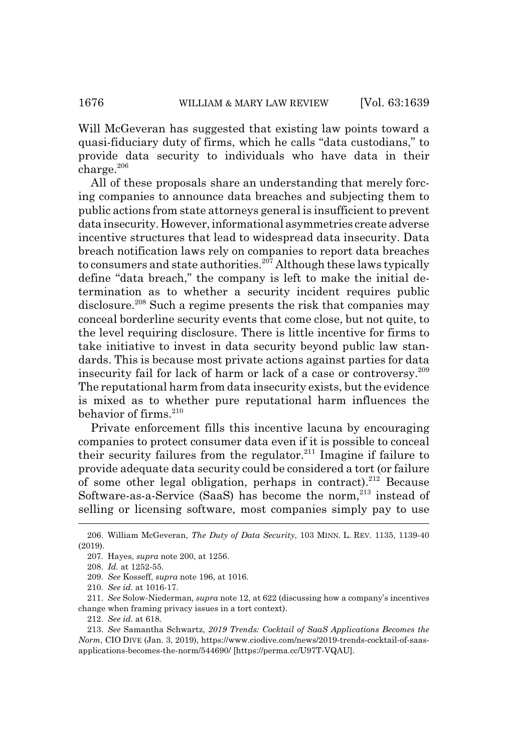Will McGeveran has suggested that existing law points toward a quasi-fiduciary duty of firms, which he calls "data custodians," to provide data security to individuals who have data in their  $charge.<sup>206</sup>$ 

All of these proposals share an understanding that merely forcing companies to announce data breaches and subjecting them to public actions from state attorneys general is insufficient to prevent data insecurity. However, informational asymmetries create adverse incentive structures that lead to widespread data insecurity. Data breach notification laws rely on companies to report data breaches to consumers and state authorities.<sup>207</sup> Although these laws typically define "data breach," the company is left to make the initial determination as to whether a security incident requires public disclosure.<sup>208</sup> Such a regime presents the risk that companies may conceal borderline security events that come close, but not quite, to the level requiring disclosure. There is little incentive for firms to take initiative to invest in data security beyond public law standards. This is because most private actions against parties for data insecurity fail for lack of harm or lack of a case or controversy.209 The reputational harm from data insecurity exists, but the evidence is mixed as to whether pure reputational harm influences the behavior of firms.<sup>210</sup>

Private enforcement fills this incentive lacuna by encouraging companies to protect consumer data even if it is possible to conceal their security failures from the regulator.<sup>211</sup> Imagine if failure to provide adequate data security could be considered a tort (or failure of some other legal obligation, perhaps in contract).<sup>212</sup> Because Software-as-a-Service (SaaS) has become the norm, $^{213}$  instead of selling or licensing software, most companies simply pay to use

<sup>206.</sup> William McGeveran, *The Duty of Data Security*, 103 MINN. L. REV. 1135, 1139-40 (2019).

<sup>207.</sup> Hayes, *supra* note 200, at 1256.

<sup>208.</sup> *Id.* at 1252-55.

<sup>209.</sup> *See* Kosseff, *supra* note 196, at 1016.

<sup>210.</sup> *See id.* at 1016-17.

<sup>211.</sup> *See* Solow-Niederman, *supra* note 12, at 622 (discussing how a company's incentives change when framing privacy issues in a tort context).

<sup>212.</sup> *See id.* at 618.

<sup>213.</sup> *See* Samantha Schwartz, *2019 Trends: Cocktail of SaaS Applications Becomes the Norm*, CIO DIVE (Jan. 3, 2019), https://www.ciodive.com/news/2019-trends-cocktail-of-saasapplications-becomes-the-norm/544690/ [https://perma.cc/U97T-VQAU].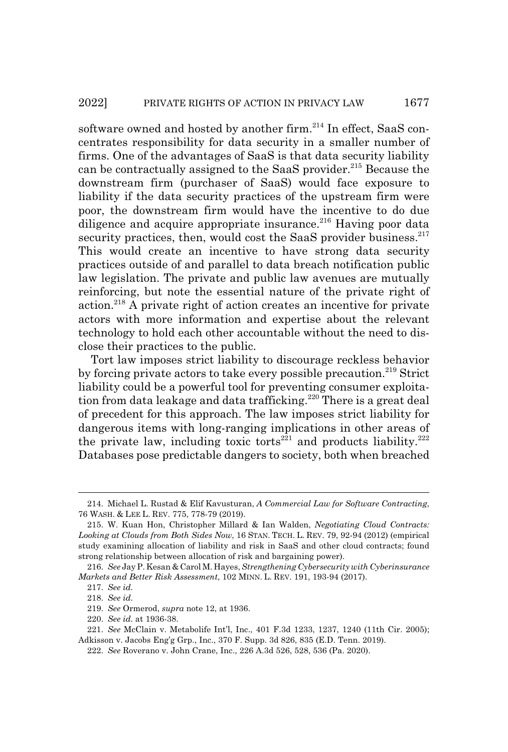software owned and hosted by another firm.<sup>214</sup> In effect, SaaS concentrates responsibility for data security in a smaller number of firms. One of the advantages of SaaS is that data security liability can be contractually assigned to the SaaS provider.<sup>215</sup> Because the downstream firm (purchaser of SaaS) would face exposure to liability if the data security practices of the upstream firm were poor, the downstream firm would have the incentive to do due diligence and acquire appropriate insurance.<sup>216</sup> Having poor data security practices, then, would cost the SaaS provider business. $2^{17}$ This would create an incentive to have strong data security practices outside of and parallel to data breach notification public law legislation. The private and public law avenues are mutually reinforcing, but note the essential nature of the private right of action.218 A private right of action creates an incentive for private actors with more information and expertise about the relevant technology to hold each other accountable without the need to disclose their practices to the public.

Tort law imposes strict liability to discourage reckless behavior by forcing private actors to take every possible precaution.<sup>219</sup> Strict liability could be a powerful tool for preventing consumer exploitation from data leakage and data trafficking.<sup>220</sup> There is a great deal of precedent for this approach. The law imposes strict liability for dangerous items with long-ranging implications in other areas of the private law, including toxic torts<sup>221</sup> and products liability.<sup>222</sup> Databases pose predictable dangers to society, both when breached

<sup>214.</sup> Michael L. Rustad & Elif Kavusturan, *A Commercial Law for Software Contracting*, 76 WASH.&LEE L. REV. 775, 778-79 (2019).

<sup>215.</sup> W. Kuan Hon, Christopher Millard & Ian Walden, *Negotiating Cloud Contracts: Looking at Clouds from Both Sides Now*, 16 STAN. TECH. L. REV. 79, 92-94 (2012) (empirical study examining allocation of liability and risk in SaaS and other cloud contracts; found strong relationship between allocation of risk and bargaining power).

<sup>216.</sup> *See* Jay P. Kesan & Carol M. Hayes, *Strengthening Cybersecurity with Cyberinsurance Markets and Better Risk Assessment*, 102 MINN. L. REV. 191, 193-94 (2017).

<sup>217.</sup> *See id.*

<sup>218.</sup> *See id.*

<sup>219.</sup> *See* Ormerod, *supra* note 12, at 1936.

<sup>220.</sup> *See id.* at 1936-38.

<sup>221.</sup> *See* McClain v. Metabolife Int'l, Inc., 401 F.3d 1233, 1237, 1240 (11th Cir. 2005); Adkisson v. Jacobs Eng'g Grp., Inc., 370 F. Supp. 3d 826, 835 (E.D. Tenn. 2019).

<sup>222.</sup> *See* Roverano v. John Crane, Inc., 226 A.3d 526, 528, 536 (Pa. 2020).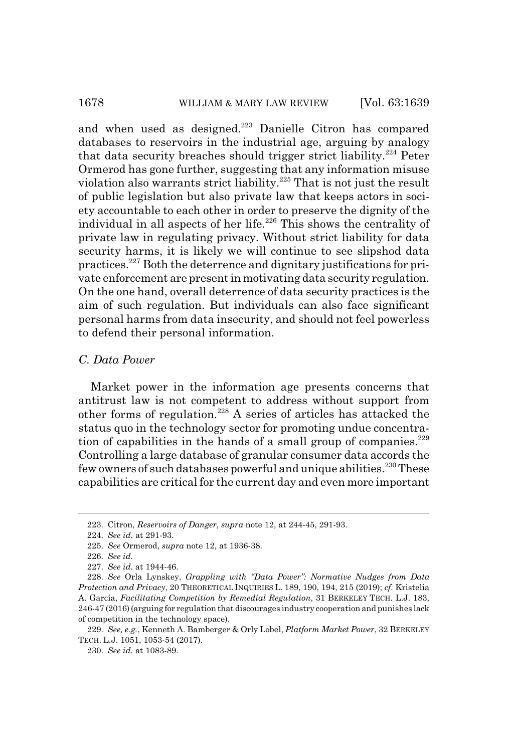and when used as designed.<sup>223</sup> Danielle Citron has compared databases to reservoirs in the industrial age, arguing by analogy that data security breaches should trigger strict liability.<sup>224</sup> Peter Ormerod has gone further, suggesting that any information misuse violation also warrants strict liability.<sup>225</sup> That is not just the result of public legislation but also private law that keeps actors in society accountable to each other in order to preserve the dignity of the individual in all aspects of her life.<sup>226</sup> This shows the centrality of private law in regulating privacy. Without strict liability for data security harms, it is likely we will continue to see slipshod data practices.227 Both the deterrence and dignitary justifications for private enforcement are present in motivating data security regulation. On the one hand, overall deterrence of data security practices is the aim of such regulation. But individuals can also face significant personal harms from data insecurity, and should not feel powerless to defend their personal information.

# *C. Data Power*

Market power in the information age presents concerns that antitrust law is not competent to address without support from other forms of regulation.<sup>228</sup> A series of articles has attacked the status quo in the technology sector for promoting undue concentration of capabilities in the hands of a small group of companies. $229$ Controlling a large database of granular consumer data accords the few owners of such databases powerful and unique abilities.<sup>230</sup> These capabilities are critical for the current day and even more important

<sup>223.</sup> Citron, *Reservoirs of Danger*, *supra* note 12, at 244-45, 291-93.

<sup>224.</sup> *See id.* at 291-93.

<sup>225.</sup> *See* Ormerod, *supra* note 12, at 1936-38.

<sup>226.</sup> *See id.*

<sup>227.</sup> *See id.* at 1944-46.

<sup>228.</sup> *See* Orla Lynskey, *Grappling with "Data Power": Normative Nudges from Data Protection and Privacy*, 20 THEORETICAL INQUIRIES L. 189, 190, 194, 215 (2019); *cf.* Kristelia A. García, *Facilitating Competition by Remedial Regulation*, 31 BERKELEY TECH. L.J. 183, 246-47 (2016) (arguing for regulation that discourages industry cooperation and punishes lack of competition in the technology space).

<sup>229.</sup> *See, e.g.*, Kenneth A. Bamberger & Orly Lobel, *Platform Market Power*, 32 BERKELEY TECH. L.J. 1051, 1053-54 (2017).

<sup>230.</sup> *See id.* at 1083-89.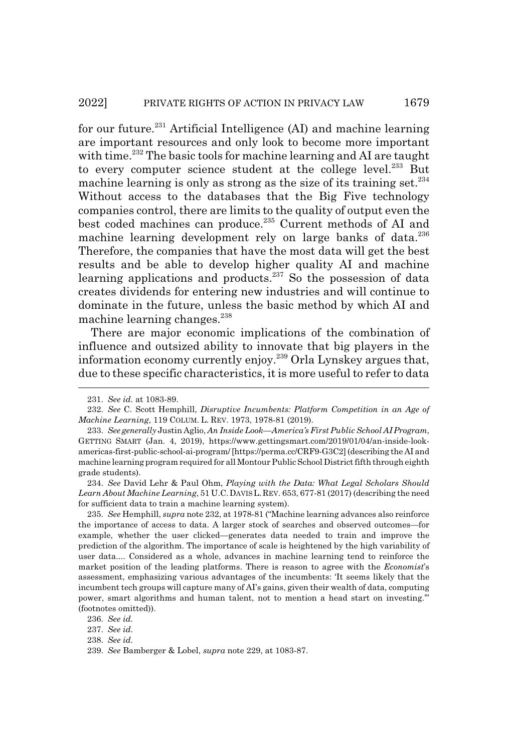for our future.<sup>231</sup> Artificial Intelligence (AI) and machine learning are important resources and only look to become more important with time.<sup>232</sup> The basic tools for machine learning and AI are taught to every computer science student at the college level. $233$  But machine learning is only as strong as the size of its training set.<sup>234</sup> Without access to the databases that the Big Five technology companies control, there are limits to the quality of output even the best coded machines can produce.<sup>235</sup> Current methods of AI and machine learning development rely on large banks of data.<sup>236</sup> Therefore, the companies that have the most data will get the best results and be able to develop higher quality AI and machine learning applications and products.<sup>237</sup> So the possession of data creates dividends for entering new industries and will continue to dominate in the future, unless the basic method by which AI and machine learning changes.<sup>238</sup>

There are major economic implications of the combination of influence and outsized ability to innovate that big players in the information economy currently enjoy.<sup>239</sup> Orla Lynskey argues that, due to these specific characteristics, it is more useful to refer to data

235. *See* Hemphill, *supra* note 232, at 1978-81 ("Machine learning advances also reinforce the importance of access to data. A larger stock of searches and observed outcomes—for example, whether the user clicked—generates data needed to train and improve the prediction of the algorithm. The importance of scale is heightened by the high variability of user data.... Considered as a whole, advances in machine learning tend to reinforce the market position of the leading platforms. There is reason to agree with the *Economist*'s assessment, emphasizing various advantages of the incumbents: 'It seems likely that the incumbent tech groups will capture many of AI's gains, given their wealth of data, computing power, smart algorithms and human talent, not to mention a head start on investing.'" (footnotes omitted)).

237. *See id.*

238. *See id.*

<sup>231.</sup> *See id.* at 1083-89.

<sup>232.</sup> *See* C. Scott Hemphill, *Disruptive Incumbents: Platform Competition in an Age of Machine Learning*, 119 COLUM. L. REV. 1973, 1978-81 (2019).

<sup>233.</sup> *See generally* Justin Aglio, *An Inside Look—America's First Public School AI Program*, GETTING SMART (Jan. 4, 2019), https://www.gettingsmart.com/2019/01/04/an-inside-lookamericas-first-public-school-ai-program/ [https://perma.cc/CRF9-G3C2] (describing the AI and machine learning program required for all Montour Public School District fifth through eighth grade students).

<sup>234.</sup> *See* David Lehr & Paul Ohm, *Playing with the Data: What Legal Scholars Should Learn About Machine Learning*, 51 U.C.DAVISL.REV. 653, 677-81 (2017) (describing the need for sufficient data to train a machine learning system).

<sup>236.</sup> *See id.*

<sup>239.</sup> *See* Bamberger & Lobel, *supra* note 229, at 1083-87.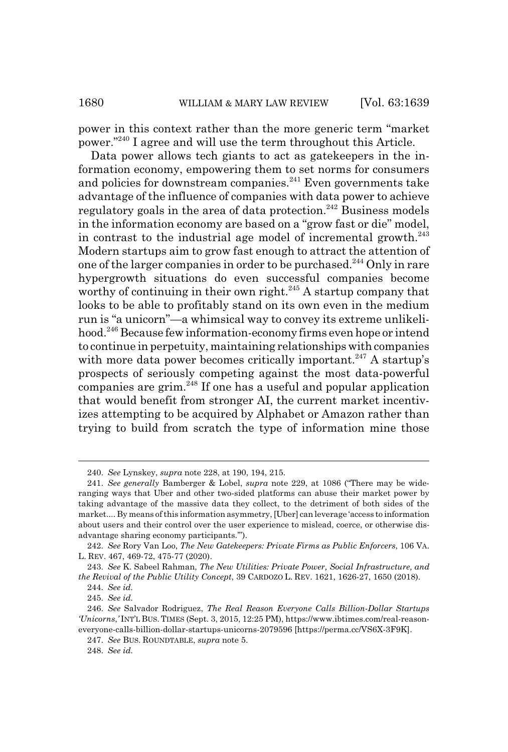power in this context rather than the more generic term "market power."240 I agree and will use the term throughout this Article.

Data power allows tech giants to act as gatekeepers in the information economy, empowering them to set norms for consumers and policies for downstream companies.<sup>241</sup> Even governments take advantage of the influence of companies with data power to achieve regulatory goals in the area of data protection.<sup>242</sup> Business models in the information economy are based on a "grow fast or die" model, in contrast to the industrial age model of incremental growth.<sup>243</sup> Modern startups aim to grow fast enough to attract the attention of one of the larger companies in order to be purchased.244 Only in rare hypergrowth situations do even successful companies become worthy of continuing in their own right.<sup>245</sup> A startup company that looks to be able to profitably stand on its own even in the medium run is "a unicorn"—a whimsical way to convey its extreme unlikelihood.<sup>246</sup> Because few information-economy firms even hope or intend to continue in perpetuity, maintaining relationships with companies with more data power becomes critically important.<sup>247</sup> A startup's prospects of seriously competing against the most data-powerful companies are grim. $^{248}$  If one has a useful and popular application that would benefit from stronger AI, the current market incentivizes attempting to be acquired by Alphabet or Amazon rather than trying to build from scratch the type of information mine those

243. *See* K. Sabeel Rahman, *The New Utilities: Private Power, Social Infrastructure, and the Revival of the Public Utility Concept*, 39 CARDOZO L. REV. 1621, 1626-27, 1650 (2018).

245. *See id.*

<sup>240.</sup> *See* Lynskey, *supra* note 228, at 190, 194, 215.

<sup>241.</sup> *See generally* Bamberger & Lobel, *supra* note 229, at 1086 ("There may be wideranging ways that Uber and other two-sided platforms can abuse their market power by taking advantage of the massive data they collect, to the detriment of both sides of the market.... By means of this information asymmetry, [Uber] can leverage 'access to information about users and their control over the user experience to mislead, coerce, or otherwise disadvantage sharing economy participants.'").

<sup>242.</sup> *See* Rory Van Loo, *The New Gatekeepers: Private Firms as Public Enforcers*, 106 VA. L. REV. 467, 469-72, 475-77 (2020).

<sup>244.</sup> *See id.*

<sup>246.</sup> *See* Salvador Rodriguez, *The Real Reason Everyone Calls Billion-Dollar Startups 'Unicorns*,*'* INT'L BUS. TIMES (Sept. 3, 2015, 12:25 PM), https://www.ibtimes.com/real-reasoneveryone-calls-billion-dollar-startups-unicorns-2079596 [https://perma.cc/VS6X-3F9K].

<sup>247.</sup> *See* BUS. ROUNDTABLE, *supra* note 5.

<sup>248.</sup> *See id.*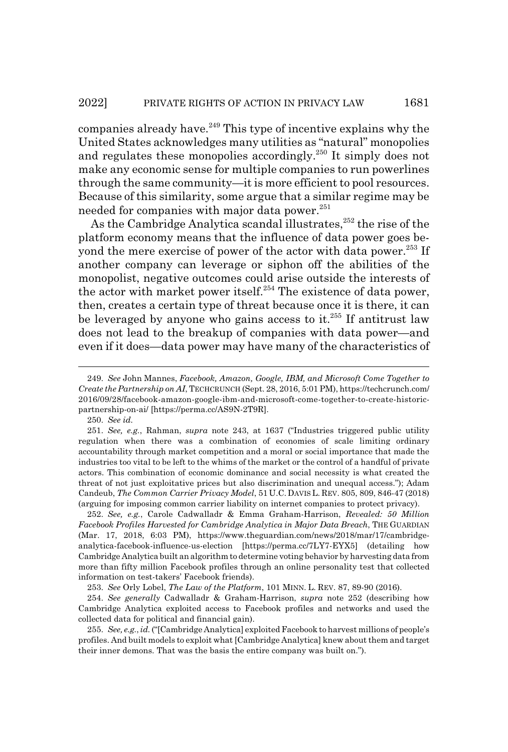companies already have.<sup>249</sup> This type of incentive explains why the United States acknowledges many utilities as "natural" monopolies and regulates these monopolies accordingly.250 It simply does not make any economic sense for multiple companies to run powerlines through the same community—it is more efficient to pool resources. Because of this similarity, some argue that a similar regime may be needed for companies with major data power.<sup>251</sup>

As the Cambridge Analytica scandal illustrates,<sup>252</sup> the rise of the platform economy means that the influence of data power goes beyond the mere exercise of power of the actor with data power.<sup>253</sup> If another company can leverage or siphon off the abilities of the monopolist, negative outcomes could arise outside the interests of the actor with market power itself.<sup>254</sup> The existence of data power, then, creates a certain type of threat because once it is there, it can be leveraged by anyone who gains access to it. $^{255}$  If antitrust law does not lead to the breakup of companies with data power—and even if it does—data power may have many of the characteristics of

250. *See id.*

252. *See, e.g.*, Carole Cadwalladr & Emma Graham-Harrison, *Revealed: 50 Million Facebook Profiles Harvested for Cambridge Analytica in Major Data Breach*, THE GUARDIAN (Mar. 17, 2018, 6:03 PM), https://www.theguardian.com/news/2018/mar/17/cambridgeanalytica-facebook-influence-us-election [https://perma.cc/7LY7-EYX5] (detailing how Cambridge Analytica built an algorithm to determine voting behavior by harvesting data from more than fifty million Facebook profiles through an online personality test that collected information on test-takers' Facebook friends).

253. *See* Orly Lobel, *The Law of the Platform*, 101 MINN. L. REV. 87, 89-90 (2016).

254. *See generally* Cadwalladr & Graham-Harrison, *supra* note 252 (describing how Cambridge Analytica exploited access to Facebook profiles and networks and used the collected data for political and financial gain).

255. *See, e.g.*,*id.* ("[Cambridge Analytica] exploited Facebook to harvest millions of people's profiles. And built models to exploit what [Cambridge Analytica] knew about them and target their inner demons. That was the basis the entire company was built on.").

<sup>249.</sup> *See* John Mannes, *Facebook, Amazon, Google, IBM, and Microsoft Come Together to Create the Partnership on AI*, TECHCRUNCH (Sept. 28, 2016, 5:01 PM), https://techcrunch.com/ 2016/09/28/facebook-amazon-google-ibm-and-microsoft-come-together-to-create-historicpartnership-on-ai/ [https://perma.cc/AS9N-2T9R].

<sup>251.</sup> *See, e.g.*, Rahman, *supra* note 243, at 1637 ("Industries triggered public utility regulation when there was a combination of economies of scale limiting ordinary accountability through market competition and a moral or social importance that made the industries too vital to be left to the whims of the market or the control of a handful of private actors. This combination of economic dominance and social necessity is what created the threat of not just exploitative prices but also discrimination and unequal access."); Adam Candeub, *The Common Carrier Privacy Model*, 51 U.C. DAVIS L. REV. 805, 809, 846-47 (2018) (arguing for imposing common carrier liability on internet companies to protect privacy).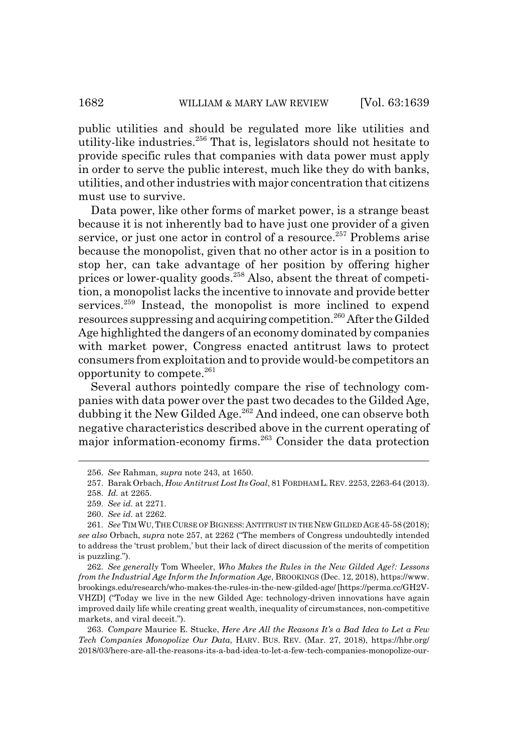public utilities and should be regulated more like utilities and utility-like industries. $256$  That is, legislators should not hesitate to provide specific rules that companies with data power must apply in order to serve the public interest, much like they do with banks, utilities, and other industries with major concentration that citizens must use to survive.

Data power, like other forms of market power, is a strange beast because it is not inherently bad to have just one provider of a given service, or just one actor in control of a resource.<sup>257</sup> Problems arise because the monopolist, given that no other actor is in a position to stop her, can take advantage of her position by offering higher prices or lower-quality goods.258 Also, absent the threat of competition, a monopolist lacks the incentive to innovate and provide better services.<sup>259</sup> Instead, the monopolist is more inclined to expend resources suppressing and acquiring competition.<sup>260</sup> After the Gilded Age highlighted the dangers of an economy dominated by companies with market power, Congress enacted antitrust laws to protect consumers from exploitation and to provide would-be competitors an opportunity to compete.261

Several authors pointedly compare the rise of technology companies with data power over the past two decades to the Gilded Age, dubbing it the New Gilded Age.<sup>262</sup> And indeed, one can observe both negative characteristics described above in the current operating of major information-economy firms.263 Consider the data protection

260. *See id.* at 2262.

262. *See generally* Tom Wheeler, *Who Makes the Rules in the New Gilded Age?: Lessons from the Industrial Age Inform the Information Age*, BROOKINGS (Dec. 12, 2018), https://www. brookings.edu/research/who-makes-the-rules-in-the-new-gilded-age/ [https://perma.cc/GH2V-VHZD] ("Today we live in the new Gilded Age: technology-driven innovations have again improved daily life while creating great wealth, inequality of circumstances, non-competitive markets, and viral deceit.").

263. *Compare* Maurice E. Stucke, *Here Are All the Reasons It's a Bad Idea to Let a Few Tech Companies Monopolize Our Data*, HARV. BUS. REV. (Mar. 27, 2018), https://hbr.org/ 2018/03/here-are-all-the-reasons-its-a-bad-idea-to-let-a-few-tech-companies-monopolize-our-

<sup>256.</sup> *See* Rahman, *supra* note 243, at 1650.

<sup>257.</sup> Barak Orbach, *How Antitrust Lost Its Goal*, 81 FORDHAM L.REV. 2253, 2263-64 (2013).

<sup>258.</sup> *Id.* at 2265.

<sup>259.</sup> *See id.* at 2271.

<sup>261.</sup> *See* TIMWU, THE CURSE OF BIGNESS: ANTITRUST IN THE NEW GILDED AGE 45-58 (2018); *see also* Orbach, *supra* note 257, at 2262 ("The members of Congress undoubtedly intended to address the 'trust problem,' but their lack of direct discussion of the merits of competition is puzzling.").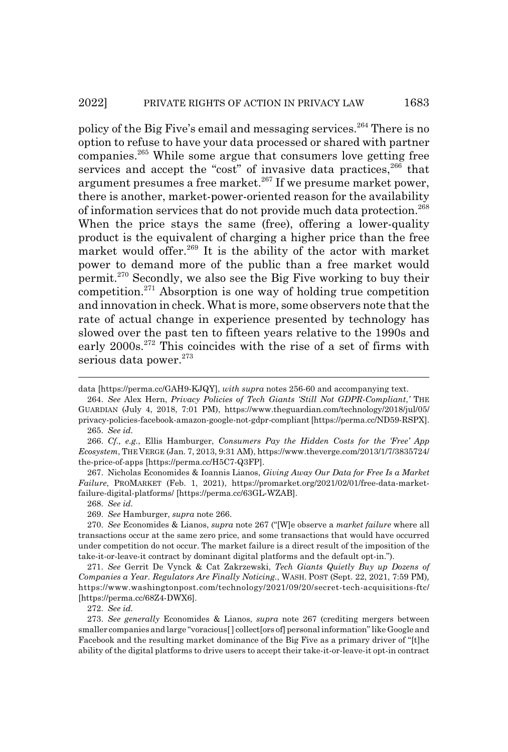policy of the Big Five's email and messaging services.264 There is no option to refuse to have your data processed or shared with partner companies.265 While some argue that consumers love getting free services and accept the "cost" of invasive data practices,<sup>266</sup> that argument presumes a free market.<sup>267</sup> If we presume market power, there is another, market-power-oriented reason for the availability of information services that do not provide much data protection.<sup>268</sup> When the price stays the same (free), offering a lower-quality product is the equivalent of charging a higher price than the free market would offer.<sup>269</sup> It is the ability of the actor with market power to demand more of the public than a free market would permit.270 Secondly, we also see the Big Five working to buy their competition.<sup>271</sup> Absorption is one way of holding true competition and innovation in check. What is more, some observers note that the rate of actual change in experience presented by technology has slowed over the past ten to fifteen years relative to the 1990s and early 2000s.<sup>272</sup> This coincides with the rise of a set of firms with serious data power. $273$ 

267. Nicholas Economides & Ioannis Lianos, *Giving Away Our Data for Free Is a Market Failure*, PROMARKET (Feb. 1, 2021), https://promarket.org/2021/02/01/free-data-marketfailure-digital-platforms/ [https://perma.cc/63GL-WZAB].

268. *See id.*

272. *See id.*

data [https://perma.cc/GAH9-KJQY], *with supra* notes 256-60 and accompanying text.

<sup>264.</sup> *See* Alex Hern, *Privacy Policies of Tech Giants 'Still Not GDPR-Compliant*,*'* THE GUARDIAN (July 4, 2018, 7:01 PM), https://www.theguardian.com/technology/2018/jul/05/ privacy-policies-facebook-amazon-google-not-gdpr-compliant [https://perma.cc/ND59-RSPX].

<sup>265.</sup> *See id.*

<sup>266.</sup> *Cf., e.g.*, Ellis Hamburger, *Consumers Pay the Hidden Costs for the 'Free' App Ecosystem*, THE VERGE (Jan. 7, 2013, 9:31 AM), https://www.theverge.com/2013/1/7/3835724/ the-price-of-apps [https://perma.cc/H5C7-Q3FP].

<sup>269.</sup> *See* Hamburger, *supra* note 266.

<sup>270.</sup> *See* Economides & Lianos, *supra* note 267 ("[W]e observe a *market failure* where all transactions occur at the same zero price, and some transactions that would have occurred under competition do not occur. The market failure is a direct result of the imposition of the take-it-or-leave-it contract by dominant digital platforms and the default opt-in.").

<sup>271.</sup> *See* Gerrit De Vynck & Cat Zakrzewski, *Tech Giants Quietly Buy up Dozens of Companies a Year. Regulators Are Finally Noticing.*, WASH. POST (Sept. 22, 2021, 7:59 PM)*,* https://www.washingtonpost.com/technology/2021/09/20/secret-tech-acquisitions-ftc/ [https://perma.cc/68Z4-DWX6].

<sup>273.</sup> *See generally* Economides & Lianos, *supra* note 267 (crediting mergers between smaller companies and large "voracious<sup>[]</sup> collect [ors of] personal information" like Google and Facebook and the resulting market dominance of the Big Five as a primary driver of "[t]he ability of the digital platforms to drive users to accept their take-it-or-leave-it opt-in contract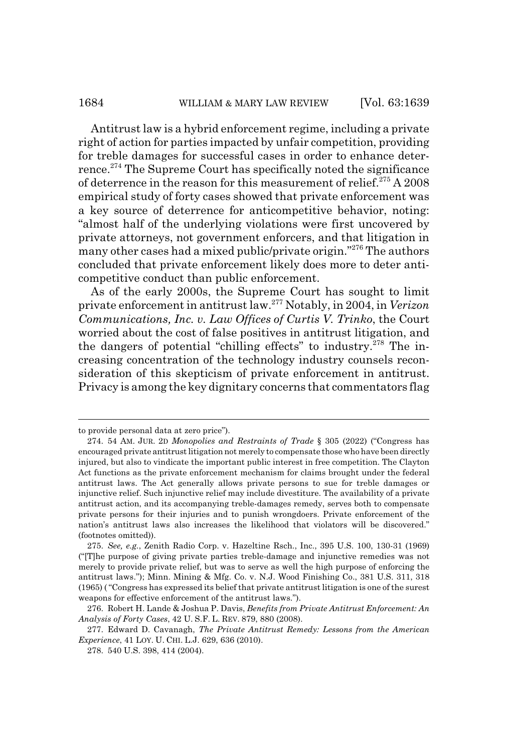# 1684 WILLIAM & MARY LAW REVIEW [Vol. 63:1639

Antitrust law is a hybrid enforcement regime, including a private right of action for parties impacted by unfair competition, providing for treble damages for successful cases in order to enhance deterrence.<sup>274</sup> The Supreme Court has specifically noted the significance of deterrence in the reason for this measurement of relief.<sup>275</sup> A 2008 empirical study of forty cases showed that private enforcement was a key source of deterrence for anticompetitive behavior, noting: "almost half of the underlying violations were first uncovered by private attorneys, not government enforcers, and that litigation in many other cases had a mixed public/private origin."276 The authors concluded that private enforcement likely does more to deter anticompetitive conduct than public enforcement.

As of the early 2000s, the Supreme Court has sought to limit private enforcement in antitrust law.277 Notably, in 2004, in *Verizon Communications, Inc. v. Law Offices of Curtis V. Trinko*, the Court worried about the cost of false positives in antitrust litigation, and the dangers of potential "chilling effects" to industry.<sup>278</sup> The increasing concentration of the technology industry counsels reconsideration of this skepticism of private enforcement in antitrust. Privacy is among the key dignitary concerns that commentators flag

to provide personal data at zero price").

<sup>274. 54</sup> AM. JUR. 2D *Monopolies and Restraints of Trade* § 305 (2022) ("Congress has encouraged private antitrust litigation not merely to compensate those who have been directly injured, but also to vindicate the important public interest in free competition. The Clayton Act functions as the private enforcement mechanism for claims brought under the federal antitrust laws. The Act generally allows private persons to sue for treble damages or injunctive relief. Such injunctive relief may include divestiture. The availability of a private antitrust action, and its accompanying treble-damages remedy, serves both to compensate private persons for their injuries and to punish wrongdoers. Private enforcement of the nation's antitrust laws also increases the likelihood that violators will be discovered." (footnotes omitted)).

<sup>275.</sup> *See, e.g.*, Zenith Radio Corp. v. Hazeltine Rsch., Inc., 395 U.S. 100, 130-31 (1969) ("[T]he purpose of giving private parties treble-damage and injunctive remedies was not merely to provide private relief, but was to serve as well the high purpose of enforcing the antitrust laws."); Minn. Mining & Mfg. Co. v. N.J. Wood Finishing Co., 381 U.S. 311, 318 (1965) ( "Congress has expressed its belief that private antitrust litigation is one of the surest weapons for effective enforcement of the antitrust laws.").

<sup>276.</sup> Robert H. Lande & Joshua P. Davis, *Benefits from Private Antitrust Enforcement: An Analysis of Forty Cases*, 42 U. S.F. L. REV. 879, 880 (2008).

<sup>277.</sup> Edward D. Cavanagh, *The Private Antitrust Remedy: Lessons from the American Experience*, 41 LOY. U. CHI. L.J. 629, 636 (2010).

<sup>278. 540</sup> U.S. 398, 414 (2004).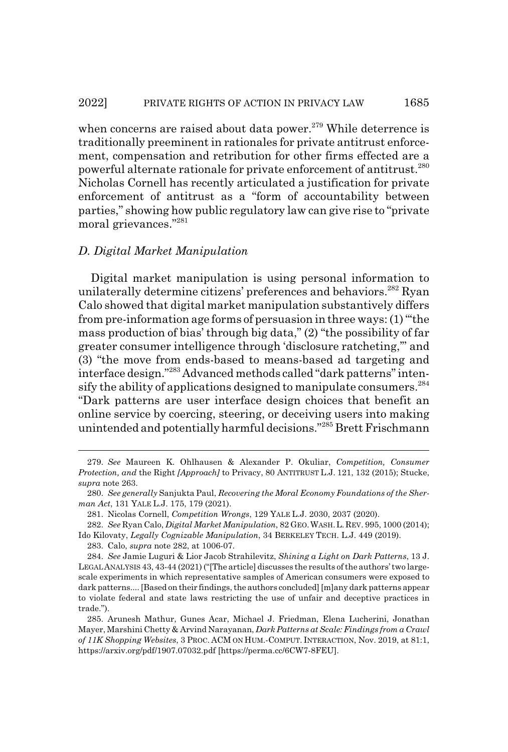when concerns are raised about data power.<sup>279</sup> While deterrence is traditionally preeminent in rationales for private antitrust enforcement, compensation and retribution for other firms effected are a powerful alternate rationale for private enforcement of antitrust.280 Nicholas Cornell has recently articulated a justification for private enforcement of antitrust as a "form of accountability between parties," showing how public regulatory law can give rise to "private moral grievances."281

#### *D. Digital Market Manipulation*

Digital market manipulation is using personal information to unilaterally determine citizens' preferences and behaviors.<sup>282</sup> Ryan Calo showed that digital market manipulation substantively differs from pre-information age forms of persuasion in three ways: (1) "'the mass production of bias' through big data," (2) "the possibility of far greater consumer intelligence through 'disclosure ratcheting,'" and (3) "the move from ends-based to means-based ad targeting and interface design."283 Advanced methods called "dark patterns" intensify the ability of applications designed to manipulate consumers.<sup>284</sup> "Dark patterns are user interface design choices that benefit an online service by coercing, steering, or deceiving users into making unintended and potentially harmful decisions."285 Brett Frischmann

<sup>279.</sup> *See* Maureen K. Ohlhausen & Alexander P. Okuliar, *Competition, Consumer Protection, and* the Right *[Approach]* to Privacy, 80 ANTITRUST L.J. 121, 132 (2015); Stucke, *supra* note 263.

<sup>280.</sup> *See generally* Sanjukta Paul, *Recovering the Moral Economy Foundations of the Sherman Act*, 131 YALE L.J. 175, 179 (2021).

<sup>281.</sup> Nicolas Cornell, *Competition Wrongs*, 129 YALE L.J. 2030, 2037 (2020).

<sup>282.</sup> *See* Ryan Calo, *Digital Market Manipulation*, 82 GEO.WASH.L.REV. 995, 1000 (2014); Ido Kilovaty, *Legally Cognizable Manipulation*, 34 BERKELEY TECH. L.J. 449 (2019).

<sup>283.</sup> Calo, *supra* note 282, at 1006-07.

<sup>284.</sup> *See* Jamie Luguri & Lior Jacob Strahilevitz, *Shining a Light on Dark Patterns*, 13 J. LEGAL ANALYSIS 43, 43-44 (2021) ("[The article] discusses the results of the authors' two largescale experiments in which representative samples of American consumers were exposed to dark patterns.... [Based on their findings, the authors concluded] [m]any dark patterns appear to violate federal and state laws restricting the use of unfair and deceptive practices in trade.").

<sup>285.</sup> Arunesh Mathur, Gunes Acar, Michael J. Friedman, Elena Lucherini, Jonathan Mayer, Marshini Chetty & Arvind Narayanan, *Dark Patterns at Scale: Findings from a Crawl of 11K Shopping Websites*, 3 PROC. ACM ON HUM.-COMPUT. INTERACTION, Nov. 2019, at 81:1, https://arxiv.org/pdf/1907.07032.pdf [https://perma.cc/6CW7-8FEU].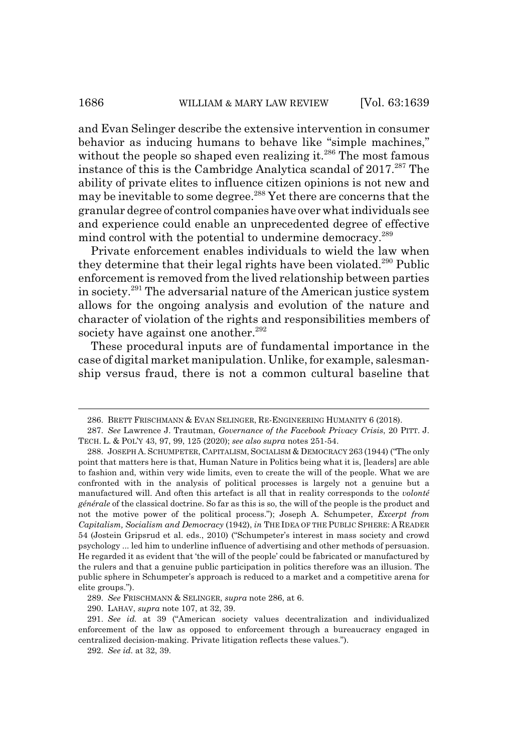and Evan Selinger describe the extensive intervention in consumer behavior as inducing humans to behave like "simple machines," without the people so shaped even realizing it.<sup>286</sup> The most famous instance of this is the Cambridge Analytica scandal of  $2017.<sup>287</sup>$  The ability of private elites to influence citizen opinions is not new and may be inevitable to some degree.<sup>288</sup> Yet there are concerns that the granular degree of control companies have over what individuals see and experience could enable an unprecedented degree of effective mind control with the potential to undermine democracy.<sup>289</sup>

Private enforcement enables individuals to wield the law when they determine that their legal rights have been violated.<sup>290</sup> Public enforcement is removed from the lived relationship between parties in society.291 The adversarial nature of the American justice system allows for the ongoing analysis and evolution of the nature and character of violation of the rights and responsibilities members of society have against one another.<sup>292</sup>

These procedural inputs are of fundamental importance in the case of digital market manipulation. Unlike, for example, salesmanship versus fraud, there is not a common cultural baseline that

290. LAHAV, *supra* note 107, at 32, 39.

<sup>286.</sup> BRETT FRISCHMANN & EVAN SELINGER, RE-ENGINEERING HUMANITY 6 (2018).

<sup>287.</sup> *See* Lawrence J. Trautman, *Governance of the Facebook Privacy Crisis*, 20 PITT. J. TECH. L. & POL'Y 43, 97, 99, 125 (2020); *see also supra* notes 251-54.

<sup>288.</sup> JOSEPH A. SCHUMPETER, CAPITALISM, SOCIALISM & DEMOCRACY 263 (1944) ("The only point that matters here is that, Human Nature in Politics being what it is, [leaders] are able to fashion and, within very wide limits, even to create the will of the people. What we are confronted with in the analysis of political processes is largely not a genuine but a manufactured will. And often this artefact is all that in reality corresponds to the *volonté générale* of the classical doctrine. So far as this is so, the will of the people is the product and not the motive power of the political process."); Joseph A. Schumpeter, *Excerpt from Capitalism, Socialism and Democracy* (1942), *in* THE IDEA OF THE PUBLIC SPHERE: A READER 54 (Jostein Gripsrud et al. eds., 2010) ("Schumpeter's interest in mass society and crowd psychology ... led him to underline influence of advertising and other methods of persuasion. He regarded it as evident that 'the will of the people' could be fabricated or manufactured by the rulers and that a genuine public participation in politics therefore was an illusion. The public sphere in Schumpeter's approach is reduced to a market and a competitive arena for elite groups.").

<sup>289.</sup> *See* FRISCHMANN & SELINGER, *supra* note 286, at 6.

<sup>291.</sup> *See id.* at 39 ("American society values decentralization and individualized enforcement of the law as opposed to enforcement through a bureaucracy engaged in centralized decision-making. Private litigation reflects these values.").

<sup>292.</sup> *See id.* at 32, 39.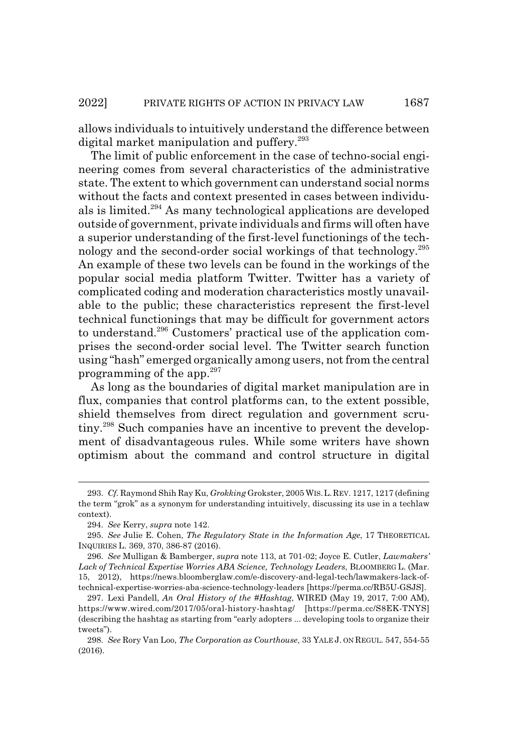allows individuals to intuitively understand the difference between digital market manipulation and puffery.<sup>293</sup>

The limit of public enforcement in the case of techno-social engineering comes from several characteristics of the administrative state. The extent to which government can understand social norms without the facts and context presented in cases between individuals is limited.294 As many technological applications are developed outside of government, private individuals and firms will often have a superior understanding of the first-level functionings of the technology and the second-order social workings of that technology.295 An example of these two levels can be found in the workings of the popular social media platform Twitter. Twitter has a variety of complicated coding and moderation characteristics mostly unavailable to the public; these characteristics represent the first-level technical functionings that may be difficult for government actors to understand.296 Customers' practical use of the application comprises the second-order social level. The Twitter search function using "hash" emerged organically among users, not from the central programming of the app.297

As long as the boundaries of digital market manipulation are in flux, companies that control platforms can, to the extent possible, shield themselves from direct regulation and government scrutiny.298 Such companies have an incentive to prevent the development of disadvantageous rules. While some writers have shown optimism about the command and control structure in digital

<sup>293.</sup> *Cf.* Raymond Shih Ray Ku, *Grokking* Grokster, 2005 WIS.L.REV. 1217, 1217 (defining the term "grok" as a synonym for understanding intuitively, discussing its use in a techlaw context).

<sup>294.</sup> *See* Kerry, *supra* note 142.

<sup>295.</sup> *See* Julie E. Cohen, *The Regulatory State in the Information Age*, 17 THEORETICAL INQUIRIES L. 369, 370, 386-87 (2016).

<sup>296.</sup> *See* Mulligan & Bamberger, *supra* note 113, at 701-02; Joyce E. Cutler, *Lawmakers' Lack of Technical Expertise Worries ABA Science, Technology Leaders*, BLOOMBERG L. (Mar. 15, 2012), https://news.bloomberglaw.com/e-discovery-and-legal-tech/lawmakers-lack-oftechnical-expertise-worries-aba-science-technology-leaders [https://perma.cc/RB5U-GSJS].

<sup>297.</sup> Lexi Pandell, *An Oral History of the #Hashtag*, WIRED (May 19, 2017, 7:00 AM), https://www.wired.com/2017/05/oral-history-hashtag/ [https://perma.cc/S8EK-TNYS] (describing the hashtag as starting from "early adopters ... developing tools to organize their tweets").

<sup>298.</sup> *See* Rory Van Loo, *The Corporation as Courthouse*, 33 YALE J. ON REGUL. 547, 554-55 (2016).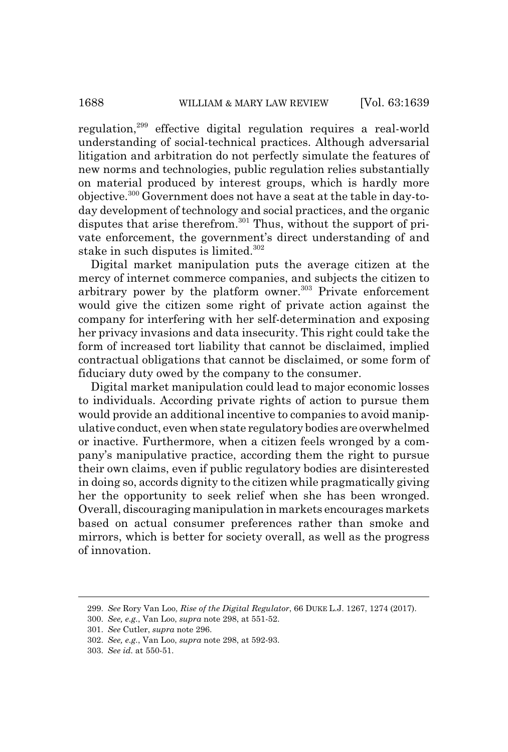regulation,299 effective digital regulation requires a real-world understanding of social-technical practices. Although adversarial litigation and arbitration do not perfectly simulate the features of new norms and technologies, public regulation relies substantially on material produced by interest groups, which is hardly more objective.300 Government does not have a seat at the table in day-today development of technology and social practices, and the organic disputes that arise therefrom.<sup>301</sup> Thus, without the support of private enforcement, the government's direct understanding of and stake in such disputes is limited.<sup>302</sup>

Digital market manipulation puts the average citizen at the mercy of internet commerce companies, and subjects the citizen to arbitrary power by the platform owner.<sup>303</sup> Private enforcement would give the citizen some right of private action against the company for interfering with her self-determination and exposing her privacy invasions and data insecurity. This right could take the form of increased tort liability that cannot be disclaimed, implied contractual obligations that cannot be disclaimed, or some form of fiduciary duty owed by the company to the consumer.

Digital market manipulation could lead to major economic losses to individuals. According private rights of action to pursue them would provide an additional incentive to companies to avoid manipulative conduct, even when state regulatory bodies are overwhelmed or inactive. Furthermore, when a citizen feels wronged by a company's manipulative practice, according them the right to pursue their own claims, even if public regulatory bodies are disinterested in doing so, accords dignity to the citizen while pragmatically giving her the opportunity to seek relief when she has been wronged. Overall, discouraging manipulation in markets encourages markets based on actual consumer preferences rather than smoke and mirrors, which is better for society overall, as well as the progress of innovation.

<sup>299.</sup> *See* Rory Van Loo, *Rise of the Digital Regulator*, 66 DUKE L.J. 1267, 1274 (2017).

<sup>300.</sup> *See, e.g.*, Van Loo, *supra* note 298, at 551-52.

<sup>301.</sup> *See* Cutler, *supra* note 296.

<sup>302.</sup> *See, e.g.*, Van Loo, *supra* note 298, at 592-93.

<sup>303.</sup> *See id.* at 550-51.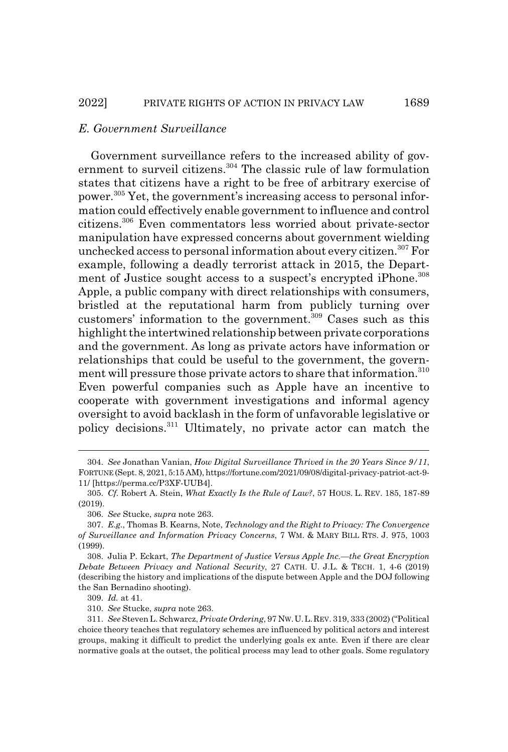# *E. Government Surveillance*

Government surveillance refers to the increased ability of government to surveil citizens.<sup>304</sup> The classic rule of law formulation states that citizens have a right to be free of arbitrary exercise of power.305 Yet, the government's increasing access to personal information could effectively enable government to influence and control citizens.306 Even commentators less worried about private-sector manipulation have expressed concerns about government wielding unchecked access to personal information about every citizen.<sup>307</sup> For example, following a deadly terrorist attack in 2015, the Department of Justice sought access to a suspect's encrypted iPhone.<sup>308</sup> Apple, a public company with direct relationships with consumers, bristled at the reputational harm from publicly turning over customers' information to the government.<sup>309</sup> Cases such as this highlight the intertwined relationship between private corporations and the government. As long as private actors have information or relationships that could be useful to the government, the government will pressure those private actors to share that information.310 Even powerful companies such as Apple have an incentive to cooperate with government investigations and informal agency oversight to avoid backlash in the form of unfavorable legislative or policy decisions.311 Ultimately, no private actor can match the

<sup>304.</sup> *See* Jonathan Vanian, *How Digital Surveillance Thrived in the 20 Years Since 9/11*, FORTUNE (Sept. 8, 2021, 5:15 AM), https://fortune.com/2021/09/08/digital-privacy-patriot-act-9- 11/ [https://perma.cc/P3XF-UUB4].

<sup>305.</sup> *Cf.* Robert A. Stein, *What Exactly Is the Rule of Law?*, 57 HOUS. L. REV. 185, 187-89 (2019).

<sup>306.</sup> *See* Stucke, *supra* note 263.

<sup>307.</sup> *E.g.*, Thomas B. Kearns, Note, *Technology and the Right to Privacy: The Convergence of Surveillance and Information Privacy Concerns*, 7 WM. & MARY BILL RTS. J. 975, 1003 (1999).

<sup>308.</sup> Julia P. Eckart, *The Department of Justice Versus Apple Inc.—the Great Encryption Debate Between Privacy and National Security*, 27 CATH. U. J.L. & TECH. 1, 4-6 (2019) (describing the history and implications of the dispute between Apple and the DOJ following the San Bernadino shooting).

<sup>309.</sup> *Id.* at 41.

<sup>310.</sup> *See* Stucke, *supra* note 263.

<sup>311.</sup> *See* Steven L. Schwarcz, *Private Ordering*, 97 NW.U.L.REV. 319, 333 (2002) ("Political choice theory teaches that regulatory schemes are influenced by political actors and interest groups, making it difficult to predict the underlying goals ex ante. Even if there are clear normative goals at the outset, the political process may lead to other goals. Some regulatory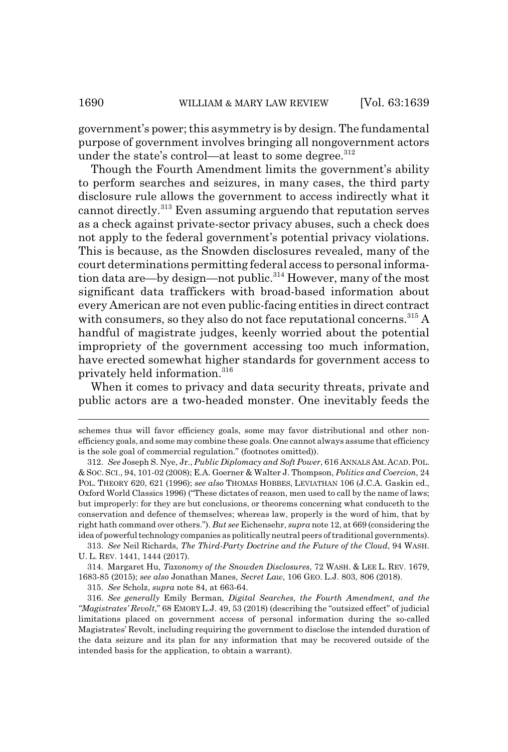government's power; this asymmetry is by design. The fundamental purpose of government involves bringing all nongovernment actors under the state's control—at least to some degree.<sup>312</sup>

Though the Fourth Amendment limits the government's ability to perform searches and seizures, in many cases, the third party disclosure rule allows the government to access indirectly what it cannot directly.313 Even assuming arguendo that reputation serves as a check against private-sector privacy abuses, such a check does not apply to the federal government's potential privacy violations. This is because, as the Snowden disclosures revealed, many of the court determinations permitting federal access to personal information data are—by design—not public.<sup>314</sup> However, many of the most significant data traffickers with broad-based information about every American are not even public-facing entities in direct contract with consumers, so they also do not face reputational concerns.<sup>315</sup> A handful of magistrate judges, keenly worried about the potential impropriety of the government accessing too much information, have erected somewhat higher standards for government access to privately held information.<sup>316</sup>

When it comes to privacy and data security threats, private and public actors are a two-headed monster. One inevitably feeds the

313. *See* Neil Richards, *The Third-Party Doctrine and the Future of the Cloud*, 94 WASH. U. L. REV. 1441, 1444 (2017).

314. Margaret Hu, *Taxonomy of the Snowden Disclosures*, 72 WASH.&LEE L. REV. 1679, 1683-85 (2015); *see also* Jonathan Manes, *Secret Law*, 106 GEO. L.J. 803, 806 (2018).

315. *See* Scholz, *supra* note 84, at 663-64.

316. *See generally* Emily Berman, *Digital Searches, the Fourth Amendment, and the "Magistrates' Revolt*," 68 EMORY L.J. 49, 53 (2018) (describing the "outsized effect" of judicial limitations placed on government access of personal information during the so-called Magistrates' Revolt, including requiring the government to disclose the intended duration of the data seizure and its plan for any information that may be recovered outside of the intended basis for the application, to obtain a warrant).

schemes thus will favor efficiency goals, some may favor distributional and other nonefficiency goals, and some may combine these goals. One cannot always assume that efficiency is the sole goal of commercial regulation." (footnotes omitted)).

<sup>312.</sup> *See* Joseph S. Nye, Jr., *Public Diplomacy and Soft Power*, 616 ANNALS AM. ACAD. POL. & SOC. SCI., 94, 101-02 (2008); E.A. Goerner & Walter J. Thompson, *Politics and Coercion*, 24 POL. THEORY 620, 621 (1996); *see also* THOMAS HOBBES, LEVIATHAN 106 (J.C.A. Gaskin ed., Oxford World Classics 1996) ("These dictates of reason, men used to call by the name of laws; but improperly: for they are but conclusions, or theorems concerning what conduceth to the conservation and defence of themselves; whereas law, properly is the word of him, that by right hath command over others."). *But see* Eichensehr, *supra* note 12, at 669 (considering the idea of powerful technology companies as politically neutral peers of traditional governments).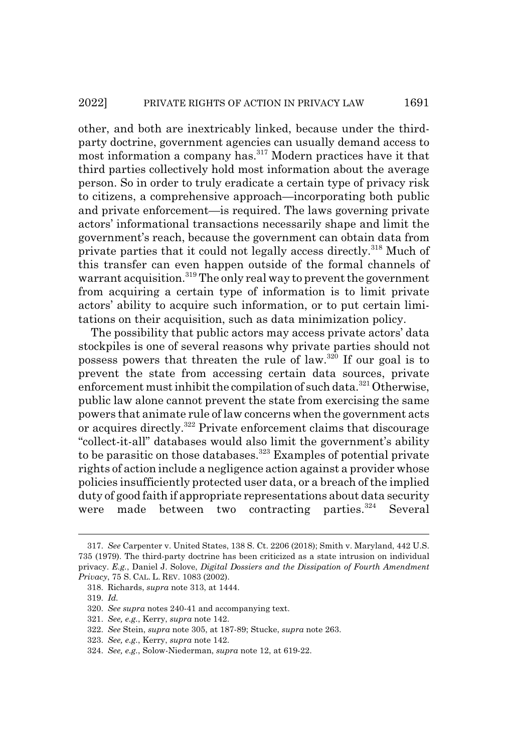other, and both are inextricably linked, because under the thirdparty doctrine, government agencies can usually demand access to most information a company has.317 Modern practices have it that third parties collectively hold most information about the average person. So in order to truly eradicate a certain type of privacy risk to citizens, a comprehensive approach—incorporating both public and private enforcement—is required. The laws governing private actors' informational transactions necessarily shape and limit the government's reach, because the government can obtain data from private parties that it could not legally access directly.<sup>318</sup> Much of this transfer can even happen outside of the formal channels of warrant acquisition.<sup>319</sup> The only real way to prevent the government from acquiring a certain type of information is to limit private actors' ability to acquire such information, or to put certain limitations on their acquisition, such as data minimization policy.

The possibility that public actors may access private actors' data stockpiles is one of several reasons why private parties should not possess powers that threaten the rule of law.320 If our goal is to prevent the state from accessing certain data sources, private enforcement must inhibit the compilation of such data. $321$  Otherwise, public law alone cannot prevent the state from exercising the same powers that animate rule of law concerns when the government acts or acquires directly.322 Private enforcement claims that discourage "collect-it-all" databases would also limit the government's ability to be parasitic on those databases.<sup>323</sup> Examples of potential private rights of action include a negligence action against a provider whose policies insufficiently protected user data, or a breach of the implied duty of good faith if appropriate representations about data security were made between two contracting parties.<sup>324</sup> Several

<sup>317.</sup> *See* Carpenter v. United States, 138 S. Ct. 2206 (2018); Smith v. Maryland, 442 U.S. 735 (1979). The third-party doctrine has been criticized as a state intrusion on individual privacy. *E.g.*, Daniel J. Solove, *Digital Dossiers and the Dissipation of Fourth Amendment Privacy*, 75 S. CAL. L. REV. 1083 (2002).

<sup>318.</sup> Richards, *supra* note 313, at 1444.

<sup>319.</sup> *Id.*

<sup>320.</sup> *See supra* notes 240-41 and accompanying text.

<sup>321.</sup> *See, e.g.*, Kerry, *supra* note 142.

<sup>322.</sup> *See* Stein, *supra* note 305, at 187-89; Stucke, *supra* note 263.

<sup>323.</sup> *See, e.g.*, Kerry, *supra* note 142.

<sup>324.</sup> *See, e.g.*, Solow-Niederman, *supra* note 12, at 619-22.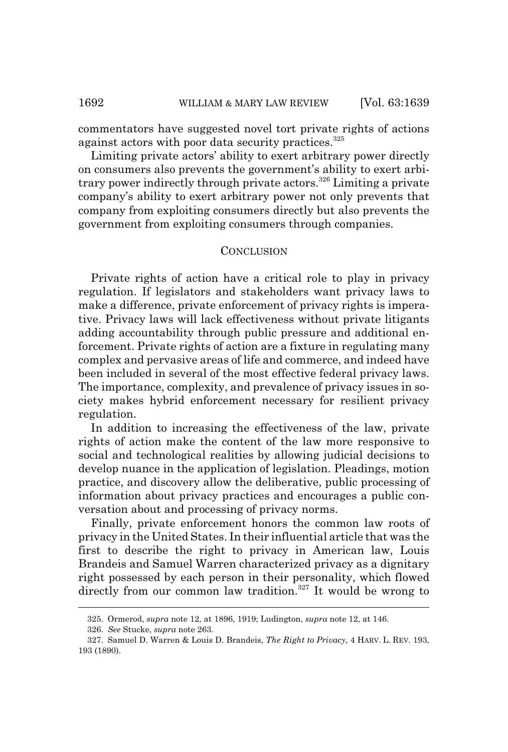commentators have suggested novel tort private rights of actions against actors with poor data security practices.<sup>325</sup>

Limiting private actors' ability to exert arbitrary power directly on consumers also prevents the government's ability to exert arbitrary power indirectly through private actors.<sup>326</sup> Limiting a private company's ability to exert arbitrary power not only prevents that company from exploiting consumers directly but also prevents the government from exploiting consumers through companies.

#### **CONCLUSION**

Private rights of action have a critical role to play in privacy regulation. If legislators and stakeholders want privacy laws to make a difference, private enforcement of privacy rights is imperative. Privacy laws will lack effectiveness without private litigants adding accountability through public pressure and additional enforcement. Private rights of action are a fixture in regulating many complex and pervasive areas of life and commerce, and indeed have been included in several of the most effective federal privacy laws. The importance, complexity, and prevalence of privacy issues in society makes hybrid enforcement necessary for resilient privacy regulation.

In addition to increasing the effectiveness of the law, private rights of action make the content of the law more responsive to social and technological realities by allowing judicial decisions to develop nuance in the application of legislation. Pleadings, motion practice, and discovery allow the deliberative, public processing of information about privacy practices and encourages a public conversation about and processing of privacy norms.

Finally, private enforcement honors the common law roots of privacy in the United States. In their influential article that was the first to describe the right to privacy in American law, Louis Brandeis and Samuel Warren characterized privacy as a dignitary right possessed by each person in their personality, which flowed directly from our common law tradition.<sup>327</sup> It would be wrong to

<sup>325.</sup> Ormerod, *supra* note 12, at 1896, 1919; Ludington, *supra* note 12, at 146.

<sup>326.</sup> *See* Stucke, *supra* note 263.

<sup>327.</sup> Samuel D. Warren & Louis D. Brandeis, *The Right to Privacy*, 4 HARV. L. REV. 193, 193 (1890).